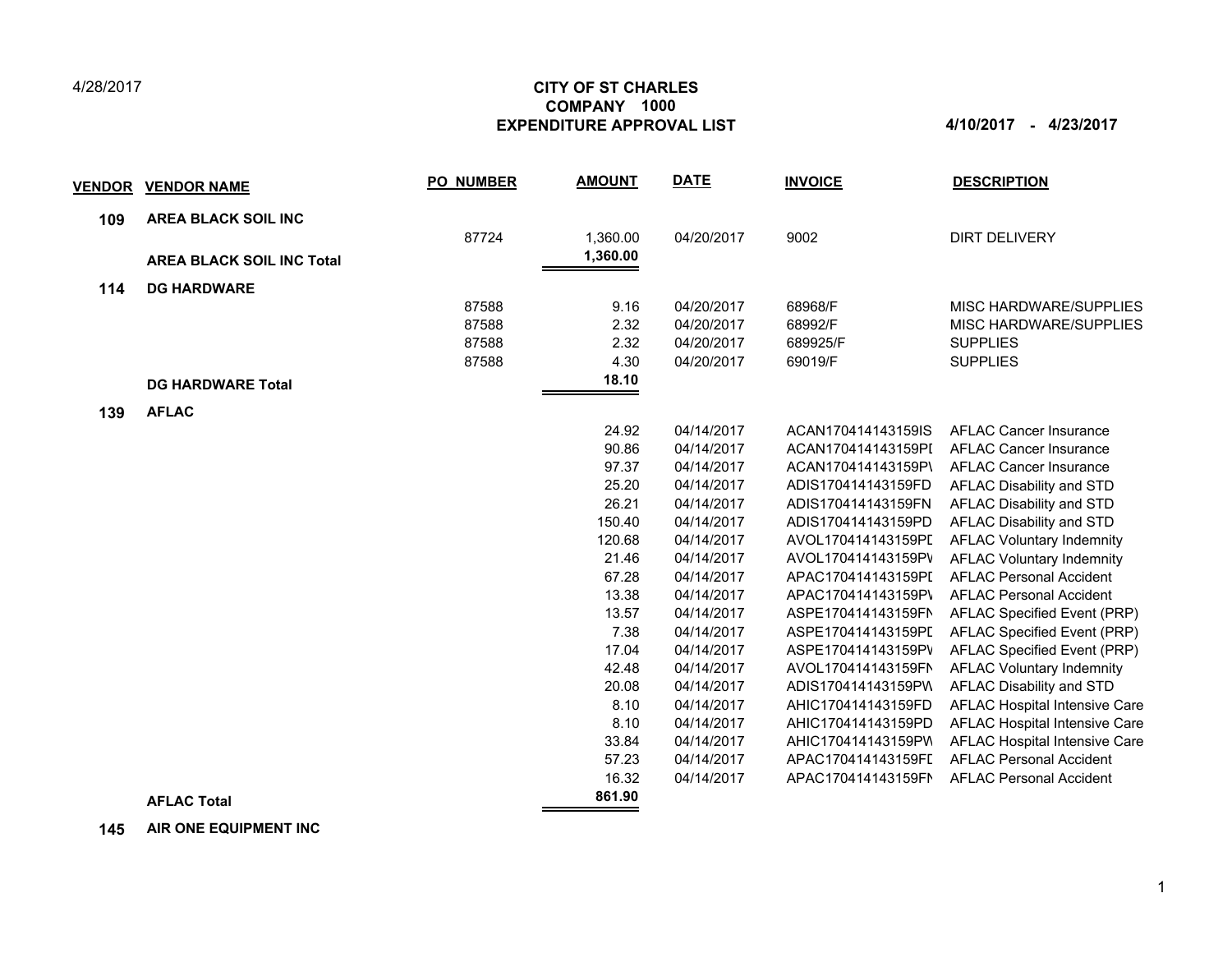## 4/28/2017

## **CITY OF ST CHARLES EXPENDITURE APPROVAL LIST 4/10/2017 - 4/23/2017 COMPANY 1000**

| <b>VENDOR</b> | <b>VENDOR NAME</b>               | <b>PO NUMBER</b> | <b>AMOUNT</b> | <b>DATE</b> | <b>INVOICE</b>     | <b>DESCRIPTION</b>               |
|---------------|----------------------------------|------------------|---------------|-------------|--------------------|----------------------------------|
| 109           | <b>AREA BLACK SOIL INC</b>       |                  |               |             |                    |                                  |
|               |                                  | 87724            | 1,360.00      | 04/20/2017  | 9002               | <b>DIRT DELIVERY</b>             |
|               | <b>AREA BLACK SOIL INC Total</b> |                  | 1,360.00      |             |                    |                                  |
| 114           | <b>DG HARDWARE</b>               |                  |               |             |                    |                                  |
|               |                                  | 87588            | 9.16          | 04/20/2017  | 68968/F            | <b>MISC HARDWARE/SUPPLIES</b>    |
|               |                                  | 87588            | 2.32          | 04/20/2017  | 68992/F            | MISC HARDWARE/SUPPLIES           |
|               |                                  | 87588            | 2.32          | 04/20/2017  | 689925/F           | <b>SUPPLIES</b>                  |
|               |                                  | 87588            | 4.30          | 04/20/2017  | 69019/F            | <b>SUPPLIES</b>                  |
|               | <b>DG HARDWARE Total</b>         |                  | 18.10         |             |                    |                                  |
| 139           | <b>AFLAC</b>                     |                  |               |             |                    |                                  |
|               |                                  |                  | 24.92         | 04/14/2017  | ACAN170414143159IS | <b>AFLAC Cancer Insurance</b>    |
|               |                                  |                  | 90.86         | 04/14/2017  | ACAN170414143159PI | <b>AFLAC Cancer Insurance</b>    |
|               |                                  |                  | 97.37         | 04/14/2017  | ACAN170414143159P\ | <b>AFLAC Cancer Insurance</b>    |
|               |                                  |                  | 25.20         | 04/14/2017  | ADIS170414143159FD | AFLAC Disability and STD         |
|               |                                  |                  | 26.21         | 04/14/2017  | ADIS170414143159FN | AFLAC Disability and STD         |
|               |                                  |                  | 150.40        | 04/14/2017  | ADIS170414143159PD | AFLAC Disability and STD         |
|               |                                  |                  | 120.68        | 04/14/2017  | AVOL170414143159PI | <b>AFLAC Voluntary Indemnity</b> |
|               |                                  |                  | 21.46         | 04/14/2017  | AVOL170414143159PV | <b>AFLAC Voluntary Indemnity</b> |
|               |                                  |                  | 67.28         | 04/14/2017  | APAC170414143159PI | <b>AFLAC Personal Accident</b>   |
|               |                                  |                  | 13.38         | 04/14/2017  | APAC170414143159P\ | <b>AFLAC Personal Accident</b>   |
|               |                                  |                  | 13.57         | 04/14/2017  | ASPE170414143159FN | AFLAC Specified Event (PRP)      |
|               |                                  |                  | 7.38          | 04/14/2017  | ASPE170414143159PI | AFLAC Specified Event (PRP)      |
|               |                                  |                  | 17.04         | 04/14/2017  | ASPE170414143159PV | AFLAC Specified Event (PRP)      |
|               |                                  |                  | 42.48         | 04/14/2017  | AVOL170414143159FN | <b>AFLAC Voluntary Indemnity</b> |
|               |                                  |                  | 20.08         | 04/14/2017  | ADIS170414143159PW | AFLAC Disability and STD         |
|               |                                  |                  | 8.10          | 04/14/2017  | AHIC170414143159FD | AFLAC Hospital Intensive Care    |
|               |                                  |                  | 8.10          | 04/14/2017  | AHIC170414143159PD | AFLAC Hospital Intensive Care    |
|               |                                  |                  | 33.84         | 04/14/2017  | AHIC170414143159PV | AFLAC Hospital Intensive Care    |
|               |                                  |                  | 57.23         | 04/14/2017  | APAC170414143159FI | <b>AFLAC Personal Accident</b>   |
|               |                                  |                  | 16.32         | 04/14/2017  | APAC170414143159FN | <b>AFLAC Personal Accident</b>   |
|               | <b>AFLAC Total</b>               |                  | 861.90        |             |                    |                                  |

 **145 AIR ONE EQUIPMENT INC**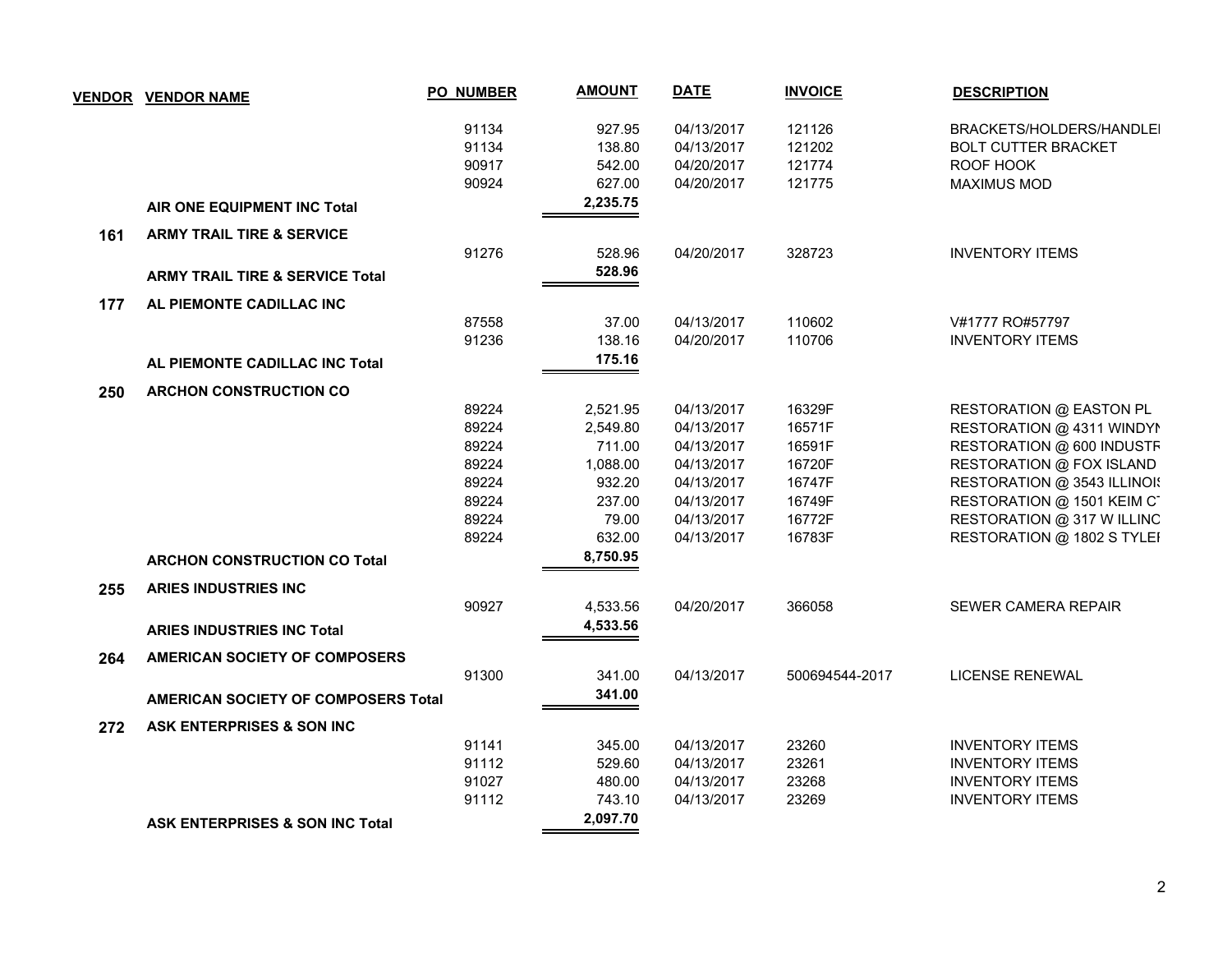|     | <b>VENDOR VENDOR NAME</b>                  | <b>PO_NUMBER</b> | <b>AMOUNT</b> | <b>DATE</b> | <b>INVOICE</b> | <b>DESCRIPTION</b>          |
|-----|--------------------------------------------|------------------|---------------|-------------|----------------|-----------------------------|
|     |                                            | 91134            | 927.95        | 04/13/2017  | 121126         | BRACKETS/HOLDERS/HANDLEI    |
|     |                                            | 91134            | 138.80        | 04/13/2017  | 121202         | <b>BOLT CUTTER BRACKET</b>  |
|     |                                            | 90917            | 542.00        | 04/20/2017  | 121774         | ROOF HOOK                   |
|     |                                            | 90924            | 627.00        | 04/20/2017  | 121775         | <b>MAXIMUS MOD</b>          |
|     | <b>AIR ONE EQUIPMENT INC Total</b>         |                  | 2,235.75      |             |                |                             |
| 161 | <b>ARMY TRAIL TIRE &amp; SERVICE</b>       |                  |               |             |                |                             |
|     |                                            | 91276            | 528.96        | 04/20/2017  | 328723         | <b>INVENTORY ITEMS</b>      |
|     | <b>ARMY TRAIL TIRE &amp; SERVICE Total</b> |                  | 528.96        |             |                |                             |
| 177 | AL PIEMONTE CADILLAC INC                   |                  |               |             |                |                             |
|     |                                            | 87558            | 37.00         | 04/13/2017  | 110602         | V#1777 RO#57797             |
|     |                                            | 91236            | 138.16        | 04/20/2017  | 110706         | <b>INVENTORY ITEMS</b>      |
|     | AL PIEMONTE CADILLAC INC Total             |                  | 175.16        |             |                |                             |
| 250 | <b>ARCHON CONSTRUCTION CO</b>              |                  |               |             |                |                             |
|     |                                            | 89224            | 2,521.95      | 04/13/2017  | 16329F         | RESTORATION @ EASTON PL     |
|     |                                            | 89224            | 2,549.80      | 04/13/2017  | 16571F         | RESTORATION @ 4311 WINDYN   |
|     |                                            | 89224            | 711.00        | 04/13/2017  | 16591F         | RESTORATION @ 600 INDUSTF   |
|     |                                            | 89224            | 1,088.00      | 04/13/2017  | 16720F         | RESTORATION @ FOX ISLAND    |
|     |                                            | 89224            | 932.20        | 04/13/2017  | 16747F         | RESTORATION @ 3543 ILLINOIS |
|     |                                            | 89224            | 237.00        | 04/13/2017  | 16749F         | RESTORATION @ 1501 KEIM C   |
|     |                                            | 89224            | 79.00         | 04/13/2017  | 16772F         | RESTORATION @ 317 W ILLINC  |
|     |                                            | 89224            | 632.00        | 04/13/2017  | 16783F         | RESTORATION @ 1802 S TYLEI  |
|     | <b>ARCHON CONSTRUCTION CO Total</b>        |                  | 8,750.95      |             |                |                             |
| 255 | <b>ARIES INDUSTRIES INC</b>                |                  |               |             |                |                             |
|     |                                            | 90927            | 4,533.56      | 04/20/2017  | 366058         | SEWER CAMERA REPAIR         |
|     | <b>ARIES INDUSTRIES INC Total</b>          |                  | 4,533.56      |             |                |                             |
| 264 | AMERICAN SOCIETY OF COMPOSERS              |                  |               |             |                |                             |
|     |                                            | 91300            | 341.00        | 04/13/2017  | 500694544-2017 | <b>LICENSE RENEWAL</b>      |
|     | AMERICAN SOCIETY OF COMPOSERS Total        |                  | 341.00        |             |                |                             |
| 272 | ASK ENTERPRISES & SON INC                  |                  |               |             |                |                             |
|     |                                            | 91141            | 345.00        | 04/13/2017  | 23260          | <b>INVENTORY ITEMS</b>      |
|     |                                            | 91112            | 529.60        | 04/13/2017  | 23261          | <b>INVENTORY ITEMS</b>      |
|     |                                            | 91027            | 480.00        | 04/13/2017  | 23268          | <b>INVENTORY ITEMS</b>      |
|     |                                            | 91112            | 743.10        | 04/13/2017  | 23269          | <b>INVENTORY ITEMS</b>      |
|     | <b>ASK ENTERPRISES &amp; SON INC Total</b> |                  | 2,097.70      |             |                |                             |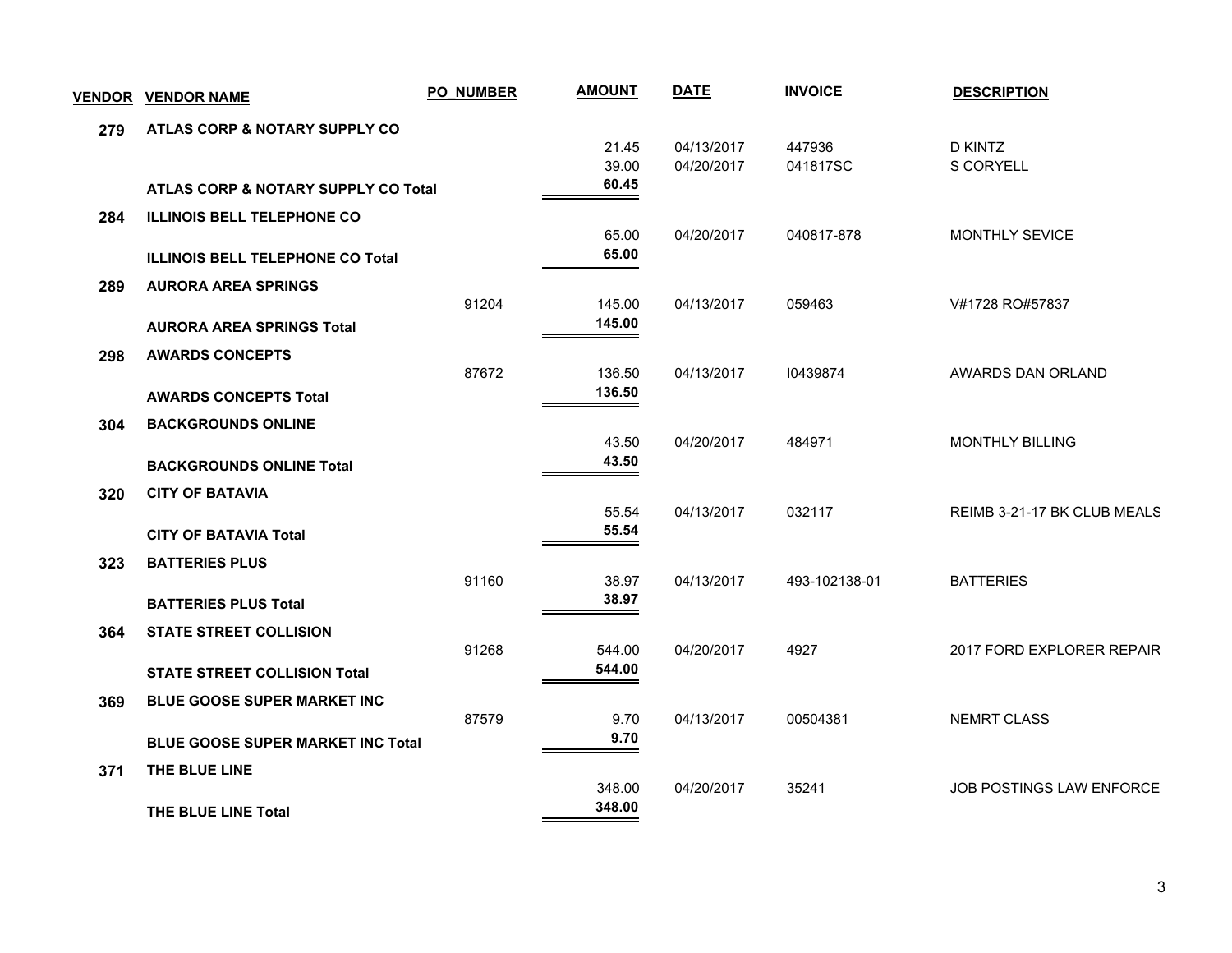|     | <b>VENDOR VENDOR NAME</b>               | PO_NUMBER | <b>AMOUNT</b>    | <b>DATE</b>              | <b>INVOICE</b>     | <b>DESCRIPTION</b>          |
|-----|-----------------------------------------|-----------|------------------|--------------------------|--------------------|-----------------------------|
| 279 | ATLAS CORP & NOTARY SUPPLY CO           |           |                  |                          |                    |                             |
|     |                                         |           | 21.45<br>39.00   | 04/13/2017<br>04/20/2017 | 447936<br>041817SC | <b>D KINTZ</b><br>S CORYELL |
|     | ATLAS CORP & NOTARY SUPPLY CO Total     |           | 60.45            |                          |                    |                             |
| 284 | <b>ILLINOIS BELL TELEPHONE CO</b>       |           |                  |                          |                    |                             |
|     |                                         |           | 65.00<br>65.00   | 04/20/2017               | 040817-878         | MONTHLY SEVICE              |
|     | <b>ILLINOIS BELL TELEPHONE CO Total</b> |           |                  |                          |                    |                             |
| 289 | <b>AURORA AREA SPRINGS</b>              | 91204     | 145.00           | 04/13/2017               | 059463             | V#1728 RO#57837             |
|     | <b>AURORA AREA SPRINGS Total</b>        |           | 145.00           |                          |                    |                             |
| 298 | <b>AWARDS CONCEPTS</b>                  |           |                  |                          |                    |                             |
|     |                                         | 87672     | 136.50<br>136.50 | 04/13/2017               | 10439874           | AWARDS DAN ORLAND           |
|     | <b>AWARDS CONCEPTS Total</b>            |           |                  |                          |                    |                             |
| 304 | <b>BACKGROUNDS ONLINE</b>               |           | 43.50            | 04/20/2017               | 484971             | <b>MONTHLY BILLING</b>      |
|     | <b>BACKGROUNDS ONLINE Total</b>         |           | 43.50            |                          |                    |                             |
| 320 | <b>CITY OF BATAVIA</b>                  |           |                  |                          |                    |                             |
|     |                                         |           | 55.54<br>55.54   | 04/13/2017               | 032117             | REIMB 3-21-17 BK CLUB MEALS |
|     | <b>CITY OF BATAVIA Total</b>            |           |                  |                          |                    |                             |
| 323 | <b>BATTERIES PLUS</b>                   | 91160     | 38.97            | 04/13/2017               | 493-102138-01      | <b>BATTERIES</b>            |
|     | <b>BATTERIES PLUS Total</b>             |           | 38.97            |                          |                    |                             |
| 364 | <b>STATE STREET COLLISION</b>           |           |                  |                          |                    |                             |
|     |                                         | 91268     | 544.00<br>544.00 | 04/20/2017               | 4927               | 2017 FORD EXPLORER REPAIR   |
|     | <b>STATE STREET COLLISION Total</b>     |           |                  |                          |                    |                             |
| 369 | BLUE GOOSE SUPER MARKET INC             | 87579     | 9.70             | 04/13/2017               | 00504381           | <b>NEMRT CLASS</b>          |
|     | BLUE GOOSE SUPER MARKET INC Total       |           | 9.70             |                          |                    |                             |
| 371 | THE BLUE LINE                           |           |                  |                          |                    |                             |
|     |                                         |           | 348.00<br>348.00 | 04/20/2017               | 35241              | JOB POSTINGS LAW ENFORCE    |
|     | THE BLUE LINE Total                     |           |                  |                          |                    |                             |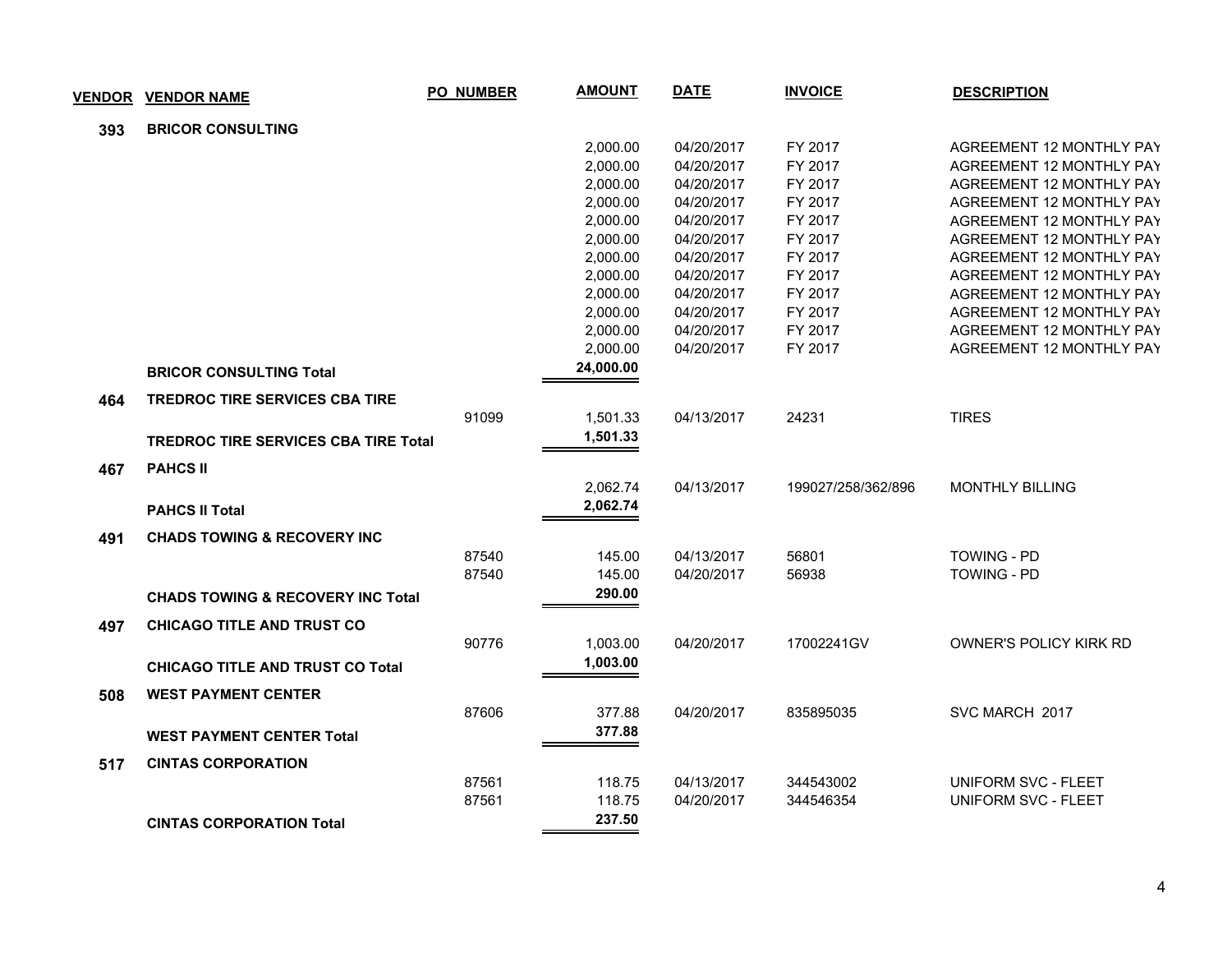|     | <b>VENDOR VENDOR NAME</b>                    | <b>PO_NUMBER</b> | <b>AMOUNT</b> | <b>DATE</b> | <b>INVOICE</b>     | <b>DESCRIPTION</b>              |
|-----|----------------------------------------------|------------------|---------------|-------------|--------------------|---------------------------------|
| 393 | <b>BRICOR CONSULTING</b>                     |                  |               |             |                    |                                 |
|     |                                              |                  | 2,000.00      | 04/20/2017  | FY 2017            | <b>AGREEMENT 12 MONTHLY PAY</b> |
|     |                                              |                  | 2,000.00      | 04/20/2017  | FY 2017            | AGREEMENT 12 MONTHLY PAY        |
|     |                                              |                  | 2,000.00      | 04/20/2017  | FY 2017            | AGREEMENT 12 MONTHLY PAY        |
|     |                                              |                  | 2,000.00      | 04/20/2017  | FY 2017            | AGREEMENT 12 MONTHLY PAY        |
|     |                                              |                  | 2,000.00      | 04/20/2017  | FY 2017            | AGREEMENT 12 MONTHLY PAY        |
|     |                                              |                  | 2,000.00      | 04/20/2017  | FY 2017            | AGREEMENT 12 MONTHLY PAY        |
|     |                                              |                  | 2,000.00      | 04/20/2017  | FY 2017            | <b>AGREEMENT 12 MONTHLY PAY</b> |
|     |                                              |                  | 2,000.00      | 04/20/2017  | FY 2017            | AGREEMENT 12 MONTHLY PAY        |
|     |                                              |                  | 2,000.00      | 04/20/2017  | FY 2017            | <b>AGREEMENT 12 MONTHLY PAY</b> |
|     |                                              |                  | 2,000.00      | 04/20/2017  | FY 2017            | <b>AGREEMENT 12 MONTHLY PAY</b> |
|     |                                              |                  | 2,000.00      | 04/20/2017  | FY 2017            | AGREEMENT 12 MONTHLY PAY        |
|     |                                              |                  | 2,000.00      | 04/20/2017  | FY 2017            | AGREEMENT 12 MONTHLY PAY        |
|     | <b>BRICOR CONSULTING Total</b>               |                  | 24,000.00     |             |                    |                                 |
| 464 | <b>TREDROC TIRE SERVICES CBA TIRE</b>        |                  |               |             |                    |                                 |
|     |                                              | 91099            | 1,501.33      | 04/13/2017  | 24231              | <b>TIRES</b>                    |
|     | <b>TREDROC TIRE SERVICES CBA TIRE Total</b>  |                  | 1,501.33      |             |                    |                                 |
| 467 | <b>PAHCS II</b>                              |                  |               |             |                    |                                 |
|     |                                              |                  | 2,062.74      | 04/13/2017  | 199027/258/362/896 | <b>MONTHLY BILLING</b>          |
|     | <b>PAHCS II Total</b>                        |                  | 2,062.74      |             |                    |                                 |
| 491 | <b>CHADS TOWING &amp; RECOVERY INC</b>       |                  |               |             |                    |                                 |
|     |                                              | 87540            | 145.00        | 04/13/2017  | 56801              | <b>TOWING - PD</b>              |
|     |                                              | 87540            | 145.00        | 04/20/2017  | 56938              | <b>TOWING - PD</b>              |
|     | <b>CHADS TOWING &amp; RECOVERY INC Total</b> |                  | 290.00        |             |                    |                                 |
| 497 | <b>CHICAGO TITLE AND TRUST CO</b>            |                  |               |             |                    |                                 |
|     |                                              | 90776            | 1,003.00      | 04/20/2017  | 17002241GV         | OWNER'S POLICY KIRK RD          |
|     | <b>CHICAGO TITLE AND TRUST CO Total</b>      |                  | 1,003.00      |             |                    |                                 |
| 508 | <b>WEST PAYMENT CENTER</b>                   |                  |               |             |                    |                                 |
|     |                                              | 87606            | 377.88        | 04/20/2017  | 835895035          | SVC MARCH 2017                  |
|     |                                              |                  | 377.88        |             |                    |                                 |
|     | <b>WEST PAYMENT CENTER Total</b>             |                  |               |             |                    |                                 |
| 517 | <b>CINTAS CORPORATION</b>                    |                  |               |             |                    |                                 |
|     |                                              | 87561            | 118.75        | 04/13/2017  | 344543002          | UNIFORM SVC - FLEET             |
|     |                                              | 87561            | 118.75        | 04/20/2017  | 344546354          | <b>UNIFORM SVC - FLEET</b>      |
|     | <b>CINTAS CORPORATION Total</b>              |                  | 237.50        |             |                    |                                 |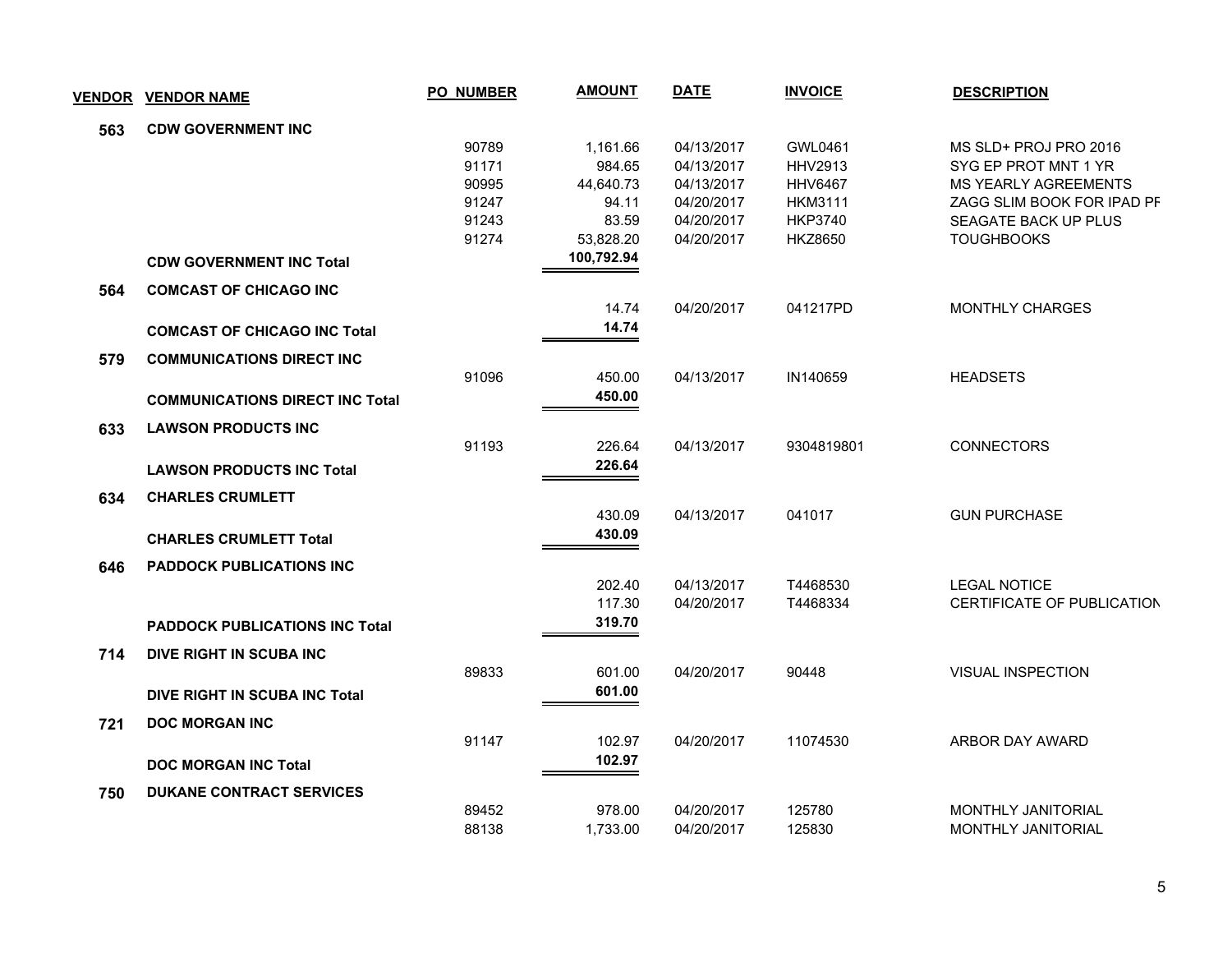| <b>VENDOR</b> | <b>VENDOR NAME</b>                     | <b>PO NUMBER</b> | <b>AMOUNT</b>      | <b>DATE</b> | <b>INVOICE</b>                   | <b>DESCRIPTION</b>                |
|---------------|----------------------------------------|------------------|--------------------|-------------|----------------------------------|-----------------------------------|
| 563           | <b>CDW GOVERNMENT INC</b>              |                  |                    |             |                                  |                                   |
|               |                                        | 90789            | 1,161.66           | 04/13/2017  | GWL0461                          | MS SLD+ PROJ PRO 2016             |
|               |                                        | 91171            | 984.65             | 04/13/2017  | <b>HHV2913</b>                   | SYG EP PROT MNT 1 YR              |
|               |                                        | 90995            | 44,640.73          | 04/13/2017  | <b>HHV6467</b>                   | <b>MS YEARLY AGREEMENTS</b>       |
|               |                                        | 91247            | 94.11              | 04/20/2017  | <b>HKM3111</b>                   | ZAGG SLIM BOOK FOR IPAD PF        |
|               |                                        | 91243<br>91274   | 83.59<br>53,828.20 | 04/20/2017  | <b>HKP3740</b><br><b>HKZ8650</b> | SEAGATE BACK UP PLUS              |
|               |                                        |                  | 100,792.94         | 04/20/2017  |                                  | <b>TOUGHBOOKS</b>                 |
|               | <b>CDW GOVERNMENT INC Total</b>        |                  |                    |             |                                  |                                   |
| 564           | <b>COMCAST OF CHICAGO INC</b>          |                  |                    |             |                                  |                                   |
|               |                                        |                  | 14.74              | 04/20/2017  | 041217PD                         | MONTHLY CHARGES                   |
|               | <b>COMCAST OF CHICAGO INC Total</b>    |                  | 14.74              |             |                                  |                                   |
| 579           | <b>COMMUNICATIONS DIRECT INC</b>       |                  |                    |             |                                  |                                   |
|               |                                        | 91096            | 450.00             | 04/13/2017  | IN140659                         | <b>HEADSETS</b>                   |
|               | <b>COMMUNICATIONS DIRECT INC Total</b> |                  | 450.00             |             |                                  |                                   |
| 633           | <b>LAWSON PRODUCTS INC</b>             |                  |                    |             |                                  |                                   |
|               |                                        | 91193            | 226.64             | 04/13/2017  | 9304819801                       | <b>CONNECTORS</b>                 |
|               | <b>LAWSON PRODUCTS INC Total</b>       |                  | 226.64             |             |                                  |                                   |
|               |                                        |                  |                    |             |                                  |                                   |
| 634           | <b>CHARLES CRUMLETT</b>                |                  | 430.09             | 04/13/2017  | 041017                           | <b>GUN PURCHASE</b>               |
|               |                                        |                  | 430.09             |             |                                  |                                   |
|               | <b>CHARLES CRUMLETT Total</b>          |                  |                    |             |                                  |                                   |
| 646           | PADDOCK PUBLICATIONS INC               |                  |                    |             |                                  |                                   |
|               |                                        |                  | 202.40             | 04/13/2017  | T4468530                         | <b>LEGAL NOTICE</b>               |
|               |                                        |                  | 117.30<br>319.70   | 04/20/2017  | T4468334                         | <b>CERTIFICATE OF PUBLICATION</b> |
|               | <b>PADDOCK PUBLICATIONS INC Total</b>  |                  |                    |             |                                  |                                   |
| 714           | DIVE RIGHT IN SCUBA INC                |                  |                    |             |                                  |                                   |
|               |                                        | 89833            | 601.00             | 04/20/2017  | 90448                            | VISUAL INSPECTION                 |
|               | DIVE RIGHT IN SCUBA INC Total          |                  | 601.00             |             |                                  |                                   |
| 721           | <b>DOC MORGAN INC</b>                  |                  |                    |             |                                  |                                   |
|               |                                        | 91147            | 102.97             | 04/20/2017  | 11074530                         | ARBOR DAY AWARD                   |
|               | <b>DOC MORGAN INC Total</b>            |                  | 102.97             |             |                                  |                                   |
| 750           | <b>DUKANE CONTRACT SERVICES</b>        |                  |                    |             |                                  |                                   |
|               |                                        | 89452            | 978.00             | 04/20/2017  | 125780                           | MONTHLY JANITORIAL                |
|               |                                        | 88138            | 1,733.00           | 04/20/2017  | 125830                           | MONTHLY JANITORIAL                |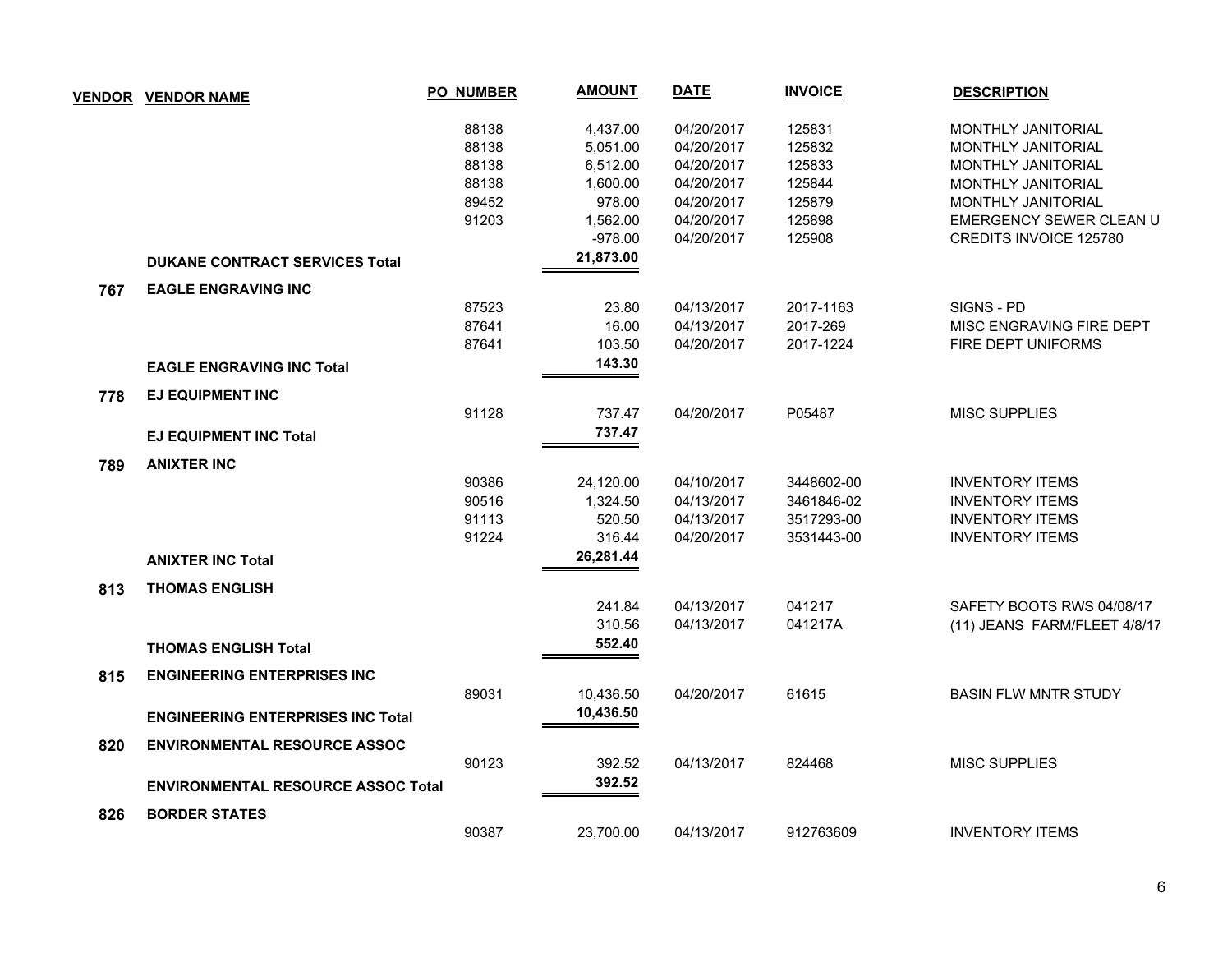|     | <b>VENDOR VENDOR NAME</b>                 | <b>PO_NUMBER</b> | <b>AMOUNT</b> | <b>DATE</b> | <b>INVOICE</b> | <b>DESCRIPTION</b>           |
|-----|-------------------------------------------|------------------|---------------|-------------|----------------|------------------------------|
|     |                                           | 88138            | 4,437.00      | 04/20/2017  | 125831         | <b>MONTHLY JANITORIAL</b>    |
|     |                                           | 88138            | 5,051.00      | 04/20/2017  | 125832         | MONTHLY JANITORIAL           |
|     |                                           | 88138            | 6,512.00      | 04/20/2017  | 125833         | <b>MONTHLY JANITORIAL</b>    |
|     |                                           | 88138            | 1,600.00      | 04/20/2017  | 125844         | MONTHLY JANITORIAL           |
|     |                                           | 89452            | 978.00        | 04/20/2017  | 125879         | MONTHLY JANITORIAL           |
|     |                                           | 91203            | 1,562.00      | 04/20/2017  | 125898         | EMERGENCY SEWER CLEAN U      |
|     |                                           |                  | $-978.00$     | 04/20/2017  | 125908         | CREDITS INVOICE 125780       |
|     | <b>DUKANE CONTRACT SERVICES Total</b>     |                  | 21,873.00     |             |                |                              |
| 767 | <b>EAGLE ENGRAVING INC</b>                |                  |               |             |                |                              |
|     |                                           | 87523            | 23.80         | 04/13/2017  | 2017-1163      | SIGNS - PD                   |
|     |                                           | 87641            | 16.00         | 04/13/2017  | 2017-269       | MISC ENGRAVING FIRE DEPT     |
|     |                                           | 87641            | 103.50        | 04/20/2017  | 2017-1224      | FIRE DEPT UNIFORMS           |
|     | <b>EAGLE ENGRAVING INC Total</b>          |                  | 143.30        |             |                |                              |
| 778 | <b>EJ EQUIPMENT INC</b>                   |                  |               |             |                |                              |
|     |                                           | 91128            | 737.47        | 04/20/2017  | P05487         | <b>MISC SUPPLIES</b>         |
|     | <b>EJ EQUIPMENT INC Total</b>             |                  | 737.47        |             |                |                              |
| 789 | <b>ANIXTER INC</b>                        |                  |               |             |                |                              |
|     |                                           | 90386            | 24,120.00     | 04/10/2017  | 3448602-00     | <b>INVENTORY ITEMS</b>       |
|     |                                           | 90516            | 1,324.50      | 04/13/2017  | 3461846-02     | <b>INVENTORY ITEMS</b>       |
|     |                                           | 91113            | 520.50        | 04/13/2017  | 3517293-00     | <b>INVENTORY ITEMS</b>       |
|     |                                           | 91224            | 316.44        | 04/20/2017  | 3531443-00     | <b>INVENTORY ITEMS</b>       |
|     | <b>ANIXTER INC Total</b>                  |                  | 26,281.44     |             |                |                              |
| 813 | <b>THOMAS ENGLISH</b>                     |                  |               |             |                |                              |
|     |                                           |                  | 241.84        | 04/13/2017  | 041217         | SAFETY BOOTS RWS 04/08/17    |
|     |                                           |                  | 310.56        | 04/13/2017  | 041217A        | (11) JEANS FARM/FLEET 4/8/17 |
|     | <b>THOMAS ENGLISH Total</b>               |                  | 552.40        |             |                |                              |
| 815 | <b>ENGINEERING ENTERPRISES INC</b>        |                  |               |             |                |                              |
|     |                                           | 89031            | 10,436.50     | 04/20/2017  | 61615          | <b>BASIN FLW MNTR STUDY</b>  |
|     | <b>ENGINEERING ENTERPRISES INC Total</b>  |                  | 10,436.50     |             |                |                              |
| 820 | <b>ENVIRONMENTAL RESOURCE ASSOC</b>       |                  |               |             |                |                              |
|     |                                           | 90123            | 392.52        | 04/13/2017  | 824468         | <b>MISC SUPPLIES</b>         |
|     | <b>ENVIRONMENTAL RESOURCE ASSOC Total</b> |                  | 392.52        |             |                |                              |
| 826 | <b>BORDER STATES</b>                      |                  |               |             |                |                              |
|     |                                           | 90387            | 23,700.00     | 04/13/2017  | 912763609      | <b>INVENTORY ITEMS</b>       |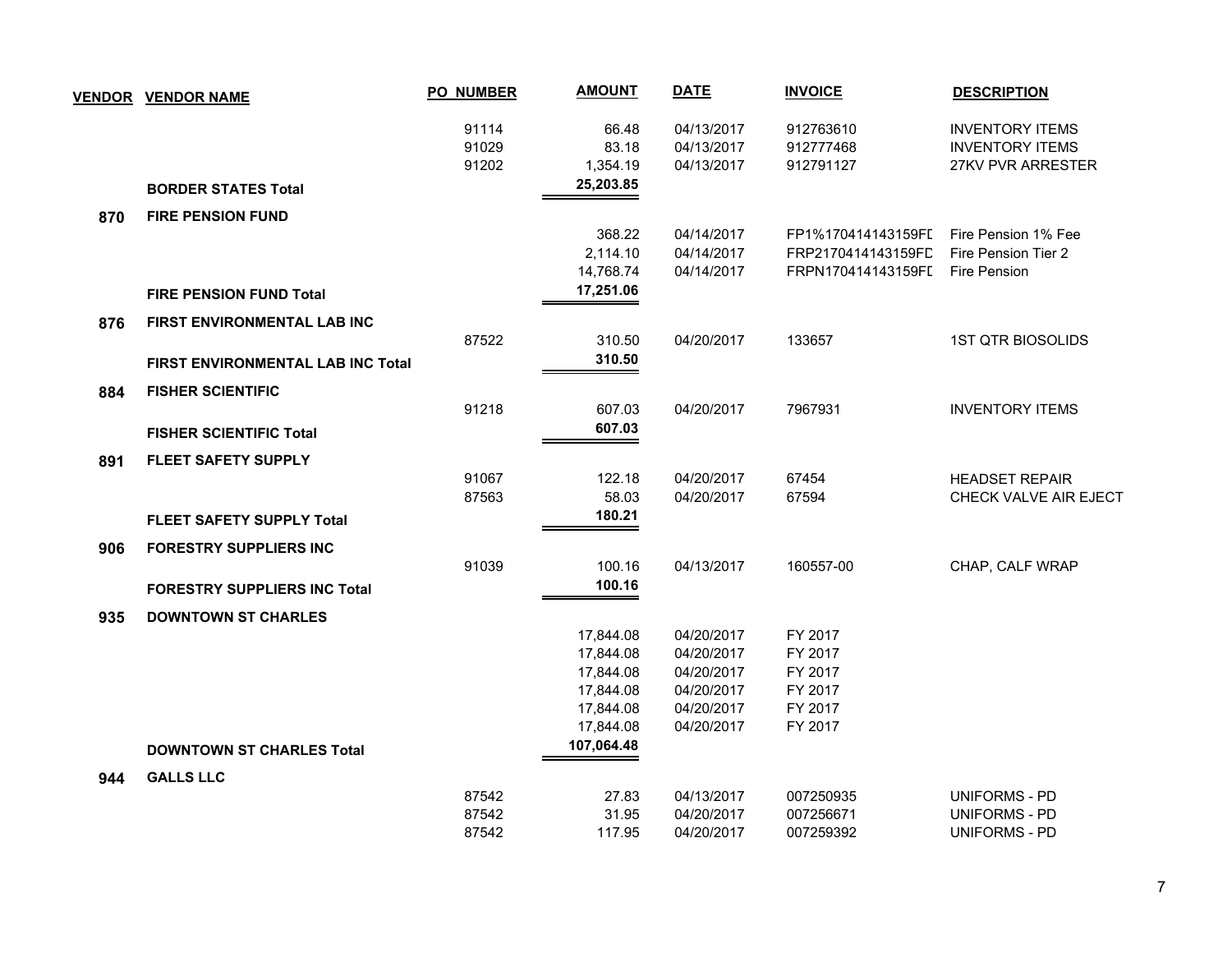|     | <b>VENDOR VENDOR NAME</b>                | <b>PO_NUMBER</b> | <b>AMOUNT</b> | <b>DATE</b> | <b>INVOICE</b>     | <b>DESCRIPTION</b>       |
|-----|------------------------------------------|------------------|---------------|-------------|--------------------|--------------------------|
|     |                                          | 91114            | 66.48         | 04/13/2017  | 912763610          | <b>INVENTORY ITEMS</b>   |
|     |                                          | 91029            | 83.18         | 04/13/2017  | 912777468          | <b>INVENTORY ITEMS</b>   |
|     |                                          | 91202            | 1,354.19      | 04/13/2017  | 912791127          | 27KV PVR ARRESTER        |
|     | <b>BORDER STATES Total</b>               |                  | 25,203.85     |             |                    |                          |
| 870 | <b>FIRE PENSION FUND</b>                 |                  |               |             |                    |                          |
|     |                                          |                  | 368.22        | 04/14/2017  | FP1%170414143159FI | Fire Pension 1% Fee      |
|     |                                          |                  | 2,114.10      | 04/14/2017  | FRP2170414143159FD | Fire Pension Tier 2      |
|     |                                          |                  | 14,768.74     | 04/14/2017  | FRPN170414143159FL | Fire Pension             |
|     | <b>FIRE PENSION FUND Total</b>           |                  | 17,251.06     |             |                    |                          |
| 876 | FIRST ENVIRONMENTAL LAB INC              |                  |               |             |                    |                          |
|     |                                          | 87522            | 310.50        | 04/20/2017  | 133657             | <b>1ST QTR BIOSOLIDS</b> |
|     | <b>FIRST ENVIRONMENTAL LAB INC Total</b> |                  | 310.50        |             |                    |                          |
| 884 | <b>FISHER SCIENTIFIC</b>                 |                  |               |             |                    |                          |
|     |                                          | 91218            | 607.03        | 04/20/2017  | 7967931            | <b>INVENTORY ITEMS</b>   |
|     | <b>FISHER SCIENTIFIC Total</b>           |                  | 607.03        |             |                    |                          |
| 891 | <b>FLEET SAFETY SUPPLY</b>               |                  |               |             |                    |                          |
|     |                                          | 91067            | 122.18        | 04/20/2017  | 67454              | <b>HEADSET REPAIR</b>    |
|     |                                          | 87563            | 58.03         | 04/20/2017  | 67594              | CHECK VALVE AIR EJECT    |
|     | <b>FLEET SAFETY SUPPLY Total</b>         |                  | 180.21        |             |                    |                          |
| 906 | <b>FORESTRY SUPPLIERS INC</b>            |                  |               |             |                    |                          |
|     |                                          | 91039            | 100.16        | 04/13/2017  | 160557-00          | CHAP, CALF WRAP          |
|     | <b>FORESTRY SUPPLIERS INC Total</b>      |                  | 100.16        |             |                    |                          |
| 935 | <b>DOWNTOWN ST CHARLES</b>               |                  |               |             |                    |                          |
|     |                                          |                  | 17,844.08     | 04/20/2017  | FY 2017            |                          |
|     |                                          |                  | 17,844.08     | 04/20/2017  | FY 2017            |                          |
|     |                                          |                  | 17,844.08     | 04/20/2017  | FY 2017            |                          |
|     |                                          |                  | 17,844.08     | 04/20/2017  | FY 2017            |                          |
|     |                                          |                  | 17,844.08     | 04/20/2017  | FY 2017            |                          |
|     |                                          |                  | 17,844.08     | 04/20/2017  | FY 2017            |                          |
|     | <b>DOWNTOWN ST CHARLES Total</b>         |                  | 107,064.48    |             |                    |                          |
| 944 | <b>GALLS LLC</b>                         |                  |               |             |                    |                          |
|     |                                          | 87542            | 27.83         | 04/13/2017  | 007250935          | <b>UNIFORMS - PD</b>     |
|     |                                          | 87542            | 31.95         | 04/20/2017  | 007256671          | UNIFORMS - PD            |
|     |                                          | 87542            | 117.95        | 04/20/2017  | 007259392          | <b>UNIFORMS - PD</b>     |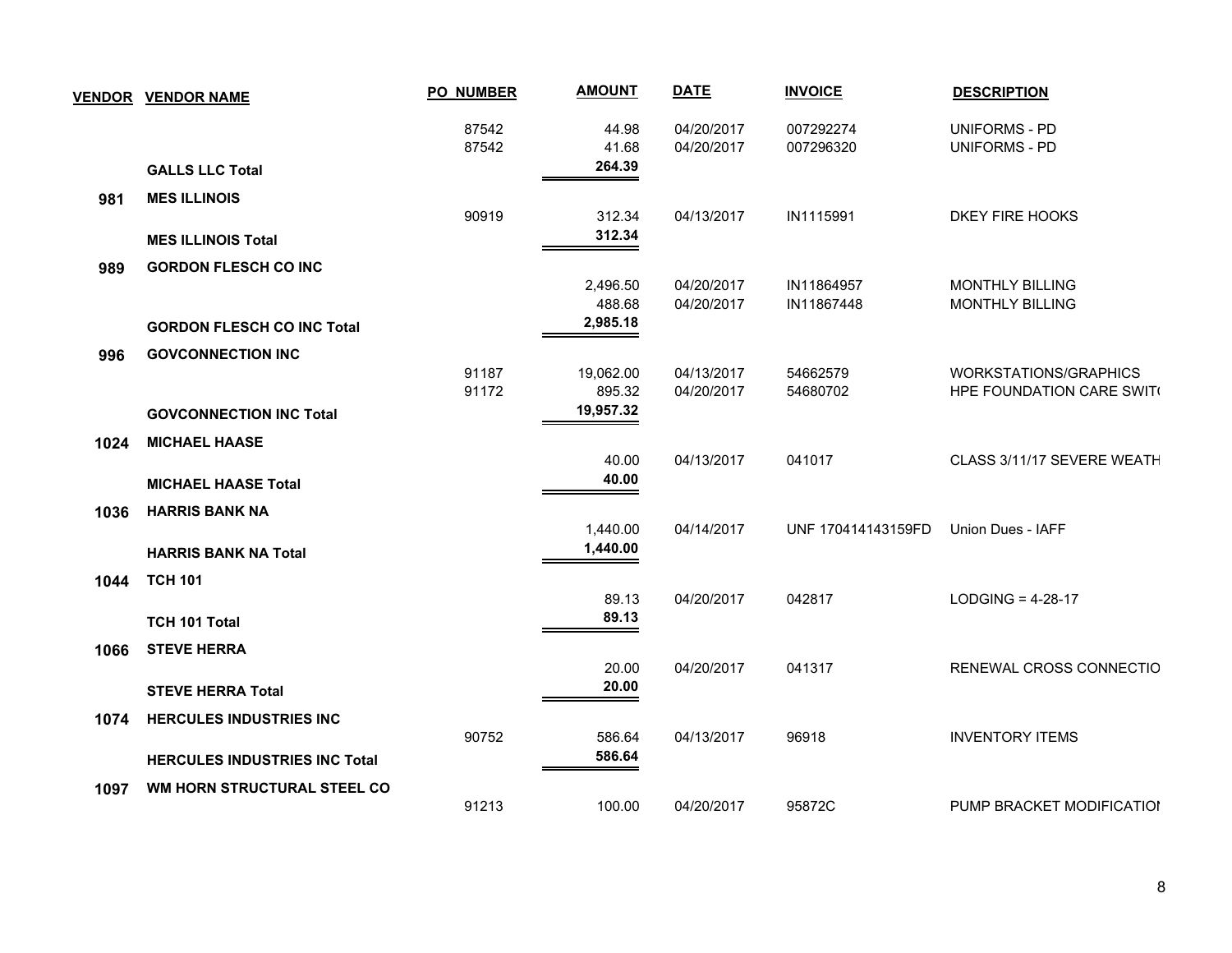| <b>VENDOR</b> | <b>VENDOR NAME</b>                   | <b>PO_NUMBER</b> | <b>AMOUNT</b>            | <b>DATE</b>              | <b>INVOICE</b>           | <b>DESCRIPTION</b>                               |
|---------------|--------------------------------------|------------------|--------------------------|--------------------------|--------------------------|--------------------------------------------------|
|               |                                      | 87542<br>87542   | 44.98<br>41.68<br>264.39 | 04/20/2017<br>04/20/2017 | 007292274<br>007296320   | <b>UNIFORMS - PD</b><br><b>UNIFORMS - PD</b>     |
|               | <b>GALLS LLC Total</b>               |                  |                          |                          |                          |                                                  |
| 981           | <b>MES ILLINOIS</b>                  | 90919            | 312.34                   | 04/13/2017               | IN1115991                | DKEY FIRE HOOKS                                  |
|               | <b>MES ILLINOIS Total</b>            |                  | 312.34                   |                          |                          |                                                  |
| 989           | <b>GORDON FLESCH CO INC</b>          |                  |                          |                          |                          |                                                  |
|               |                                      |                  | 2,496.50<br>488.68       | 04/20/2017<br>04/20/2017 | IN11864957<br>IN11867448 | <b>MONTHLY BILLING</b><br><b>MONTHLY BILLING</b> |
|               | <b>GORDON FLESCH CO INC Total</b>    |                  | 2,985.18                 |                          |                          |                                                  |
| 996           | <b>GOVCONNECTION INC</b>             | 91187            | 19,062.00                | 04/13/2017               | 54662579                 | <b>WORKSTATIONS/GRAPHICS</b>                     |
|               | <b>GOVCONNECTION INC Total</b>       | 91172            | 895.32<br>19,957.32      | 04/20/2017               | 54680702                 | HPE FOUNDATION CARE SWIT(                        |
| 1024          | <b>MICHAEL HAASE</b>                 |                  |                          |                          |                          |                                                  |
|               | <b>MICHAEL HAASE Total</b>           |                  | 40.00<br>40.00           | 04/13/2017               | 041017                   | CLASS 3/11/17 SEVERE WEATH                       |
| 1036          | <b>HARRIS BANK NA</b>                |                  | 1,440.00                 | 04/14/2017               | UNF 170414143159FD       | Union Dues - IAFF                                |
|               | <b>HARRIS BANK NA Total</b>          |                  | 1,440.00                 |                          |                          |                                                  |
| 1044          | <b>TCH 101</b>                       |                  | 89.13                    | 04/20/2017               | 042817                   | LODGING = $4-28-17$                              |
|               | TCH 101 Total                        |                  | 89.13                    |                          |                          |                                                  |
| 1066          | <b>STEVE HERRA</b>                   |                  | 20.00                    | 04/20/2017               | 041317                   | RENEWAL CROSS CONNECTIO                          |
|               | <b>STEVE HERRA Total</b>             |                  | 20.00                    |                          |                          |                                                  |
| 1074          | <b>HERCULES INDUSTRIES INC</b>       | 90752            | 586.64                   | 04/13/2017               | 96918                    | <b>INVENTORY ITEMS</b>                           |
|               | <b>HERCULES INDUSTRIES INC Total</b> |                  | 586.64                   |                          |                          |                                                  |
| 1097          | WM HORN STRUCTURAL STEEL CO          |                  |                          |                          |                          |                                                  |
|               |                                      | 91213            | 100.00                   | 04/20/2017               | 95872C                   | PUMP BRACKET MODIFICATION                        |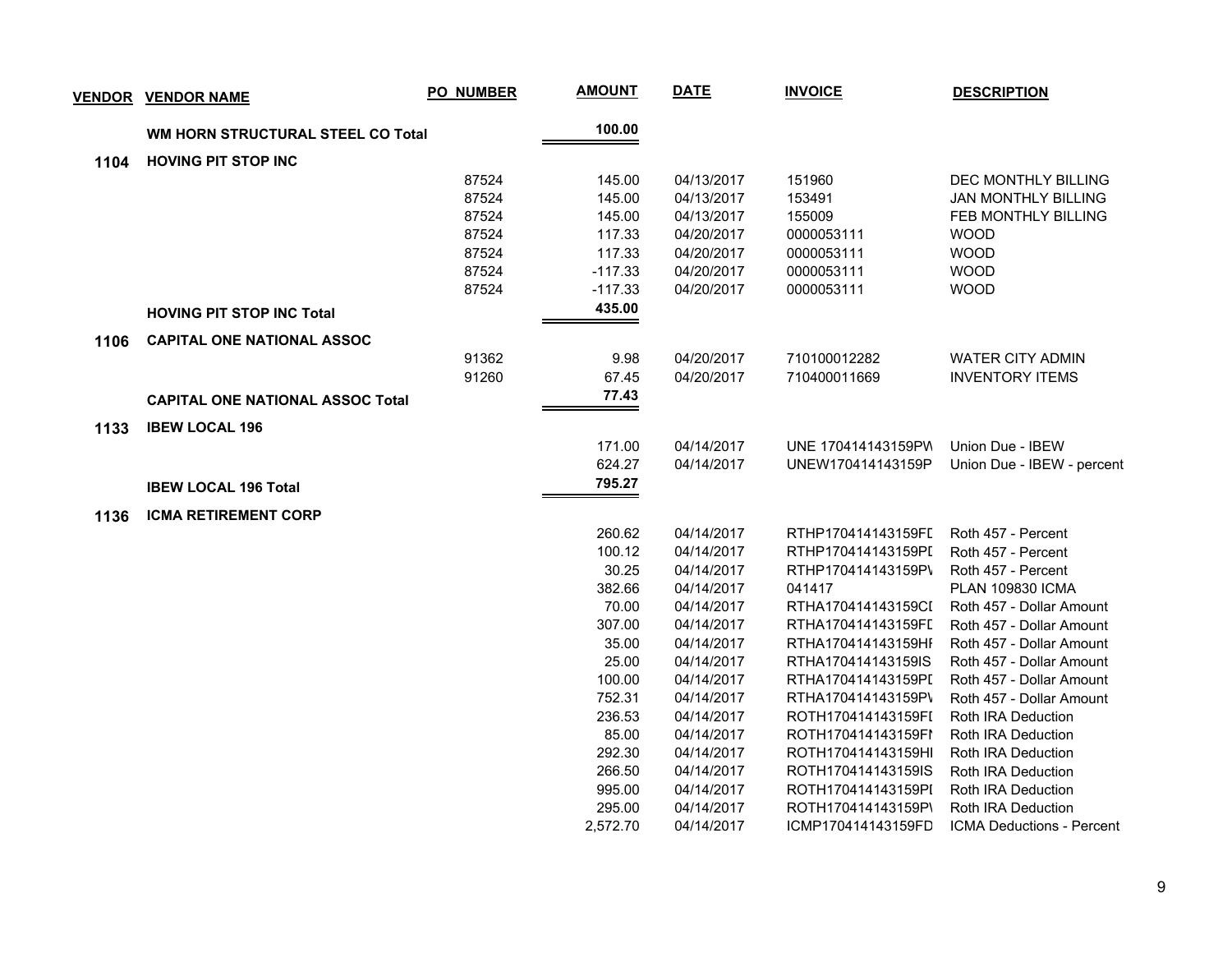|      | <b>VENDOR VENDOR NAME</b>                | <b>PO_NUMBER</b> | <b>AMOUNT</b> | <b>DATE</b> | <b>INVOICE</b>     | <b>DESCRIPTION</b>         |
|------|------------------------------------------|------------------|---------------|-------------|--------------------|----------------------------|
|      | <b>WM HORN STRUCTURAL STEEL CO Total</b> |                  | 100.00        |             |                    |                            |
| 1104 | <b>HOVING PIT STOP INC</b>               |                  |               |             |                    |                            |
|      |                                          | 87524            | 145.00        | 04/13/2017  | 151960             | DEC MONTHLY BILLING        |
|      |                                          | 87524            | 145.00        | 04/13/2017  | 153491             | <b>JAN MONTHLY BILLING</b> |
|      |                                          | 87524            | 145.00        | 04/13/2017  | 155009             | <b>FEB MONTHLY BILLING</b> |
|      |                                          | 87524            | 117.33        | 04/20/2017  | 0000053111         | <b>WOOD</b>                |
|      |                                          | 87524            | 117.33        | 04/20/2017  | 0000053111         | <b>WOOD</b>                |
|      |                                          | 87524            | $-117.33$     | 04/20/2017  | 0000053111         | <b>WOOD</b>                |
|      |                                          | 87524            | $-117.33$     | 04/20/2017  | 0000053111         | <b>WOOD</b>                |
|      | <b>HOVING PIT STOP INC Total</b>         |                  | 435.00        |             |                    |                            |
| 1106 | <b>CAPITAL ONE NATIONAL ASSOC</b>        |                  |               |             |                    |                            |
|      |                                          | 91362            | 9.98          | 04/20/2017  | 710100012282       | <b>WATER CITY ADMIN</b>    |
|      |                                          | 91260            | 67.45         | 04/20/2017  | 710400011669       | <b>INVENTORY ITEMS</b>     |
|      | <b>CAPITAL ONE NATIONAL ASSOC Total</b>  |                  | 77.43         |             |                    |                            |
| 1133 | <b>IBEW LOCAL 196</b>                    |                  |               |             |                    |                            |
|      |                                          |                  | 171.00        | 04/14/2017  | UNE 170414143159PW | Union Due - IBEW           |
|      |                                          |                  | 624.27        | 04/14/2017  | UNEW170414143159P  | Union Due - IBEW - percent |
|      | <b>IBEW LOCAL 196 Total</b>              |                  | 795.27        |             |                    |                            |
| 1136 | <b>ICMA RETIREMENT CORP</b>              |                  |               |             |                    |                            |
|      |                                          |                  | 260.62        | 04/14/2017  | RTHP170414143159FL | Roth 457 - Percent         |
|      |                                          |                  | 100.12        | 04/14/2017  | RTHP170414143159PI | Roth 457 - Percent         |
|      |                                          |                  | 30.25         | 04/14/2017  | RTHP170414143159P\ | Roth 457 - Percent         |
|      |                                          |                  | 382.66        | 04/14/2017  | 041417             | <b>PLAN 109830 ICMA</b>    |
|      |                                          |                  | 70.00         | 04/14/2017  | RTHA170414143159CI | Roth 457 - Dollar Amount   |
|      |                                          |                  | 307.00        | 04/14/2017  | RTHA170414143159FI | Roth 457 - Dollar Amount   |
|      |                                          |                  | 35.00         | 04/14/2017  | RTHA170414143159HI | Roth 457 - Dollar Amount   |
|      |                                          |                  | 25.00         | 04/14/2017  | RTHA170414143159IS | Roth 457 - Dollar Amount   |
|      |                                          |                  | 100.00        | 04/14/2017  | RTHA170414143159PI | Roth 457 - Dollar Amount   |
|      |                                          |                  | 752.31        | 04/14/2017  | RTHA170414143159P\ | Roth 457 - Dollar Amount   |
|      |                                          |                  | 236.53        | 04/14/2017  | ROTH170414143159FI | Roth IRA Deduction         |
|      |                                          |                  | 85.00         | 04/14/2017  | ROTH170414143159FI | Roth IRA Deduction         |
|      |                                          |                  | 292.30        | 04/14/2017  | ROTH170414143159HI | Roth IRA Deduction         |
|      |                                          |                  | 266.50        | 04/14/2017  | ROTH170414143159IS | Roth IRA Deduction         |
|      |                                          |                  | 995.00        | 04/14/2017  | ROTH170414143159PI | Roth IRA Deduction         |
|      |                                          |                  | 295.00        | 04/14/2017  | ROTH170414143159P\ | Roth IRA Deduction         |
|      |                                          |                  | 2,572.70      | 04/14/2017  | ICMP170414143159FD | ICMA Deductions - Percent  |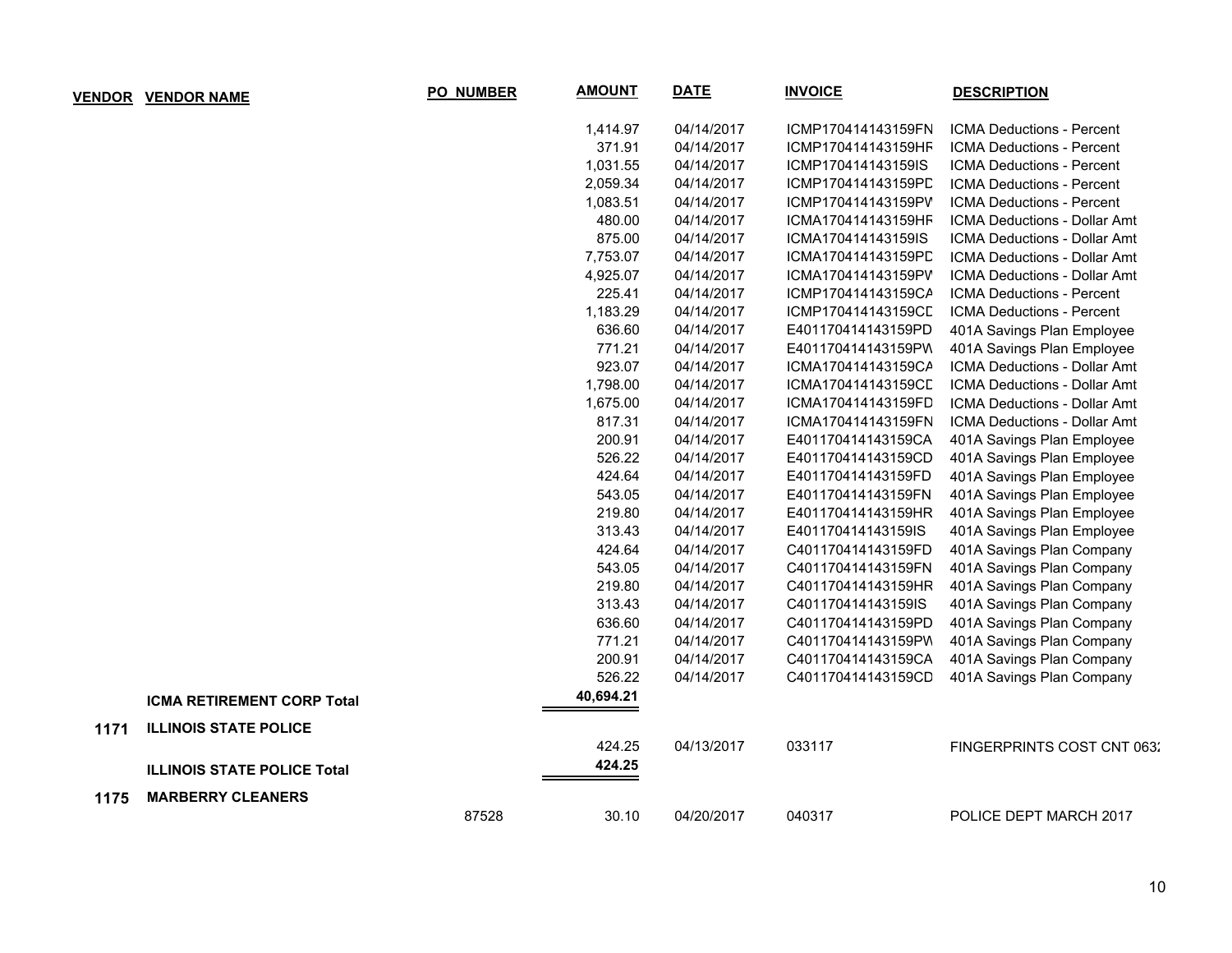| <b>VENDOR</b> | <b>VENDOR NAME</b>                 | PO_NUMBER | <b>AMOUNT</b> | <b>DATE</b> | <b>INVOICE</b>     | <b>DESCRIPTION</b>                  |
|---------------|------------------------------------|-----------|---------------|-------------|--------------------|-------------------------------------|
|               |                                    |           | 1,414.97      | 04/14/2017  | ICMP170414143159FN | <b>ICMA Deductions - Percent</b>    |
|               |                                    |           | 371.91        | 04/14/2017  | ICMP170414143159HF | ICMA Deductions - Percent           |
|               |                                    |           | 1,031.55      | 04/14/2017  | ICMP170414143159IS | ICMA Deductions - Percent           |
|               |                                    |           | 2,059.34      | 04/14/2017  | ICMP170414143159PD | <b>ICMA Deductions - Percent</b>    |
|               |                                    |           | 1,083.51      | 04/14/2017  | ICMP170414143159PV | ICMA Deductions - Percent           |
|               |                                    |           | 480.00        | 04/14/2017  | ICMA170414143159HF | <b>ICMA Deductions - Dollar Amt</b> |
|               |                                    |           | 875.00        | 04/14/2017  | ICMA170414143159IS | ICMA Deductions - Dollar Amt        |
|               |                                    |           | 7,753.07      | 04/14/2017  | ICMA170414143159PD | ICMA Deductions - Dollar Amt        |
|               |                                    |           | 4,925.07      | 04/14/2017  | ICMA170414143159PV | ICMA Deductions - Dollar Amt        |
|               |                                    |           | 225.41        | 04/14/2017  | ICMP170414143159CA | ICMA Deductions - Percent           |
|               |                                    |           | 1,183.29      | 04/14/2017  | ICMP170414143159CL | ICMA Deductions - Percent           |
|               |                                    |           | 636.60        | 04/14/2017  | E401170414143159PD | 401A Savings Plan Employee          |
|               |                                    |           | 771.21        | 04/14/2017  | E401170414143159PW | 401A Savings Plan Employee          |
|               |                                    |           | 923.07        | 04/14/2017  | ICMA170414143159CA | ICMA Deductions - Dollar Amt        |
|               |                                    |           | 1,798.00      | 04/14/2017  | ICMA170414143159CL | ICMA Deductions - Dollar Amt        |
|               |                                    |           | 1,675.00      | 04/14/2017  | ICMA170414143159FD | ICMA Deductions - Dollar Amt        |
|               |                                    |           | 817.31        | 04/14/2017  | ICMA170414143159FN | ICMA Deductions - Dollar Amt        |
|               |                                    |           | 200.91        | 04/14/2017  | E401170414143159CA | 401A Savings Plan Employee          |
|               |                                    |           | 526.22        | 04/14/2017  | E401170414143159CD | 401A Savings Plan Employee          |
|               |                                    |           | 424.64        | 04/14/2017  | E401170414143159FD | 401A Savings Plan Employee          |
|               |                                    |           | 543.05        | 04/14/2017  | E401170414143159FN | 401A Savings Plan Employee          |
|               |                                    |           | 219.80        | 04/14/2017  | E401170414143159HR | 401A Savings Plan Employee          |
|               |                                    |           | 313.43        | 04/14/2017  | E401170414143159IS | 401A Savings Plan Employee          |
|               |                                    |           | 424.64        | 04/14/2017  | C401170414143159FD | 401A Savings Plan Company           |
|               |                                    |           | 543.05        | 04/14/2017  | C401170414143159FN | 401A Savings Plan Company           |
|               |                                    |           | 219.80        | 04/14/2017  | C401170414143159HR | 401A Savings Plan Company           |
|               |                                    |           | 313.43        | 04/14/2017  | C401170414143159IS | 401A Savings Plan Company           |
|               |                                    |           | 636.60        | 04/14/2017  | C401170414143159PD | 401A Savings Plan Company           |
|               |                                    |           | 771.21        | 04/14/2017  | C401170414143159PW | 401A Savings Plan Company           |
|               |                                    |           | 200.91        | 04/14/2017  | C401170414143159CA | 401A Savings Plan Company           |
|               |                                    |           | 526.22        | 04/14/2017  | C401170414143159CD | 401A Savings Plan Company           |
|               | <b>ICMA RETIREMENT CORP Total</b>  |           | 40,694.21     |             |                    |                                     |
| 1171          | <b>ILLINOIS STATE POLICE</b>       |           |               |             |                    |                                     |
|               |                                    |           | 424.25        | 04/13/2017  | 033117             | FINGERPRINTS COST CNT 0632          |
|               | <b>ILLINOIS STATE POLICE Total</b> |           | 424.25        |             |                    |                                     |
| 1175          | <b>MARBERRY CLEANERS</b>           |           |               |             |                    |                                     |
|               |                                    | 87528     | 30.10         | 04/20/2017  | 040317             | POLICE DEPT MARCH 2017              |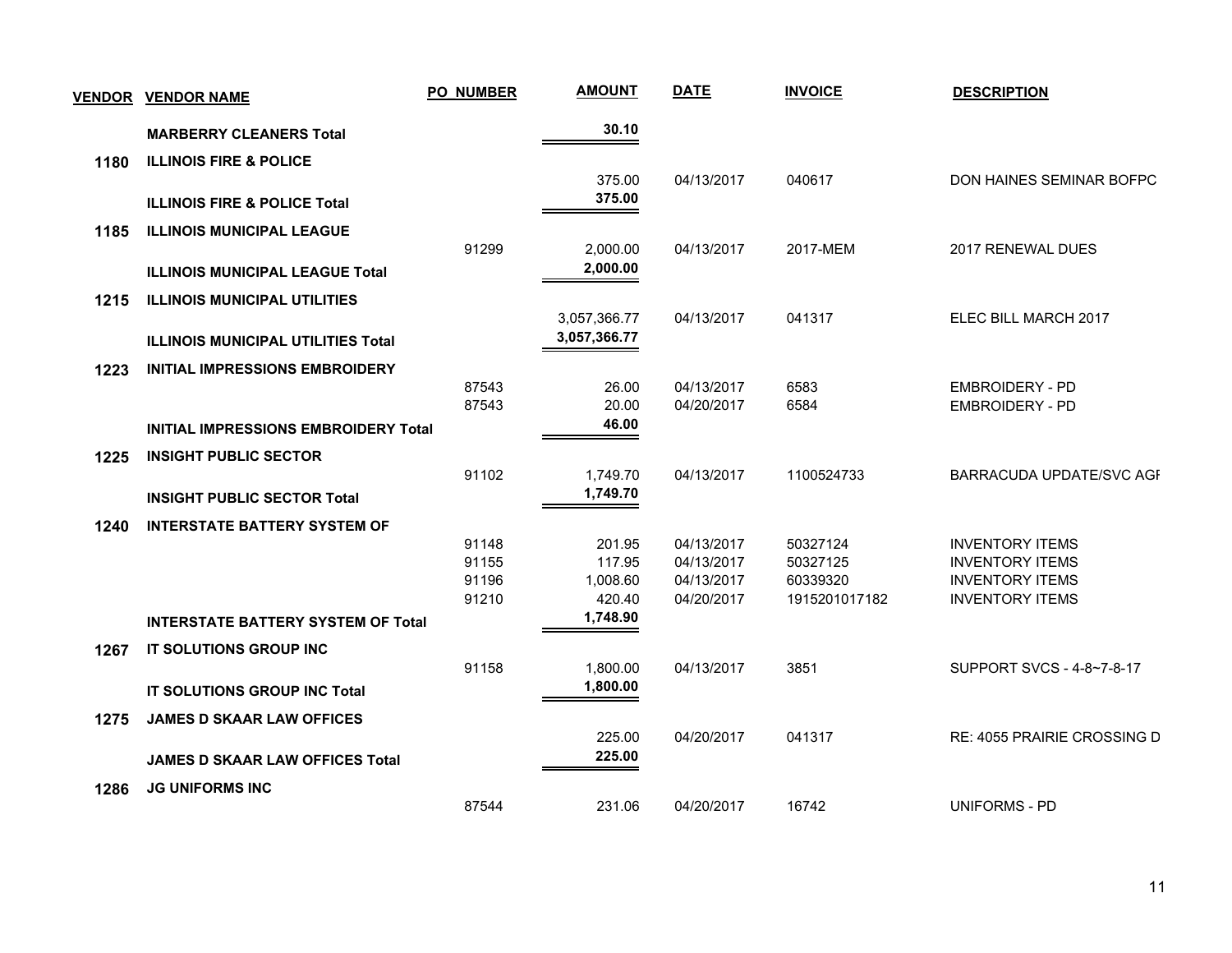| <b>VENDOR</b> | <b>VENDOR NAME</b>                          | <b>PO_NUMBER</b> | <b>AMOUNT</b> | <b>DATE</b> | <b>INVOICE</b> | <b>DESCRIPTION</b>          |
|---------------|---------------------------------------------|------------------|---------------|-------------|----------------|-----------------------------|
|               | <b>MARBERRY CLEANERS Total</b>              |                  | 30.10         |             |                |                             |
| 1180          | <b>ILLINOIS FIRE &amp; POLICE</b>           |                  |               |             |                |                             |
|               |                                             |                  | 375.00        | 04/13/2017  | 040617         | DON HAINES SEMINAR BOFPC    |
|               | <b>ILLINOIS FIRE &amp; POLICE Total</b>     |                  | 375.00        |             |                |                             |
| 1185          | <b>ILLINOIS MUNICIPAL LEAGUE</b>            |                  |               |             |                |                             |
|               |                                             | 91299            | 2,000.00      | 04/13/2017  | 2017-MEM       | 2017 RENEWAL DUES           |
|               | <b>ILLINOIS MUNICIPAL LEAGUE Total</b>      |                  | 2,000.00      |             |                |                             |
| 1215          | <b>ILLINOIS MUNICIPAL UTILITIES</b>         |                  |               |             |                |                             |
|               |                                             |                  | 3,057,366.77  | 04/13/2017  | 041317         | ELEC BILL MARCH 2017        |
|               | <b>ILLINOIS MUNICIPAL UTILITIES Total</b>   |                  | 3,057,366.77  |             |                |                             |
| 1223          | <b>INITIAL IMPRESSIONS EMBROIDERY</b>       |                  |               |             |                |                             |
|               |                                             | 87543            | 26.00         | 04/13/2017  | 6583           | <b>EMBROIDERY - PD</b>      |
|               |                                             | 87543            | 20.00         | 04/20/2017  | 6584           | <b>EMBROIDERY - PD</b>      |
|               | <b>INITIAL IMPRESSIONS EMBROIDERY Total</b> |                  | 46.00         |             |                |                             |
| 1225          | <b>INSIGHT PUBLIC SECTOR</b>                |                  |               |             |                |                             |
|               |                                             | 91102            | 1,749.70      | 04/13/2017  | 1100524733     | BARRACUDA UPDATE/SVC AGF    |
|               | <b>INSIGHT PUBLIC SECTOR Total</b>          |                  | 1,749.70      |             |                |                             |
| 1240          | <b>INTERSTATE BATTERY SYSTEM OF</b>         |                  |               |             |                |                             |
|               |                                             | 91148            | 201.95        | 04/13/2017  | 50327124       | <b>INVENTORY ITEMS</b>      |
|               |                                             | 91155            | 117.95        | 04/13/2017  | 50327125       | <b>INVENTORY ITEMS</b>      |
|               |                                             | 91196            | 1,008.60      | 04/13/2017  | 60339320       | <b>INVENTORY ITEMS</b>      |
|               |                                             | 91210            | 420.40        | 04/20/2017  | 1915201017182  | <b>INVENTORY ITEMS</b>      |
|               | <b>INTERSTATE BATTERY SYSTEM OF Total</b>   |                  | 1,748.90      |             |                |                             |
| 1267          | IT SOLUTIONS GROUP INC                      |                  |               |             |                |                             |
|               |                                             | 91158            | 1,800.00      | 04/13/2017  | 3851           | SUPPORT SVCS - 4-8~7-8-17   |
|               | IT SOLUTIONS GROUP INC Total                |                  | 1,800.00      |             |                |                             |
| 1275          | <b>JAMES D SKAAR LAW OFFICES</b>            |                  |               |             |                |                             |
|               |                                             |                  | 225.00        | 04/20/2017  | 041317         | RE: 4055 PRAIRIE CROSSING D |
|               | <b>JAMES D SKAAR LAW OFFICES Total</b>      |                  | 225.00        |             |                |                             |
| 1286          | <b>JG UNIFORMS INC</b>                      |                  |               |             |                |                             |
|               |                                             | 87544            | 231.06        | 04/20/2017  | 16742          | UNIFORMS - PD               |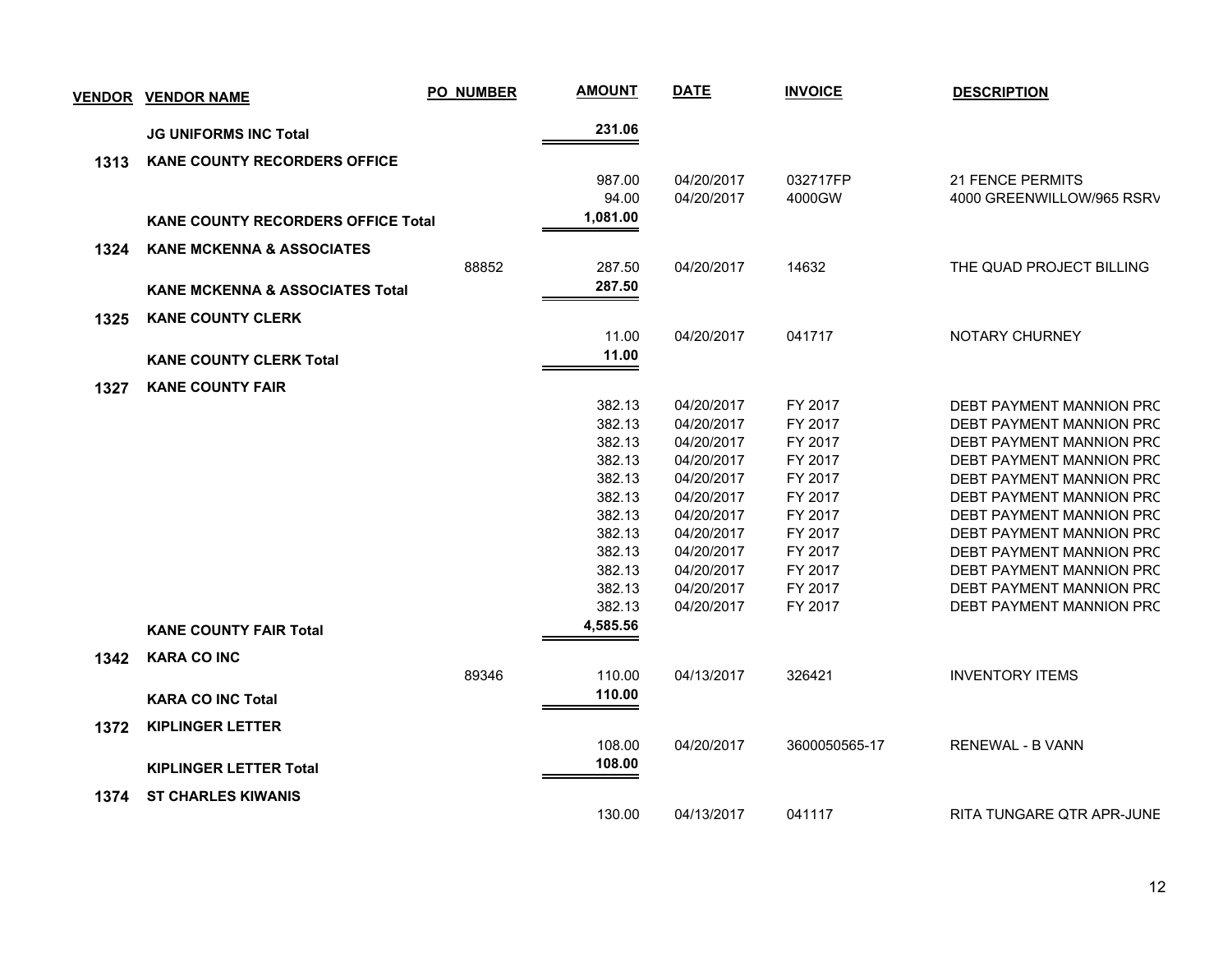| VENDOR | <b>VENDOR NAME</b>                         | <b>PO_NUMBER</b> | <b>AMOUNT</b> | <b>DATE</b> | <b>INVOICE</b> | <b>DESCRIPTION</b>        |
|--------|--------------------------------------------|------------------|---------------|-------------|----------------|---------------------------|
|        | <b>JG UNIFORMS INC Total</b>               |                  | 231.06        |             |                |                           |
| 1313   | <b>KANE COUNTY RECORDERS OFFICE</b>        |                  |               |             |                |                           |
|        |                                            |                  | 987.00        | 04/20/2017  | 032717FP       | <b>21 FENCE PERMITS</b>   |
|        |                                            |                  | 94.00         | 04/20/2017  | 4000GW         | 4000 GREENWILLOW/965 RSRV |
|        | <b>KANE COUNTY RECORDERS OFFICE Total</b>  |                  | 1,081.00      |             |                |                           |
|        | <b>KANE MCKENNA &amp; ASSOCIATES</b>       |                  |               |             |                |                           |
| 1324   |                                            | 88852            | 287.50        | 04/20/2017  | 14632          | THE QUAD PROJECT BILLING  |
|        |                                            |                  | 287.50        |             |                |                           |
|        | <b>KANE MCKENNA &amp; ASSOCIATES Total</b> |                  |               |             |                |                           |
| 1325   | <b>KANE COUNTY CLERK</b>                   |                  |               |             |                |                           |
|        |                                            |                  | 11.00         | 04/20/2017  | 041717         | NOTARY CHURNEY            |
|        | <b>KANE COUNTY CLERK Total</b>             |                  | 11.00         |             |                |                           |
| 1327   | <b>KANE COUNTY FAIR</b>                    |                  |               |             |                |                           |
|        |                                            |                  | 382.13        | 04/20/2017  | FY 2017        | DEBT PAYMENT MANNION PRC  |
|        |                                            |                  | 382.13        | 04/20/2017  | FY 2017        | DEBT PAYMENT MANNION PRC  |
|        |                                            |                  | 382.13        | 04/20/2017  | FY 2017        | DEBT PAYMENT MANNION PRC  |
|        |                                            |                  | 382.13        | 04/20/2017  | FY 2017        | DEBT PAYMENT MANNION PRC  |
|        |                                            |                  | 382.13        | 04/20/2017  | FY 2017        | DEBT PAYMENT MANNION PRC  |
|        |                                            |                  | 382.13        | 04/20/2017  | FY 2017        | DEBT PAYMENT MANNION PRC  |
|        |                                            |                  | 382.13        | 04/20/2017  | FY 2017        | DEBT PAYMENT MANNION PRC  |
|        |                                            |                  | 382.13        | 04/20/2017  | FY 2017        | DEBT PAYMENT MANNION PRC  |
|        |                                            |                  | 382.13        | 04/20/2017  | FY 2017        | DEBT PAYMENT MANNION PRC  |
|        |                                            |                  | 382.13        | 04/20/2017  | FY 2017        | DEBT PAYMENT MANNION PRC  |
|        |                                            |                  | 382.13        | 04/20/2017  | FY 2017        | DEBT PAYMENT MANNION PRC  |
|        |                                            |                  | 382.13        | 04/20/2017  | FY 2017        | DEBT PAYMENT MANNION PRC  |
|        | <b>KANE COUNTY FAIR Total</b>              |                  | 4,585.56      |             |                |                           |
| 1342   | <b>KARA CO INC</b>                         |                  |               |             |                |                           |
|        |                                            | 89346            | 110.00        | 04/13/2017  | 326421         | <b>INVENTORY ITEMS</b>    |
|        | <b>KARA CO INC Total</b>                   |                  | 110.00        |             |                |                           |
|        |                                            |                  |               |             |                |                           |
| 1372   | <b>KIPLINGER LETTER</b>                    |                  |               |             |                |                           |
|        |                                            |                  | 108.00        | 04/20/2017  | 3600050565-17  | <b>RENEWAL - B VANN</b>   |
|        | <b>KIPLINGER LETTER Total</b>              |                  | 108.00        |             |                |                           |
| 1374   | <b>ST CHARLES KIWANIS</b>                  |                  |               |             |                |                           |
|        |                                            |                  | 130.00        | 04/13/2017  | 041117         | RITA TUNGARE QTR APR-JUNE |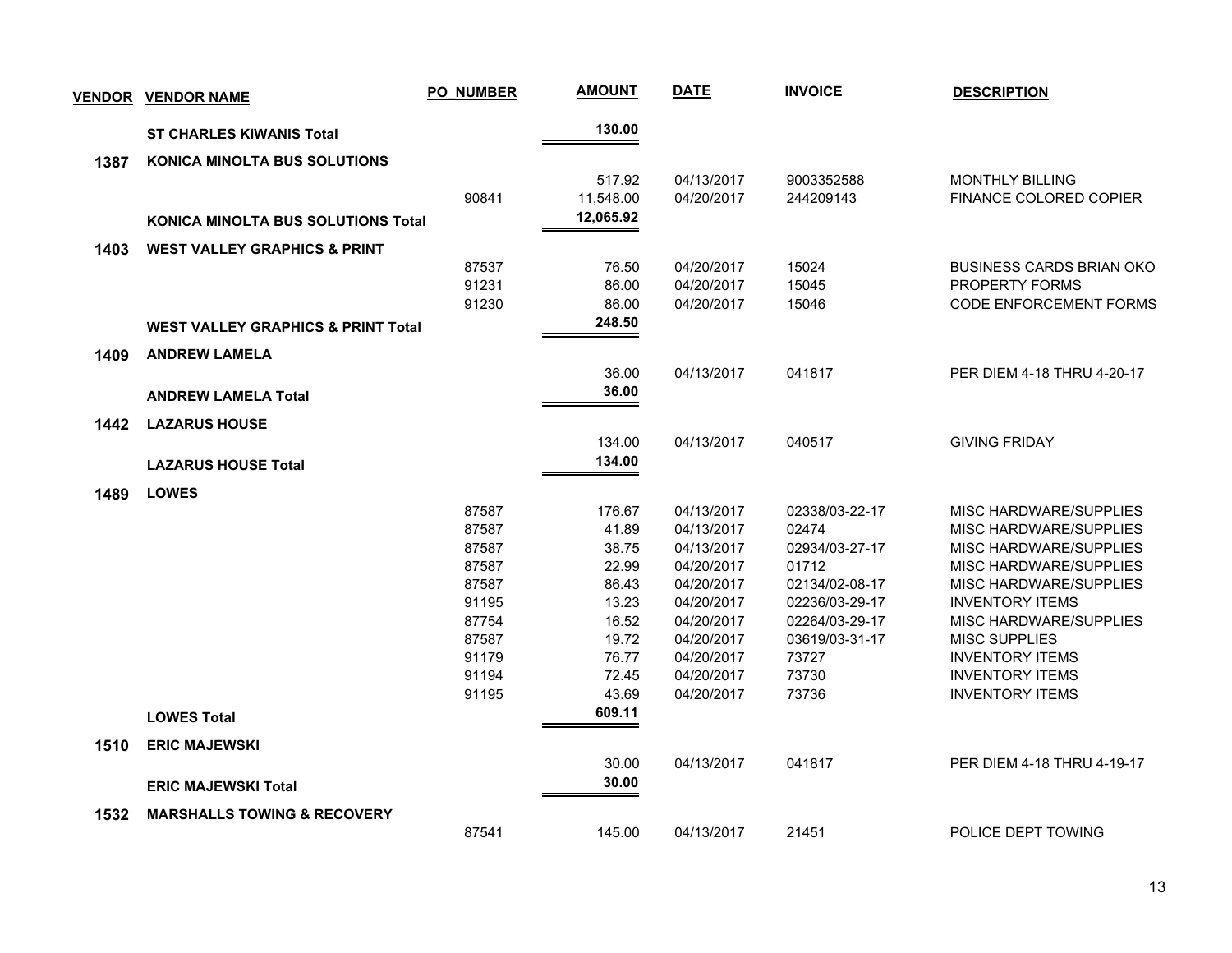| <b>VENDOR</b> | <b>VENDOR NAME</b>                            | <b>PO_NUMBER</b> | <b>AMOUNT</b> | <b>DATE</b> | <b>INVOICE</b> | <b>DESCRIPTION</b>              |
|---------------|-----------------------------------------------|------------------|---------------|-------------|----------------|---------------------------------|
|               | <b>ST CHARLES KIWANIS Total</b>               |                  | 130.00        |             |                |                                 |
| 1387          | <b>KONICA MINOLTA BUS SOLUTIONS</b>           |                  |               |             |                |                                 |
|               |                                               |                  | 517.92        | 04/13/2017  | 9003352588     | <b>MONTHLY BILLING</b>          |
|               |                                               | 90841            | 11,548.00     | 04/20/2017  | 244209143      | FINANCE COLORED COPIER          |
|               | <b>KONICA MINOLTA BUS SOLUTIONS Total</b>     |                  | 12,065.92     |             |                |                                 |
| 1403          | <b>WEST VALLEY GRAPHICS &amp; PRINT</b>       |                  |               |             |                |                                 |
|               |                                               | 87537            | 76.50         | 04/20/2017  | 15024          | <b>BUSINESS CARDS BRIAN OKO</b> |
|               |                                               | 91231            | 86.00         | 04/20/2017  | 15045          | PROPERTY FORMS                  |
|               |                                               | 91230            | 86.00         | 04/20/2017  | 15046          | <b>CODE ENFORCEMENT FORMS</b>   |
|               | <b>WEST VALLEY GRAPHICS &amp; PRINT Total</b> |                  | 248.50        |             |                |                                 |
| 1409          | <b>ANDREW LAMELA</b>                          |                  |               |             |                |                                 |
|               |                                               |                  | 36.00         | 04/13/2017  | 041817         | PER DIEM 4-18 THRU 4-20-17      |
|               | <b>ANDREW LAMELA Total</b>                    |                  | 36.00         |             |                |                                 |
| 1442          | <b>LAZARUS HOUSE</b>                          |                  |               |             |                |                                 |
|               |                                               |                  | 134.00        | 04/13/2017  | 040517         | <b>GIVING FRIDAY</b>            |
|               | <b>LAZARUS HOUSE Total</b>                    |                  | 134.00        |             |                |                                 |
| 1489          | <b>LOWES</b>                                  |                  |               |             |                |                                 |
|               |                                               | 87587            | 176.67        | 04/13/2017  | 02338/03-22-17 | <b>MISC HARDWARE/SUPPLIES</b>   |
|               |                                               | 87587            | 41.89         | 04/13/2017  | 02474          | MISC HARDWARE/SUPPLIES          |
|               |                                               | 87587            | 38.75         | 04/13/2017  | 02934/03-27-17 | MISC HARDWARE/SUPPLIES          |
|               |                                               | 87587            | 22.99         | 04/20/2017  | 01712          | MISC HARDWARE/SUPPLIES          |
|               |                                               | 87587            | 86.43         | 04/20/2017  | 02134/02-08-17 | MISC HARDWARE/SUPPLIES          |
|               |                                               | 91195            | 13.23         | 04/20/2017  | 02236/03-29-17 | <b>INVENTORY ITEMS</b>          |
|               |                                               | 87754            | 16.52         | 04/20/2017  | 02264/03-29-17 | <b>MISC HARDWARE/SUPPLIES</b>   |
|               |                                               | 87587            | 19.72         | 04/20/2017  | 03619/03-31-17 | <b>MISC SUPPLIES</b>            |
|               |                                               | 91179            | 76.77         | 04/20/2017  | 73727          | <b>INVENTORY ITEMS</b>          |
|               |                                               | 91194            | 72.45         | 04/20/2017  | 73730          | <b>INVENTORY ITEMS</b>          |
|               |                                               | 91195            | 43.69         | 04/20/2017  | 73736          | <b>INVENTORY ITEMS</b>          |
|               | <b>LOWES Total</b>                            |                  | 609.11        |             |                |                                 |
| 1510          | <b>ERIC MAJEWSKI</b>                          |                  |               |             |                |                                 |
|               |                                               |                  | 30.00         | 04/13/2017  | 041817         | PER DIEM 4-18 THRU 4-19-17      |
|               | <b>ERIC MAJEWSKI Total</b>                    |                  | 30.00         |             |                |                                 |
| 1532          | <b>MARSHALLS TOWING &amp; RECOVERY</b>        |                  |               |             |                |                                 |
|               |                                               | 87541            | 145.00        | 04/13/2017  | 21451          | POLICE DEPT TOWING              |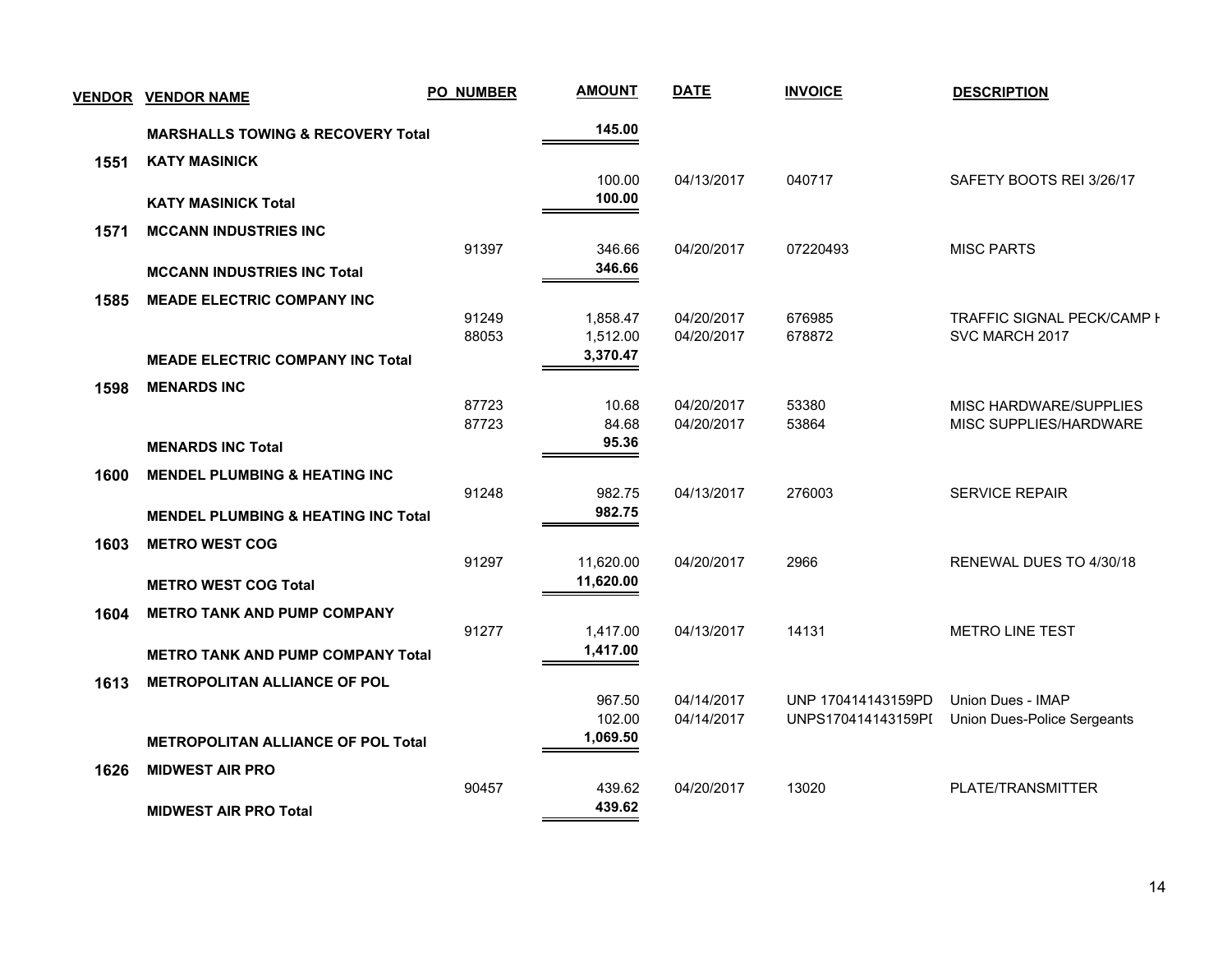| <b>VENDOR</b> | <b>VENDOR NAME</b>                             | <b>PO_NUMBER</b> | <b>AMOUNT</b>        | <b>DATE</b>              | <b>INVOICE</b>     | <b>DESCRIPTION</b>                           |
|---------------|------------------------------------------------|------------------|----------------------|--------------------------|--------------------|----------------------------------------------|
|               | <b>MARSHALLS TOWING &amp; RECOVERY Total</b>   |                  | 145.00               |                          |                    |                                              |
| 1551          | <b>KATY MASINICK</b>                           |                  |                      |                          |                    |                                              |
|               | <b>KATY MASINICK Total</b>                     |                  | 100.00<br>100.00     | 04/13/2017               | 040717             | SAFETY BOOTS REI 3/26/17                     |
| 1571          | <b>MCCANN INDUSTRIES INC</b>                   |                  |                      |                          |                    |                                              |
|               |                                                | 91397            | 346.66               | 04/20/2017               | 07220493           | <b>MISC PARTS</b>                            |
|               | <b>MCCANN INDUSTRIES INC Total</b>             |                  | 346.66               |                          |                    |                                              |
| 1585          | <b>MEADE ELECTRIC COMPANY INC</b>              |                  |                      |                          |                    |                                              |
|               |                                                | 91249<br>88053   | 1,858.47<br>1,512.00 | 04/20/2017<br>04/20/2017 | 676985<br>678872   | TRAFFIC SIGNAL PECK/CAMP I<br>SVC MARCH 2017 |
|               | <b>MEADE ELECTRIC COMPANY INC Total</b>        |                  | 3,370.47             |                          |                    |                                              |
|               |                                                |                  |                      |                          |                    |                                              |
| 1598          | <b>MENARDS INC</b>                             | 87723            | 10.68                | 04/20/2017               | 53380              | MISC HARDWARE/SUPPLIES                       |
|               |                                                | 87723            | 84.68                | 04/20/2017               | 53864              | MISC SUPPLIES/HARDWARE                       |
|               | <b>MENARDS INC Total</b>                       |                  | 95.36                |                          |                    |                                              |
| 1600          | <b>MENDEL PLUMBING &amp; HEATING INC</b>       |                  |                      |                          |                    |                                              |
|               |                                                | 91248            | 982.75               | 04/13/2017               | 276003             | <b>SERVICE REPAIR</b>                        |
|               | <b>MENDEL PLUMBING &amp; HEATING INC Total</b> |                  | 982.75               |                          |                    |                                              |
| 1603          | <b>METRO WEST COG</b>                          |                  |                      |                          |                    |                                              |
|               |                                                | 91297            | 11,620.00            | 04/20/2017               | 2966               | RENEWAL DUES TO 4/30/18                      |
|               | <b>METRO WEST COG Total</b>                    |                  | 11,620.00            |                          |                    |                                              |
| 1604          | <b>METRO TANK AND PUMP COMPANY</b>             |                  |                      |                          |                    |                                              |
|               |                                                | 91277            | 1,417.00<br>1,417.00 | 04/13/2017               | 14131              | <b>METRO LINE TEST</b>                       |
|               | <b>METRO TANK AND PUMP COMPANY Total</b>       |                  |                      |                          |                    |                                              |
| 1613          | <b>METROPOLITAN ALLIANCE OF POL</b>            |                  |                      | 04/14/2017               | UNP 170414143159PD | Union Dues - IMAP                            |
|               |                                                |                  | 967.50<br>102.00     | 04/14/2017               | UNPS170414143159PI | Union Dues-Police Sergeants                  |
|               | <b>METROPOLITAN ALLIANCE OF POL Total</b>      |                  | 1,069.50             |                          |                    |                                              |
| 1626          | <b>MIDWEST AIR PRO</b>                         |                  |                      |                          |                    |                                              |
|               |                                                | 90457            | 439.62               | 04/20/2017               | 13020              | PLATE/TRANSMITTER                            |
|               | <b>MIDWEST AIR PRO Total</b>                   |                  | 439.62               |                          |                    |                                              |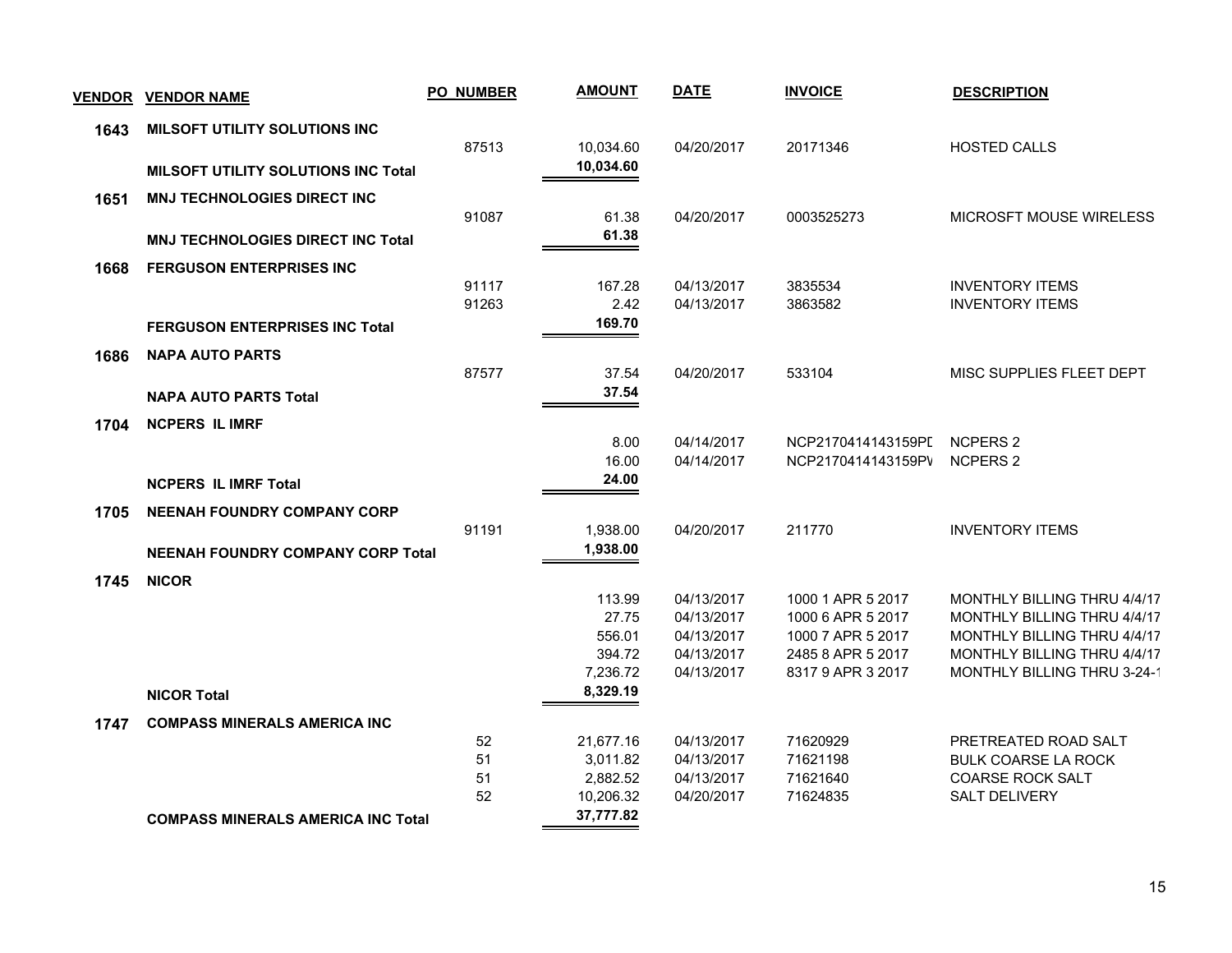| <u>VENDOR</u> | <b>VENDOR NAME</b>                         | <b>PO_NUMBER</b> | <b>AMOUNT</b>          | <b>DATE</b>              | <b>INVOICE</b>       | <b>DESCRIPTION</b>                              |
|---------------|--------------------------------------------|------------------|------------------------|--------------------------|----------------------|-------------------------------------------------|
| 1643          | MILSOFT UTILITY SOLUTIONS INC              |                  |                        |                          |                      |                                                 |
|               |                                            | 87513            | 10,034.60<br>10,034.60 | 04/20/2017               | 20171346             | <b>HOSTED CALLS</b>                             |
|               | <b>MILSOFT UTILITY SOLUTIONS INC Total</b> |                  |                        |                          |                      |                                                 |
| 1651          | <b>MNJ TECHNOLOGIES DIRECT INC</b>         | 91087            | 61.38                  | 04/20/2017               | 0003525273           | MICROSFT MOUSE WIRELESS                         |
|               | <b>MNJ TECHNOLOGIES DIRECT INC Total</b>   |                  | 61.38                  |                          |                      |                                                 |
|               | <b>FERGUSON ENTERPRISES INC</b>            |                  |                        |                          |                      |                                                 |
| 1668          |                                            | 91117            | 167.28                 | 04/13/2017               | 3835534              | <b>INVENTORY ITEMS</b>                          |
|               |                                            | 91263            | 2.42                   | 04/13/2017               | 3863582              | <b>INVENTORY ITEMS</b>                          |
|               | <b>FERGUSON ENTERPRISES INC Total</b>      |                  | 169.70                 |                          |                      |                                                 |
| 1686          | <b>NAPA AUTO PARTS</b>                     |                  |                        |                          |                      |                                                 |
|               |                                            | 87577            | 37.54                  | 04/20/2017               | 533104               | MISC SUPPLIES FLEET DEPT                        |
|               | <b>NAPA AUTO PARTS Total</b>               |                  | 37.54                  |                          |                      |                                                 |
| 1704          | <b>NCPERS IL IMRF</b>                      |                  |                        |                          |                      |                                                 |
|               |                                            |                  | 8.00                   | 04/14/2017               | NCP2170414143159PI   | <b>NCPERS 2</b>                                 |
|               |                                            |                  | 16.00                  | 04/14/2017               | NCP2170414143159PV   | NCPERS 2                                        |
|               | <b>NCPERS IL IMRF Total</b>                |                  | 24.00                  |                          |                      |                                                 |
| 1705          | <b>NEENAH FOUNDRY COMPANY CORP</b>         |                  |                        |                          |                      |                                                 |
|               |                                            | 91191            | 1,938.00               | 04/20/2017               | 211770               | <b>INVENTORY ITEMS</b>                          |
|               | NEENAH FOUNDRY COMPANY CORP Total          |                  | 1,938.00               |                          |                      |                                                 |
| 1745          | <b>NICOR</b>                               |                  |                        |                          |                      |                                                 |
|               |                                            |                  | 113.99                 | 04/13/2017               | 1000 1 APR 5 2017    | MONTHLY BILLING THRU 4/4/17                     |
|               |                                            |                  | 27.75                  | 04/13/2017               | 1000 6 APR 5 2017    | MONTHLY BILLING THRU 4/4/17                     |
|               |                                            |                  | 556.01                 | 04/13/2017               | 1000 7 APR 5 2017    | MONTHLY BILLING THRU 4/4/17                     |
|               |                                            |                  | 394.72                 | 04/13/2017               | 2485 8 APR 5 2017    | MONTHLY BILLING THRU 4/4/17                     |
|               |                                            |                  | 7,236.72<br>8,329.19   | 04/13/2017               | 8317 9 APR 3 2017    | MONTHLY BILLING THRU 3-24-1                     |
|               | <b>NICOR Total</b>                         |                  |                        |                          |                      |                                                 |
| 1747          | <b>COMPASS MINERALS AMERICA INC</b>        |                  |                        |                          |                      |                                                 |
|               |                                            | 52               | 21,677.16              | 04/13/2017               | 71620929             | PRETREATED ROAD SALT                            |
|               |                                            | 51               | 3,011.82               | 04/13/2017               | 71621198             | <b>BULK COARSE LA ROCK</b>                      |
|               |                                            | 51<br>52         | 2,882.52<br>10,206.32  | 04/13/2017<br>04/20/2017 | 71621640<br>71624835 | <b>COARSE ROCK SALT</b><br><b>SALT DELIVERY</b> |
|               |                                            |                  | 37,777.82              |                          |                      |                                                 |
|               | <b>COMPASS MINERALS AMERICA INC Total</b>  |                  |                        |                          |                      |                                                 |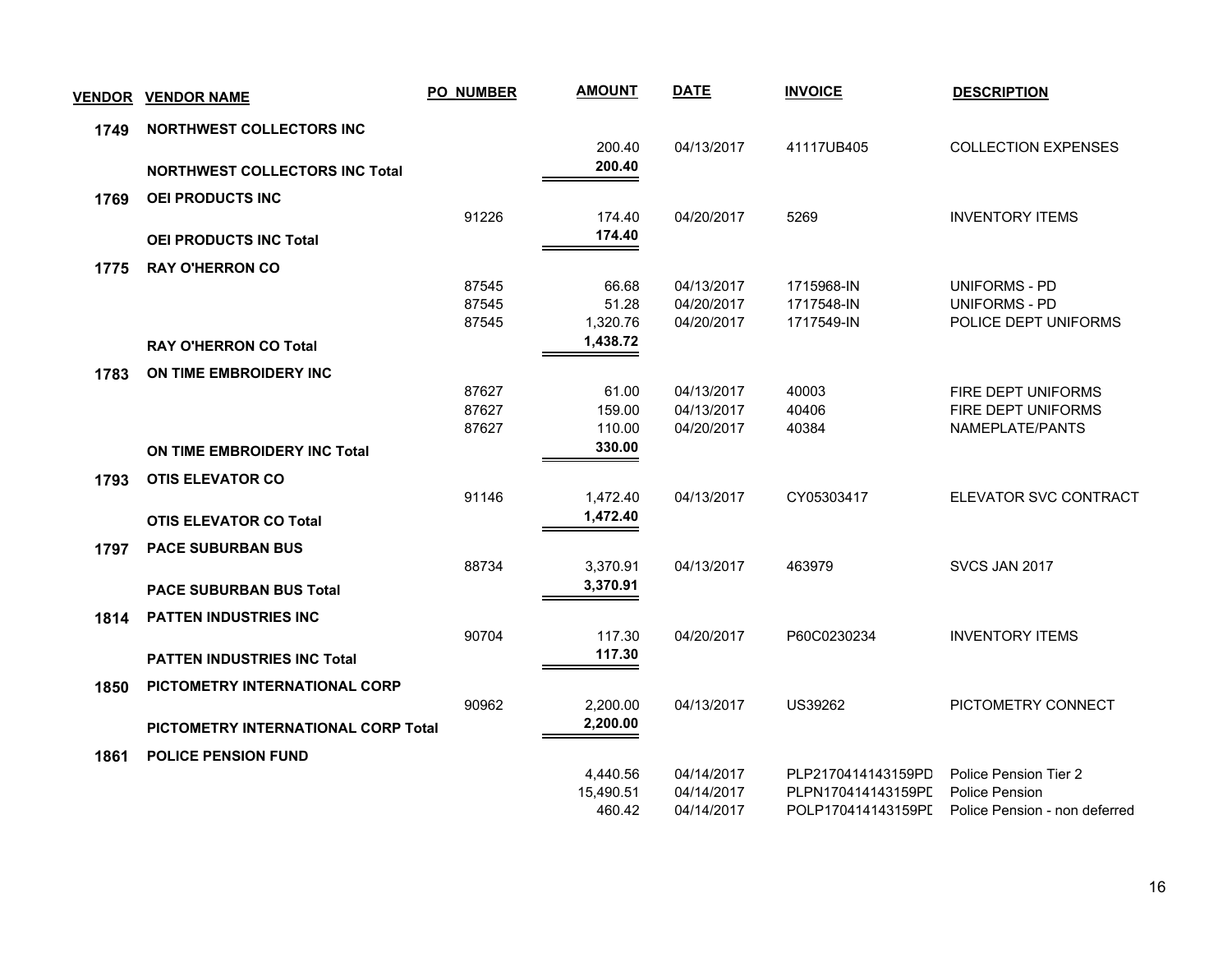| <b>VENDOR</b> | <b>VENDOR NAME</b>                    | <b>PO_NUMBER</b> | <b>AMOUNT</b> | <b>DATE</b> | <b>INVOICE</b>     | <b>DESCRIPTION</b>            |
|---------------|---------------------------------------|------------------|---------------|-------------|--------------------|-------------------------------|
| 1749          | NORTHWEST COLLECTORS INC              |                  |               |             |                    |                               |
|               |                                       |                  | 200.40        | 04/13/2017  | 41117UB405         | <b>COLLECTION EXPENSES</b>    |
|               | <b>NORTHWEST COLLECTORS INC Total</b> |                  | 200.40        |             |                    |                               |
| 1769          | <b>OEI PRODUCTS INC</b>               |                  |               |             |                    |                               |
|               |                                       | 91226            | 174.40        | 04/20/2017  | 5269               | <b>INVENTORY ITEMS</b>        |
|               | <b>OEI PRODUCTS INC Total</b>         |                  | 174.40        |             |                    |                               |
| 1775          | <b>RAY O'HERRON CO</b>                |                  |               |             |                    |                               |
|               |                                       | 87545            | 66.68         | 04/13/2017  | 1715968-IN         | UNIFORMS - PD                 |
|               |                                       | 87545            | 51.28         | 04/20/2017  | 1717548-IN         | <b>UNIFORMS - PD</b>          |
|               |                                       | 87545            | 1,320.76      | 04/20/2017  | 1717549-IN         | POLICE DEPT UNIFORMS          |
|               | <b>RAY O'HERRON CO Total</b>          |                  | 1,438.72      |             |                    |                               |
| 1783          | ON TIME EMBROIDERY INC                |                  |               |             |                    |                               |
|               |                                       | 87627            | 61.00         | 04/13/2017  | 40003              | FIRE DEPT UNIFORMS            |
|               |                                       | 87627            | 159.00        | 04/13/2017  | 40406              | FIRE DEPT UNIFORMS            |
|               |                                       | 87627            | 110.00        | 04/20/2017  | 40384              | NAMEPLATE/PANTS               |
|               | ON TIME EMBROIDERY INC Total          |                  | 330.00        |             |                    |                               |
| 1793          | <b>OTIS ELEVATOR CO</b>               |                  |               |             |                    |                               |
|               |                                       | 91146            | 1,472.40      | 04/13/2017  | CY05303417         | ELEVATOR SVC CONTRACT         |
|               | <b>OTIS ELEVATOR CO Total</b>         |                  | 1,472.40      |             |                    |                               |
| 1797          | <b>PACE SUBURBAN BUS</b>              |                  |               |             |                    |                               |
|               |                                       | 88734            | 3,370.91      | 04/13/2017  | 463979             | SVCS JAN 2017                 |
|               | <b>PACE SUBURBAN BUS Total</b>        |                  | 3,370.91      |             |                    |                               |
| 1814          | <b>PATTEN INDUSTRIES INC</b>          |                  |               |             |                    |                               |
|               |                                       | 90704            | 117.30        | 04/20/2017  | P60C0230234        | <b>INVENTORY ITEMS</b>        |
|               | <b>PATTEN INDUSTRIES INC Total</b>    |                  | 117.30        |             |                    |                               |
| 1850          | PICTOMETRY INTERNATIONAL CORP         |                  |               |             |                    |                               |
|               |                                       | 90962            | 2,200.00      | 04/13/2017  | US39262            | PICTOMETRY CONNECT            |
|               | PICTOMETRY INTERNATIONAL CORP Total   |                  | 2,200.00      |             |                    |                               |
| 1861          | <b>POLICE PENSION FUND</b>            |                  |               |             |                    |                               |
|               |                                       |                  | 4,440.56      | 04/14/2017  | PLP2170414143159PD | Police Pension Tier 2         |
|               |                                       |                  | 15,490.51     | 04/14/2017  | PLPN170414143159PL | Police Pension                |
|               |                                       |                  | 460.42        | 04/14/2017  | POLP170414143159PI | Police Pension - non deferred |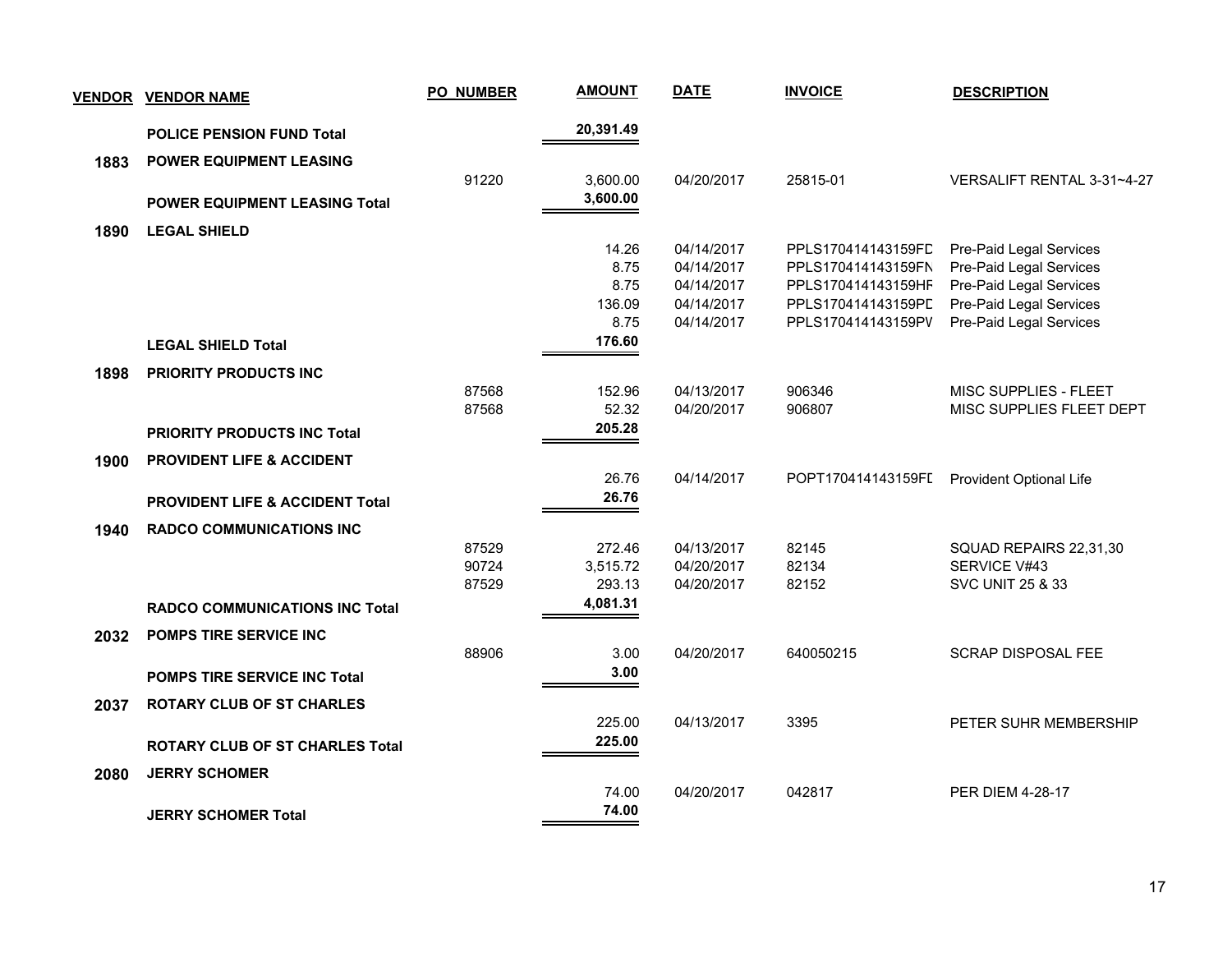| <u>VENDOR</u> | <u>VENDOR NAME</u>                         | <b>PO_NUMBER</b> | <b>AMOUNT</b>   | <b>DATE</b>              | <b>INVOICE</b>     | <b>DESCRIPTION</b>                                |
|---------------|--------------------------------------------|------------------|-----------------|--------------------------|--------------------|---------------------------------------------------|
|               | <b>POLICE PENSION FUND Total</b>           |                  | 20,391.49       |                          |                    |                                                   |
| 1883          | <b>POWER EQUIPMENT LEASING</b>             |                  |                 |                          |                    |                                                   |
|               |                                            | 91220            | 3,600.00        | 04/20/2017               | 25815-01           | VERSALIFT RENTAL 3-31~4-27                        |
|               | <b>POWER EQUIPMENT LEASING Total</b>       |                  | 3,600.00        |                          |                    |                                                   |
| 1890          | <b>LEGAL SHIELD</b>                        |                  |                 |                          |                    |                                                   |
|               |                                            |                  | 14.26           | 04/14/2017               | PPLS170414143159FC | Pre-Paid Legal Services                           |
|               |                                            |                  | 8.75            | 04/14/2017               | PPLS170414143159FN | Pre-Paid Legal Services                           |
|               |                                            |                  | 8.75            | 04/14/2017               | PPLS170414143159HF | Pre-Paid Legal Services                           |
|               |                                            |                  | 136.09<br>8.75  | 04/14/2017               | PPLS170414143159PD | Pre-Paid Legal Services                           |
|               |                                            |                  | 176.60          | 04/14/2017               | PPLS170414143159PV | Pre-Paid Legal Services                           |
|               | <b>LEGAL SHIELD Total</b>                  |                  |                 |                          |                    |                                                   |
| 1898          | <b>PRIORITY PRODUCTS INC</b>               |                  |                 |                          |                    |                                                   |
|               |                                            | 87568<br>87568   | 152.96<br>52.32 | 04/13/2017<br>04/20/2017 | 906346<br>906807   | MISC SUPPLIES - FLEET<br>MISC SUPPLIES FLEET DEPT |
|               |                                            |                  | 205.28          |                          |                    |                                                   |
|               | <b>PRIORITY PRODUCTS INC Total</b>         |                  |                 |                          |                    |                                                   |
| 1900          | <b>PROVIDENT LIFE &amp; ACCIDENT</b>       |                  |                 |                          |                    |                                                   |
|               |                                            |                  | 26.76           | 04/14/2017               | POPT170414143159FL | Provident Optional Life                           |
|               | <b>PROVIDENT LIFE &amp; ACCIDENT Total</b> |                  | 26.76           |                          |                    |                                                   |
| 1940          | <b>RADCO COMMUNICATIONS INC</b>            |                  |                 |                          |                    |                                                   |
|               |                                            | 87529            | 272.46          | 04/13/2017               | 82145              | SQUAD REPAIRS 22,31,30                            |
|               |                                            | 90724            | 3,515.72        | 04/20/2017               | 82134              | SERVICE V#43                                      |
|               |                                            | 87529            | 293.13          | 04/20/2017               | 82152              | <b>SVC UNIT 25 &amp; 33</b>                       |
|               | <b>RADCO COMMUNICATIONS INC Total</b>      |                  | 4,081.31        |                          |                    |                                                   |
| 2032          | POMPS TIRE SERVICE INC                     |                  |                 |                          |                    |                                                   |
|               |                                            | 88906            | 3.00            | 04/20/2017               | 640050215          | <b>SCRAP DISPOSAL FEE</b>                         |
|               | <b>POMPS TIRE SERVICE INC Total</b>        |                  | 3.00            |                          |                    |                                                   |
| 2037          | <b>ROTARY CLUB OF ST CHARLES</b>           |                  |                 |                          |                    |                                                   |
|               |                                            |                  | 225.00          | 04/13/2017               | 3395               | PETER SUHR MEMBERSHIP                             |
|               | <b>ROTARY CLUB OF ST CHARLES Total</b>     |                  | 225.00          |                          |                    |                                                   |
| 2080          | <b>JERRY SCHOMER</b>                       |                  |                 |                          |                    |                                                   |
|               |                                            |                  | 74.00           | 04/20/2017               | 042817             | <b>PER DIEM 4-28-17</b>                           |
|               | <b>JERRY SCHOMER Total</b>                 |                  | 74.00           |                          |                    |                                                   |
|               |                                            |                  |                 |                          |                    |                                                   |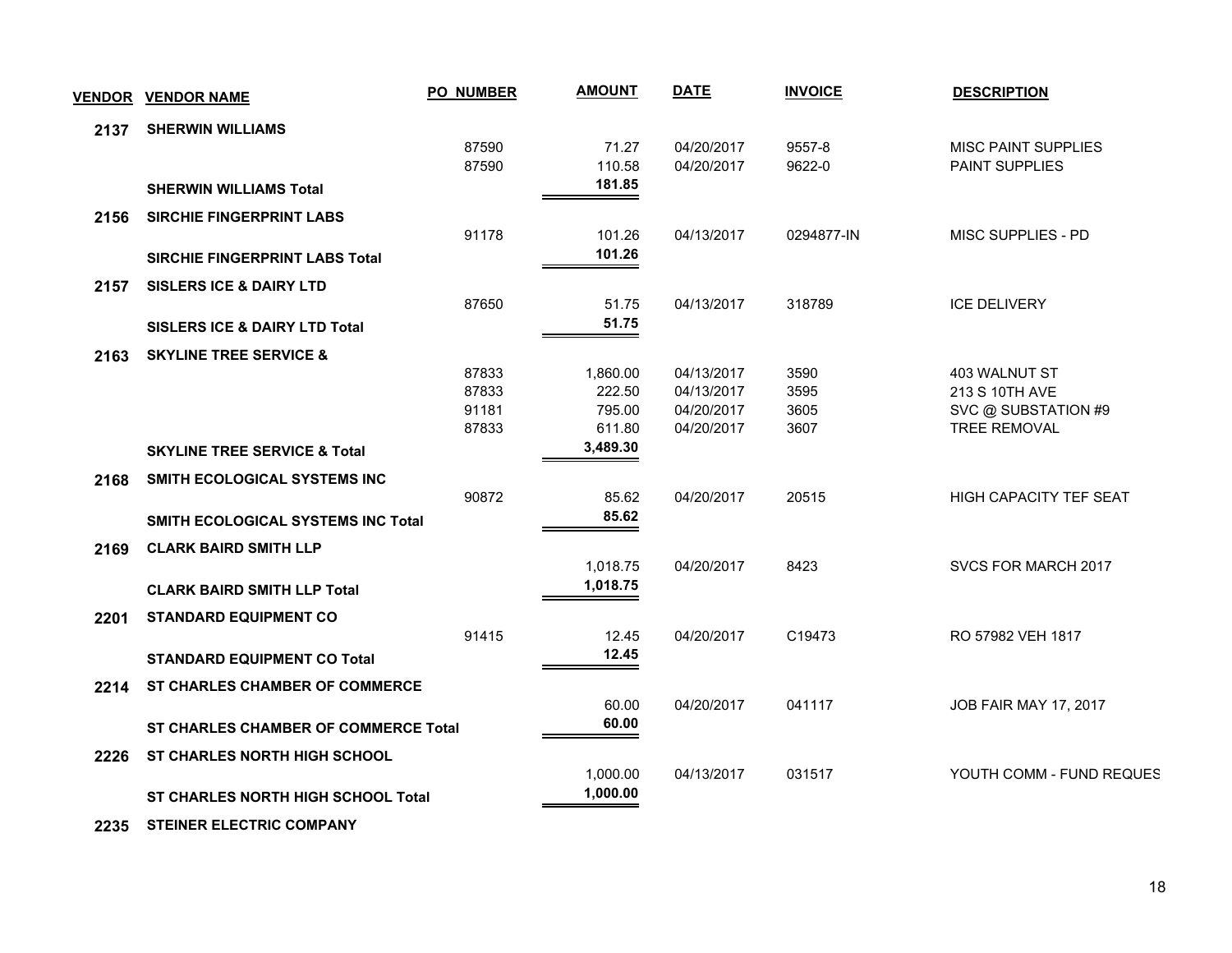| <b>VENDOR</b> | <b>VENDOR NAME</b>                          | PO_NUMBER | <b>AMOUNT</b>    | <b>DATE</b> | <b>INVOICE</b>     | <b>DESCRIPTION</b>         |
|---------------|---------------------------------------------|-----------|------------------|-------------|--------------------|----------------------------|
| 2137          | <b>SHERWIN WILLIAMS</b>                     |           |                  |             |                    |                            |
|               |                                             | 87590     | 71.27            | 04/20/2017  | 9557-8             | <b>MISC PAINT SUPPLIES</b> |
|               |                                             | 87590     | 110.58<br>181.85 | 04/20/2017  | 9622-0             | PAINT SUPPLIES             |
|               | <b>SHERWIN WILLIAMS Total</b>               |           |                  |             |                    |                            |
| 2156          | <b>SIRCHIE FINGERPRINT LABS</b>             | 91178     | 101.26           | 04/13/2017  | 0294877-IN         | MISC SUPPLIES - PD         |
|               | SIRCHIE FINGERPRINT LABS Total              |           | 101.26           |             |                    |                            |
|               |                                             |           |                  |             |                    |                            |
| 2157          | <b>SISLERS ICE &amp; DAIRY LTD</b>          | 87650     | 51.75            | 04/13/2017  | 318789             | <b>ICE DELIVERY</b>        |
|               | <b>SISLERS ICE &amp; DAIRY LTD Total</b>    |           | 51.75            |             |                    |                            |
|               |                                             |           |                  |             |                    |                            |
| 2163          | <b>SKYLINE TREE SERVICE &amp;</b>           | 87833     | 1,860.00         | 04/13/2017  | 3590               | 403 WALNUT ST              |
|               |                                             | 87833     | 222.50           | 04/13/2017  | 3595               | 213 S 10TH AVE             |
|               |                                             | 91181     | 795.00           | 04/20/2017  | 3605               | SVC @ SUBSTATION #9        |
|               |                                             | 87833     | 611.80           | 04/20/2017  | 3607               | <b>TREE REMOVAL</b>        |
|               | <b>SKYLINE TREE SERVICE &amp; Total</b>     |           | 3,489.30         |             |                    |                            |
| 2168          | SMITH ECOLOGICAL SYSTEMS INC                |           |                  |             |                    |                            |
|               |                                             | 90872     | 85.62            | 04/20/2017  | 20515              | HIGH CAPACITY TEF SEAT     |
|               | <b>SMITH ECOLOGICAL SYSTEMS INC Total</b>   |           | 85.62            |             |                    |                            |
| 2169          | <b>CLARK BAIRD SMITH LLP</b>                |           |                  |             |                    |                            |
|               |                                             |           | 1,018.75         | 04/20/2017  | 8423               | SVCS FOR MARCH 2017        |
|               | <b>CLARK BAIRD SMITH LLP Total</b>          |           | 1,018.75         |             |                    |                            |
| 2201          | <b>STANDARD EQUIPMENT CO</b>                |           |                  |             |                    |                            |
|               |                                             | 91415     | 12.45            | 04/20/2017  | C <sub>19473</sub> | RO 57982 VEH 1817          |
|               | <b>STANDARD EQUIPMENT CO Total</b>          |           | 12.45            |             |                    |                            |
| 2214          | <b>ST CHARLES CHAMBER OF COMMERCE</b>       |           |                  |             |                    |                            |
|               |                                             |           | 60.00            | 04/20/2017  | 041117             | JOB FAIR MAY 17, 2017      |
|               | <b>ST CHARLES CHAMBER OF COMMERCE Total</b> |           | 60.00            |             |                    |                            |
| 2226          | <b>ST CHARLES NORTH HIGH SCHOOL</b>         |           |                  |             |                    |                            |
|               |                                             |           | 1,000.00         | 04/13/2017  | 031517             | YOUTH COMM - FUND REQUES   |
|               | ST CHARLES NORTH HIGH SCHOOL Total          |           | 1,000.00         |             |                    |                            |
| 2235          | <b>STEINER ELECTRIC COMPANY</b>             |           |                  |             |                    |                            |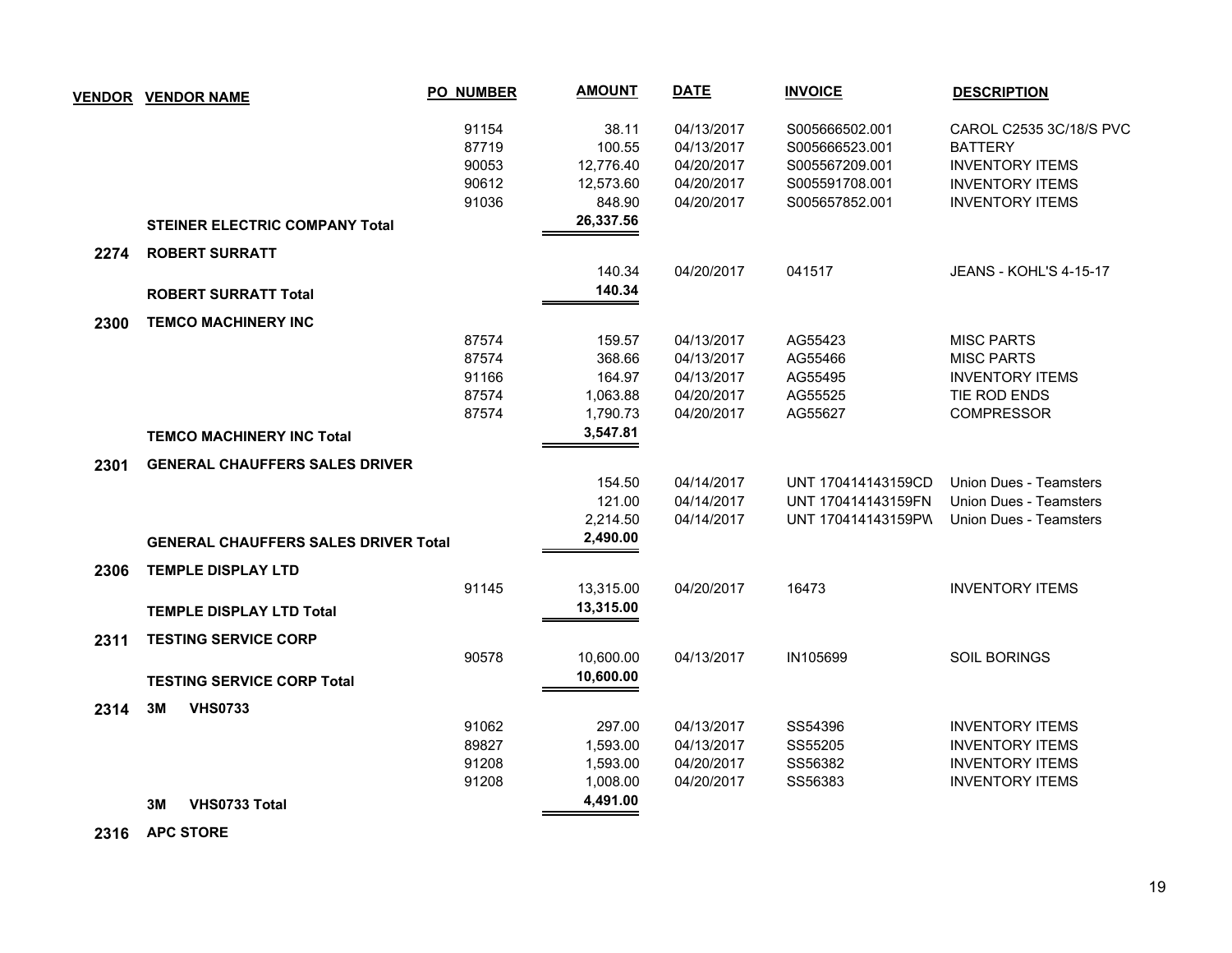| <b>VENDOR</b> | <b>VENDOR NAME</b>                          | <b>PO NUMBER</b> | <b>AMOUNT</b> | <b>DATE</b> | <b>INVOICE</b>     | <b>DESCRIPTION</b>            |
|---------------|---------------------------------------------|------------------|---------------|-------------|--------------------|-------------------------------|
|               |                                             | 91154            | 38.11         | 04/13/2017  | S005666502.001     | CAROL C2535 3C/18/S PVC       |
|               |                                             | 87719            | 100.55        | 04/13/2017  | S005666523.001     | <b>BATTERY</b>                |
|               |                                             | 90053            | 12,776.40     | 04/20/2017  | S005567209.001     | <b>INVENTORY ITEMS</b>        |
|               |                                             | 90612            | 12,573.60     | 04/20/2017  | S005591708.001     | <b>INVENTORY ITEMS</b>        |
|               |                                             | 91036            | 848.90        | 04/20/2017  | S005657852.001     | <b>INVENTORY ITEMS</b>        |
|               | <b>STEINER ELECTRIC COMPANY Total</b>       |                  | 26,337.56     |             |                    |                               |
| 2274          | <b>ROBERT SURRATT</b>                       |                  |               |             |                    |                               |
|               |                                             |                  | 140.34        | 04/20/2017  | 041517             | <b>JEANS - KOHL'S 4-15-17</b> |
|               | <b>ROBERT SURRATT Total</b>                 |                  | 140.34        |             |                    |                               |
| 2300          | <b>TEMCO MACHINERY INC</b>                  |                  |               |             |                    |                               |
|               |                                             | 87574            | 159.57        | 04/13/2017  | AG55423            | <b>MISC PARTS</b>             |
|               |                                             | 87574            | 368.66        | 04/13/2017  | AG55466            | <b>MISC PARTS</b>             |
|               |                                             | 91166            | 164.97        | 04/13/2017  | AG55495            | <b>INVENTORY ITEMS</b>        |
|               |                                             | 87574            | 1,063.88      | 04/20/2017  | AG55525            | TIE ROD ENDS                  |
|               |                                             | 87574            | 1,790.73      | 04/20/2017  | AG55627            | <b>COMPRESSOR</b>             |
|               | <b>TEMCO MACHINERY INC Total</b>            |                  | 3,547.81      |             |                    |                               |
| 2301          | <b>GENERAL CHAUFFERS SALES DRIVER</b>       |                  |               |             |                    |                               |
|               |                                             |                  | 154.50        | 04/14/2017  | UNT 170414143159CD | Union Dues - Teamsters        |
|               |                                             |                  | 121.00        | 04/14/2017  | UNT 170414143159FN | <b>Union Dues - Teamsters</b> |
|               |                                             |                  | 2,214.50      | 04/14/2017  | UNT 170414143159PW | <b>Union Dues - Teamsters</b> |
|               | <b>GENERAL CHAUFFERS SALES DRIVER Total</b> |                  | 2,490.00      |             |                    |                               |
| 2306          | <b>TEMPLE DISPLAY LTD</b>                   |                  |               |             |                    |                               |
|               |                                             | 91145            | 13,315.00     | 04/20/2017  | 16473              | <b>INVENTORY ITEMS</b>        |
|               | <b>TEMPLE DISPLAY LTD Total</b>             |                  | 13,315.00     |             |                    |                               |
| 2311          | <b>TESTING SERVICE CORP</b>                 |                  |               |             |                    |                               |
|               |                                             | 90578            | 10,600.00     | 04/13/2017  | IN105699           | <b>SOIL BORINGS</b>           |
|               | <b>TESTING SERVICE CORP Total</b>           |                  | 10,600.00     |             |                    |                               |
| 2314          | 3M<br><b>VHS0733</b>                        |                  |               |             |                    |                               |
|               |                                             | 91062            | 297.00        | 04/13/2017  | SS54396            | <b>INVENTORY ITEMS</b>        |
|               |                                             | 89827            | 1,593.00      | 04/13/2017  | SS55205            | <b>INVENTORY ITEMS</b>        |
|               |                                             | 91208            | 1,593.00      | 04/20/2017  | SS56382            | <b>INVENTORY ITEMS</b>        |
|               |                                             | 91208            | 1,008.00      | 04/20/2017  | SS56383            | <b>INVENTORY ITEMS</b>        |
|               | VHS0733 Total<br>3M                         |                  | 4,491.00      |             |                    |                               |
|               |                                             |                  |               |             |                    |                               |

 **2316 APC STORE**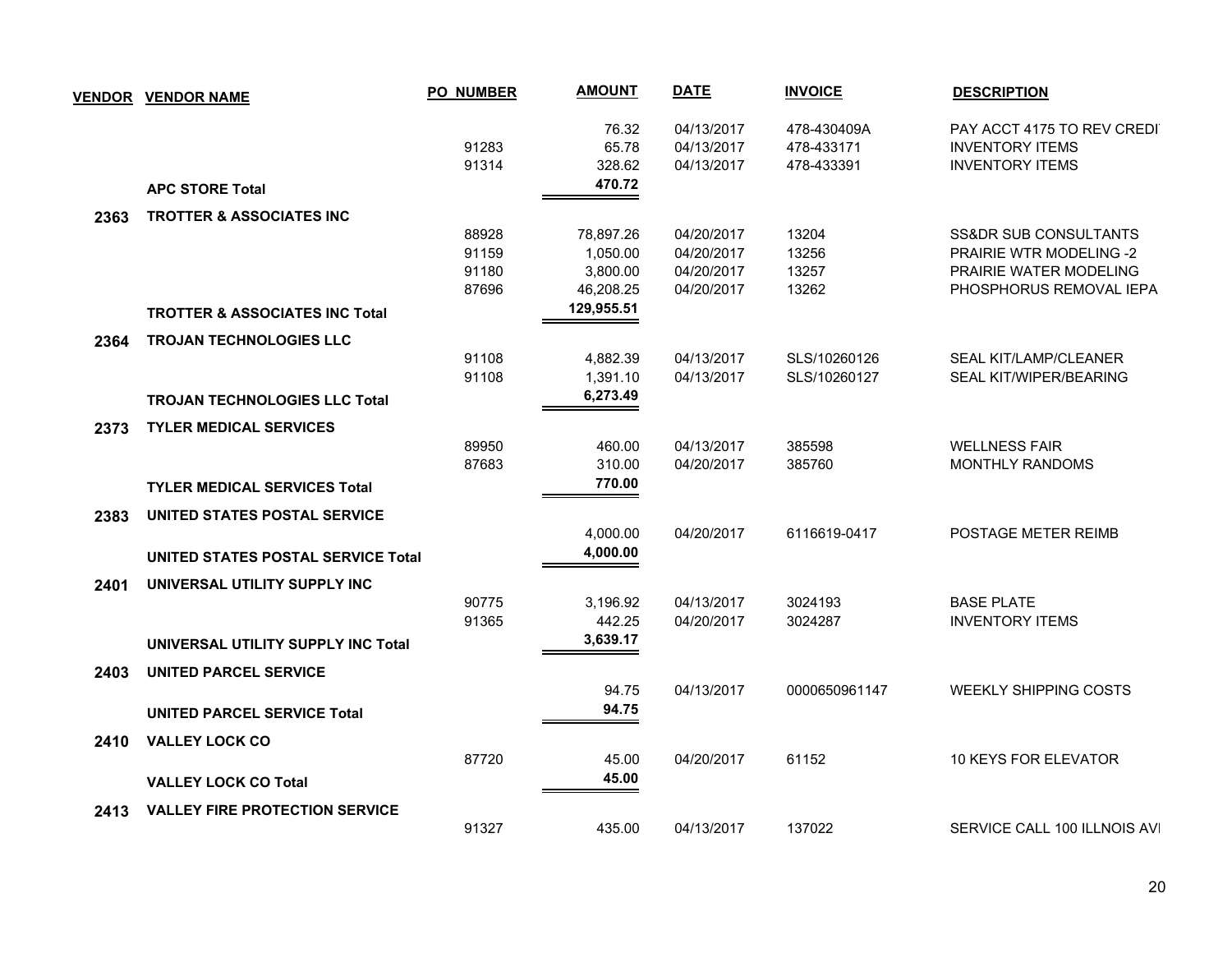| <b>VENDOR</b> | <b>VENDOR NAME</b>                                                 | <b>PO_NUMBER</b>                 | <b>AMOUNT</b>                                  | <b>DATE</b>                                          | <b>INVOICE</b>                          | <b>DESCRIPTION</b>                                                                                    |
|---------------|--------------------------------------------------------------------|----------------------------------|------------------------------------------------|------------------------------------------------------|-----------------------------------------|-------------------------------------------------------------------------------------------------------|
|               |                                                                    | 91283<br>91314                   | 76.32<br>65.78<br>328.62                       | 04/13/2017<br>04/13/2017<br>04/13/2017               | 478-430409A<br>478-433171<br>478-433391 | PAY ACCT 4175 TO REV CREDI<br><b>INVENTORY ITEMS</b><br><b>INVENTORY ITEMS</b>                        |
|               | <b>APC STORE Total</b>                                             |                                  | 470.72                                         |                                                      |                                         |                                                                                                       |
| 2363          | TROTTER & ASSOCIATES INC                                           |                                  |                                                |                                                      |                                         |                                                                                                       |
|               |                                                                    | 88928<br>91159<br>91180<br>87696 | 78,897.26<br>1,050.00<br>3,800.00<br>46,208.25 | 04/20/2017<br>04/20/2017<br>04/20/2017<br>04/20/2017 | 13204<br>13256<br>13257<br>13262        | SS&DR SUB CONSULTANTS<br>PRAIRIE WTR MODELING -2<br>PRAIRIE WATER MODELING<br>PHOSPHORUS REMOVAL IEPA |
|               | <b>TROTTER &amp; ASSOCIATES INC Total</b>                          |                                  | 129,955.51                                     |                                                      |                                         |                                                                                                       |
| 2364          | <b>TROJAN TECHNOLOGIES LLC</b>                                     | 91108                            | 4,882.39                                       | 04/13/2017                                           | SLS/10260126                            | <b>SEAL KIT/LAMP/CLEANER</b>                                                                          |
|               | <b>TROJAN TECHNOLOGIES LLC Total</b>                               | 91108                            | 1,391.10<br>6,273.49                           | 04/13/2017                                           | SLS/10260127                            | SEAL KIT/WIPER/BEARING                                                                                |
| 2373          | <b>TYLER MEDICAL SERVICES</b>                                      |                                  |                                                |                                                      |                                         |                                                                                                       |
|               | <b>TYLER MEDICAL SERVICES Total</b>                                | 89950<br>87683                   | 460.00<br>310.00<br>770.00                     | 04/13/2017<br>04/20/2017                             | 385598<br>385760                        | <b>WELLNESS FAIR</b><br>MONTHLY RANDOMS                                                               |
| 2383          | UNITED STATES POSTAL SERVICE                                       |                                  |                                                |                                                      |                                         |                                                                                                       |
|               | UNITED STATES POSTAL SERVICE Total                                 |                                  | 4,000.00<br>4,000.00                           | 04/20/2017                                           | 6116619-0417                            | POSTAGE METER REIMB                                                                                   |
| 2401          | UNIVERSAL UTILITY SUPPLY INC                                       |                                  |                                                |                                                      |                                         |                                                                                                       |
|               |                                                                    | 90775<br>91365                   | 3,196.92<br>442.25<br>3,639.17                 | 04/13/2017<br>04/20/2017                             | 3024193<br>3024287                      | <b>BASE PLATE</b><br><b>INVENTORY ITEMS</b>                                                           |
|               | UNIVERSAL UTILITY SUPPLY INC Total                                 |                                  |                                                |                                                      |                                         |                                                                                                       |
| 2403          | <b>UNITED PARCEL SERVICE</b><br><b>UNITED PARCEL SERVICE Total</b> |                                  | 94.75<br>94.75                                 | 04/13/2017                                           | 0000650961147                           | WEEKLY SHIPPING COSTS                                                                                 |
| 2410          | <b>VALLEY LOCK CO</b>                                              | 87720                            | 45.00                                          | 04/20/2017                                           | 61152                                   | 10 KEYS FOR ELEVATOR                                                                                  |
|               | <b>VALLEY LOCK CO Total</b>                                        |                                  | 45.00                                          |                                                      |                                         |                                                                                                       |
| 2413          | <b>VALLEY FIRE PROTECTION SERVICE</b>                              |                                  |                                                |                                                      |                                         |                                                                                                       |
|               |                                                                    | 91327                            | 435.00                                         | 04/13/2017                                           | 137022                                  | SERVICE CALL 100 ILLNOIS AVI                                                                          |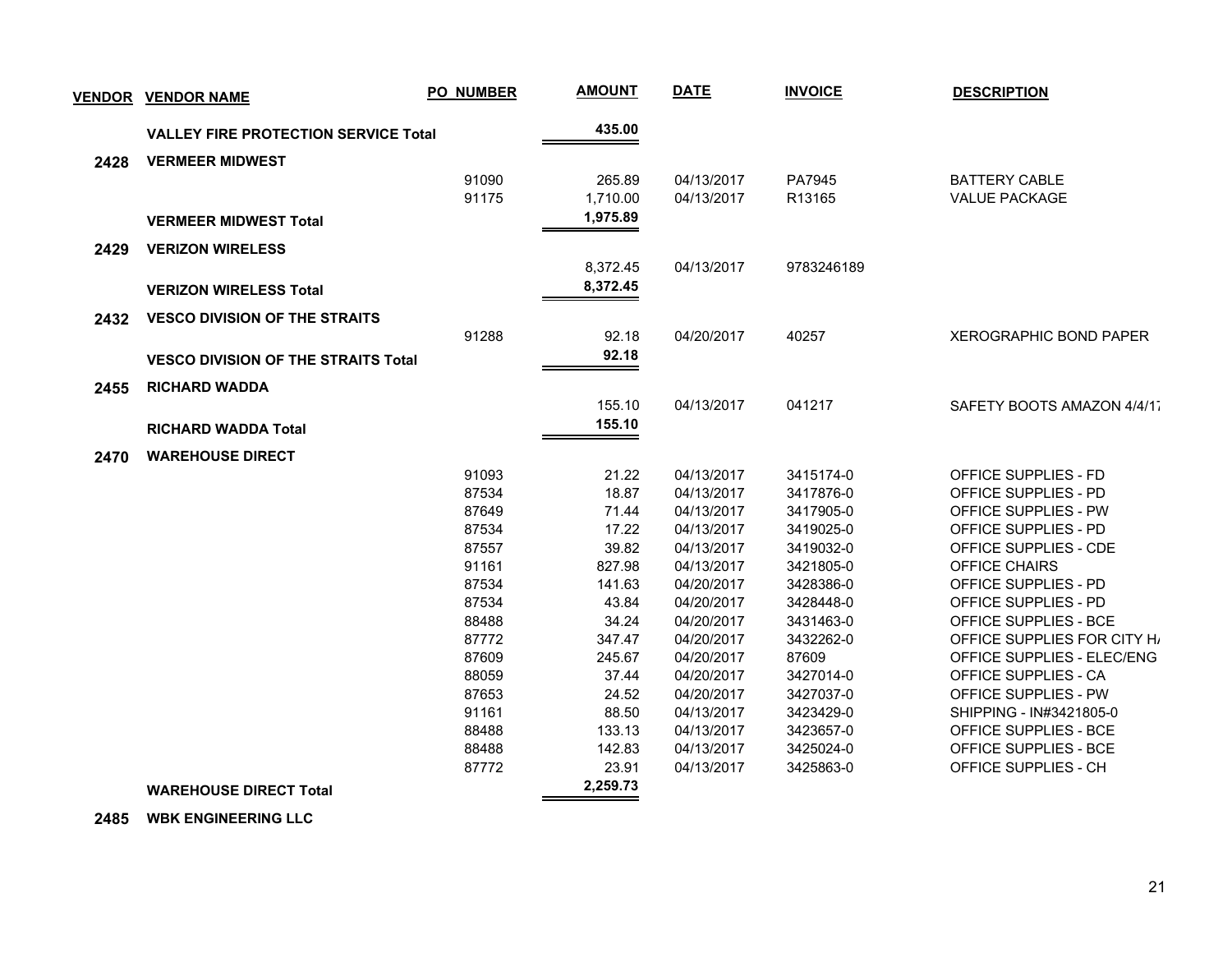| <b>VENDOR</b> | <b>VENDOR NAME</b>                          | <b>PO_NUMBER</b> | <b>AMOUNT</b>   | <b>DATE</b> | <b>INVOICE</b>         | <b>DESCRIPTION</b>                                   |
|---------------|---------------------------------------------|------------------|-----------------|-------------|------------------------|------------------------------------------------------|
|               | <b>VALLEY FIRE PROTECTION SERVICE Total</b> |                  | 435.00          |             |                        |                                                      |
| 2428          | <b>VERMEER MIDWEST</b>                      |                  |                 |             |                        |                                                      |
|               |                                             | 91090            | 265.89          | 04/13/2017  | PA7945                 | <b>BATTERY CABLE</b>                                 |
|               |                                             | 91175            | 1,710.00        | 04/13/2017  | R13165                 | <b>VALUE PACKAGE</b>                                 |
|               | <b>VERMEER MIDWEST Total</b>                |                  | 1,975.89        |             |                        |                                                      |
| 2429          | <b>VERIZON WIRELESS</b>                     |                  |                 |             |                        |                                                      |
|               |                                             |                  | 8,372.45        | 04/13/2017  | 9783246189             |                                                      |
|               | <b>VERIZON WIRELESS Total</b>               |                  | 8,372.45        |             |                        |                                                      |
|               |                                             |                  |                 |             |                        |                                                      |
| 2432          | <b>VESCO DIVISION OF THE STRAITS</b>        |                  |                 |             |                        |                                                      |
|               |                                             | 91288            | 92.18           | 04/20/2017  | 40257                  | <b>XEROGRAPHIC BOND PAPER</b>                        |
|               | <b>VESCO DIVISION OF THE STRAITS Total</b>  |                  | 92.18           |             |                        |                                                      |
| 2455          | <b>RICHARD WADDA</b>                        |                  |                 |             |                        |                                                      |
|               |                                             |                  | 155.10          | 04/13/2017  | 041217                 | SAFETY BOOTS AMAZON 4/4/17                           |
|               | <b>RICHARD WADDA Total</b>                  |                  | 155.10          |             |                        |                                                      |
| 2470          | <b>WAREHOUSE DIRECT</b>                     |                  |                 |             |                        |                                                      |
|               |                                             | 91093            | 21.22           | 04/13/2017  | 3415174-0              | OFFICE SUPPLIES - FD                                 |
|               |                                             | 87534            | 18.87           | 04/13/2017  | 3417876-0              | OFFICE SUPPLIES - PD                                 |
|               |                                             | 87649            | 71.44           | 04/13/2017  | 3417905-0              | OFFICE SUPPLIES - PW                                 |
|               |                                             | 87534            | 17.22           | 04/13/2017  | 3419025-0              | OFFICE SUPPLIES - PD                                 |
|               |                                             | 87557            | 39.82           | 04/13/2017  | 3419032-0              | OFFICE SUPPLIES - CDE                                |
|               |                                             | 91161            | 827.98          | 04/13/2017  | 3421805-0              | OFFICE CHAIRS                                        |
|               |                                             | 87534            | 141.63          | 04/20/2017  | 3428386-0              | OFFICE SUPPLIES - PD                                 |
|               |                                             | 87534            | 43.84           | 04/20/2017  | 3428448-0              | OFFICE SUPPLIES - PD                                 |
|               |                                             | 88488            | 34.24           | 04/20/2017  | 3431463-0              | OFFICE SUPPLIES - BCE                                |
|               |                                             | 87772            | 347.47          | 04/20/2017  | 3432262-0              | OFFICE SUPPLIES FOR CITY H                           |
|               |                                             | 87609            | 245.67          | 04/20/2017  | 87609                  | OFFICE SUPPLIES - ELEC/ENG                           |
|               |                                             | 88059            | 37.44           | 04/20/2017  | 3427014-0              | OFFICE SUPPLIES - CA                                 |
|               |                                             | 87653            | 24.52           | 04/20/2017  | 3427037-0              | OFFICE SUPPLIES - PW                                 |
|               |                                             | 91161            | 88.50           | 04/13/2017  | 3423429-0              | SHIPPING - IN#3421805-0                              |
|               |                                             | 88488            | 133.13          | 04/13/2017  | 3423657-0              | OFFICE SUPPLIES - BCE                                |
|               |                                             | 88488<br>87772   | 142.83<br>23.91 | 04/13/2017  | 3425024-0<br>3425863-0 | <b>OFFICE SUPPLIES - BCE</b><br>OFFICE SUPPLIES - CH |
|               |                                             |                  | 2,259.73        | 04/13/2017  |                        |                                                      |
|               | <b>WAREHOUSE DIRECT Total</b>               |                  |                 |             |                        |                                                      |

 **2485 WBK ENGINEERING LLC**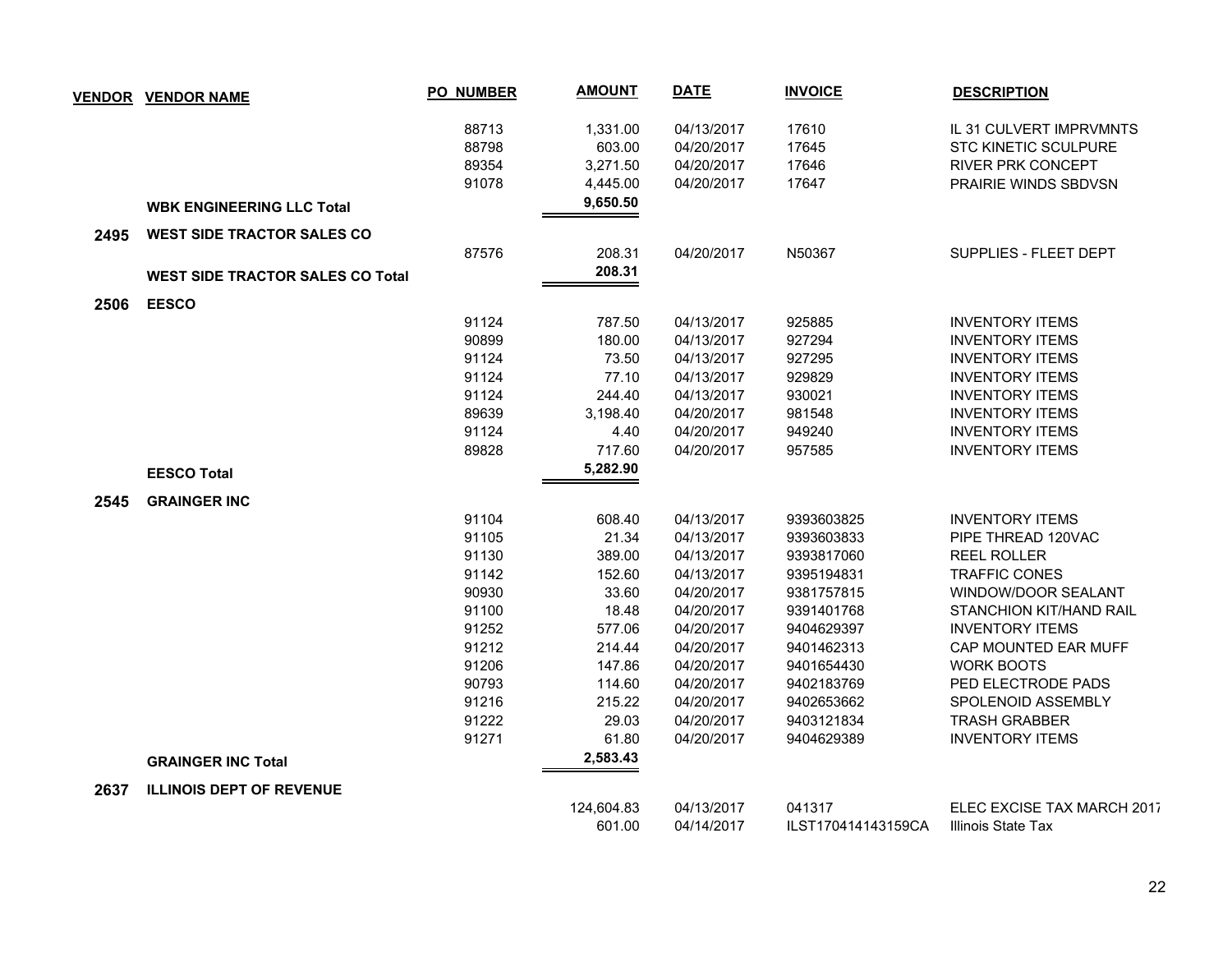| <b>VENDOR</b> | <b>VENDOR NAME</b>                      | PO_NUMBER | <b>AMOUNT</b> | <b>DATE</b> | <b>INVOICE</b>     | <b>DESCRIPTION</b>          |
|---------------|-----------------------------------------|-----------|---------------|-------------|--------------------|-----------------------------|
|               |                                         | 88713     | 1,331.00      | 04/13/2017  | 17610              | IL 31 CULVERT IMPRVMNTS     |
|               |                                         | 88798     | 603.00        | 04/20/2017  | 17645              | <b>STC KINETIC SCULPURE</b> |
|               |                                         | 89354     | 3,271.50      | 04/20/2017  | 17646              | <b>RIVER PRK CONCEPT</b>    |
|               |                                         | 91078     | 4,445.00      | 04/20/2017  | 17647              | PRAIRIE WINDS SBDVSN        |
|               | <b>WBK ENGINEERING LLC Total</b>        |           | 9,650.50      |             |                    |                             |
| 2495          | <b>WEST SIDE TRACTOR SALES CO</b>       |           |               |             |                    |                             |
|               |                                         | 87576     | 208.31        | 04/20/2017  | N50367             | SUPPLIES - FLEET DEPT       |
|               | <b>WEST SIDE TRACTOR SALES CO Total</b> |           | 208.31        |             |                    |                             |
| 2506          | <b>EESCO</b>                            |           |               |             |                    |                             |
|               |                                         | 91124     | 787.50        | 04/13/2017  | 925885             | <b>INVENTORY ITEMS</b>      |
|               |                                         | 90899     | 180.00        | 04/13/2017  | 927294             | <b>INVENTORY ITEMS</b>      |
|               |                                         | 91124     | 73.50         | 04/13/2017  | 927295             | <b>INVENTORY ITEMS</b>      |
|               |                                         | 91124     | 77.10         | 04/13/2017  | 929829             | <b>INVENTORY ITEMS</b>      |
|               |                                         | 91124     | 244.40        | 04/13/2017  | 930021             | <b>INVENTORY ITEMS</b>      |
|               |                                         | 89639     | 3,198.40      | 04/20/2017  | 981548             | <b>INVENTORY ITEMS</b>      |
|               |                                         | 91124     | 4.40          | 04/20/2017  | 949240             | <b>INVENTORY ITEMS</b>      |
|               |                                         | 89828     | 717.60        | 04/20/2017  | 957585             | <b>INVENTORY ITEMS</b>      |
|               | <b>EESCO Total</b>                      |           | 5,282.90      |             |                    |                             |
| 2545          | <b>GRAINGER INC</b>                     |           |               |             |                    |                             |
|               |                                         | 91104     | 608.40        | 04/13/2017  | 9393603825         | <b>INVENTORY ITEMS</b>      |
|               |                                         | 91105     | 21.34         | 04/13/2017  | 9393603833         | PIPE THREAD 120VAC          |
|               |                                         | 91130     | 389.00        | 04/13/2017  | 9393817060         | <b>REEL ROLLER</b>          |
|               |                                         | 91142     | 152.60        | 04/13/2017  | 9395194831         | <b>TRAFFIC CONES</b>        |
|               |                                         | 90930     | 33.60         | 04/20/2017  | 9381757815         | WINDOW/DOOR SEALANT         |
|               |                                         | 91100     | 18.48         | 04/20/2017  | 9391401768         | STANCHION KIT/HAND RAIL     |
|               |                                         | 91252     | 577.06        | 04/20/2017  | 9404629397         | <b>INVENTORY ITEMS</b>      |
|               |                                         | 91212     | 214.44        | 04/20/2017  | 9401462313         | CAP MOUNTED EAR MUFF        |
|               |                                         | 91206     | 147.86        | 04/20/2017  | 9401654430         | <b>WORK BOOTS</b>           |
|               |                                         | 90793     | 114.60        | 04/20/2017  | 9402183769         | PED ELECTRODE PADS          |
|               |                                         | 91216     | 215.22        | 04/20/2017  | 9402653662         | <b>SPOLENOID ASSEMBLY</b>   |
|               |                                         | 91222     | 29.03         | 04/20/2017  | 9403121834         | <b>TRASH GRABBER</b>        |
|               |                                         | 91271     | 61.80         | 04/20/2017  | 9404629389         | <b>INVENTORY ITEMS</b>      |
|               | <b>GRAINGER INC Total</b>               |           | 2,583.43      |             |                    |                             |
| 2637          | <b>ILLINOIS DEPT OF REVENUE</b>         |           |               |             |                    |                             |
|               |                                         |           | 124,604.83    | 04/13/2017  | 041317             | ELEC EXCISE TAX MARCH 2017  |
|               |                                         |           | 601.00        | 04/14/2017  | ILST170414143159CA | Illinois State Tax          |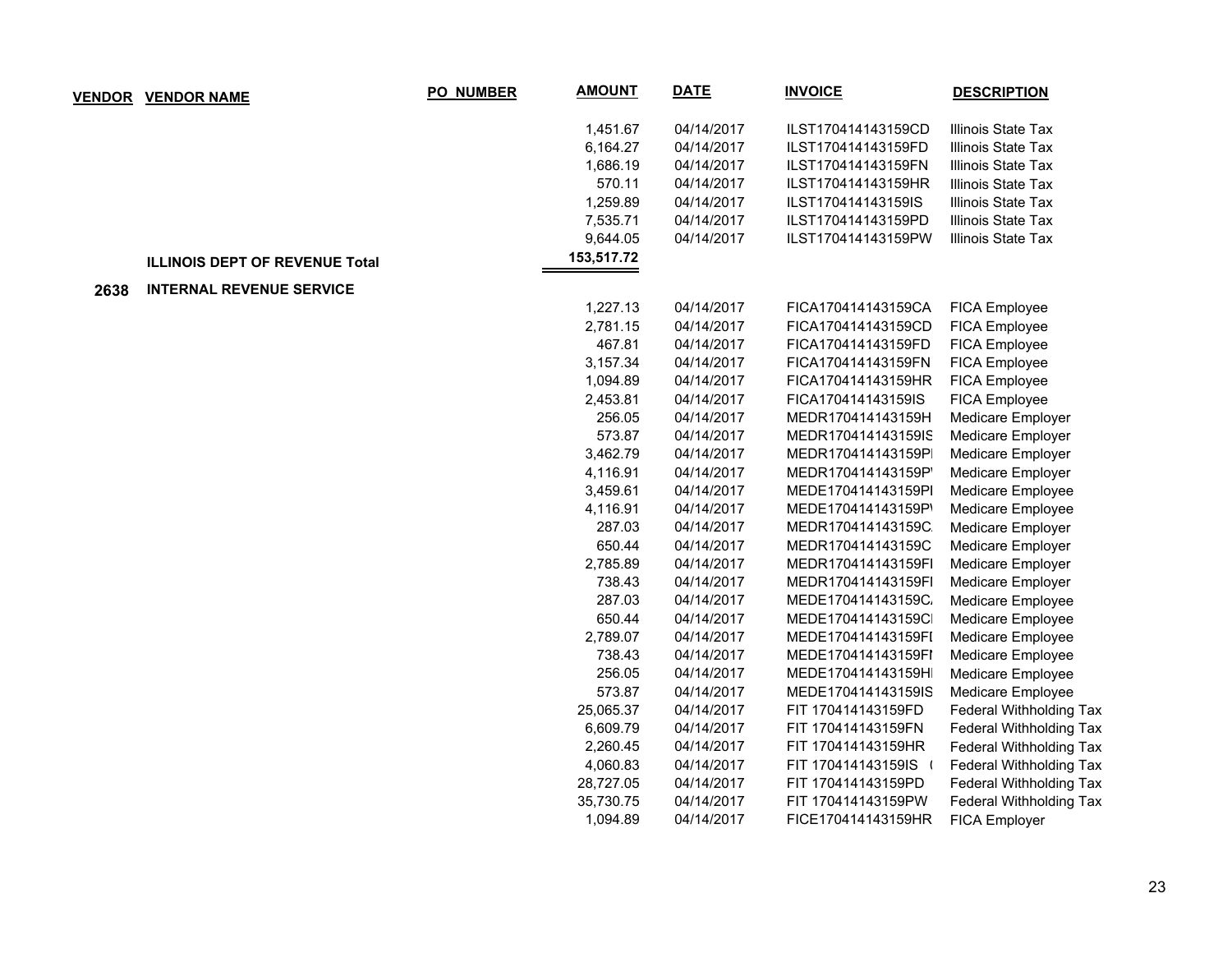|      | <b>VENDOR VENDOR NAME</b>             | <b>PO_NUMBER</b> | <b>AMOUNT</b> | <b>DATE</b> | <b>INVOICE</b>     | <b>DESCRIPTION</b>             |
|------|---------------------------------------|------------------|---------------|-------------|--------------------|--------------------------------|
|      |                                       |                  | 1,451.67      | 04/14/2017  | ILST170414143159CD | Illinois State Tax             |
|      |                                       |                  | 6,164.27      | 04/14/2017  | ILST170414143159FD | Illinois State Tax             |
|      |                                       |                  | 1,686.19      | 04/14/2017  | ILST170414143159FN | Illinois State Tax             |
|      |                                       |                  | 570.11        | 04/14/2017  | ILST170414143159HR | Illinois State Tax             |
|      |                                       |                  | 1,259.89      | 04/14/2017  | ILST170414143159IS | Illinois State Tax             |
|      |                                       |                  | 7,535.71      | 04/14/2017  | ILST170414143159PD | Illinois State Tax             |
|      |                                       |                  | 9,644.05      | 04/14/2017  | ILST170414143159PW | Illinois State Tax             |
|      | <b>ILLINOIS DEPT OF REVENUE Total</b> |                  | 153,517.72    |             |                    |                                |
| 2638 | <b>INTERNAL REVENUE SERVICE</b>       |                  |               |             |                    |                                |
|      |                                       |                  | 1,227.13      | 04/14/2017  | FICA170414143159CA | FICA Employee                  |
|      |                                       |                  | 2,781.15      | 04/14/2017  | FICA170414143159CD | FICA Employee                  |
|      |                                       |                  | 467.81        | 04/14/2017  | FICA170414143159FD | FICA Employee                  |
|      |                                       |                  | 3,157.34      | 04/14/2017  | FICA170414143159FN | FICA Employee                  |
|      |                                       |                  | 1,094.89      | 04/14/2017  | FICA170414143159HR | FICA Employee                  |
|      |                                       |                  | 2,453.81      | 04/14/2017  | FICA170414143159IS | FICA Employee                  |
|      |                                       |                  | 256.05        | 04/14/2017  | MEDR170414143159H  | Medicare Employer              |
|      |                                       |                  | 573.87        | 04/14/2017  | MEDR170414143159IS | Medicare Employer              |
|      |                                       |                  | 3,462.79      | 04/14/2017  | MEDR170414143159P  | Medicare Employer              |
|      |                                       |                  | 4,116.91      | 04/14/2017  | MEDR170414143159P  | Medicare Employer              |
|      |                                       |                  | 3,459.61      | 04/14/2017  | MEDE170414143159PI | Medicare Employee              |
|      |                                       |                  | 4,116.91      | 04/14/2017  | MEDE170414143159P' | Medicare Employee              |
|      |                                       |                  | 287.03        | 04/14/2017  | MEDR170414143159C  | Medicare Employer              |
|      |                                       |                  | 650.44        | 04/14/2017  | MEDR170414143159C  | Medicare Employer              |
|      |                                       |                  | 2,785.89      | 04/14/2017  | MEDR170414143159FI | Medicare Employer              |
|      |                                       |                  | 738.43        | 04/14/2017  | MEDR170414143159FI | Medicare Employer              |
|      |                                       |                  | 287.03        | 04/14/2017  | MEDE170414143159C. | Medicare Employee              |
|      |                                       |                  | 650.44        | 04/14/2017  | MEDE170414143159C  | Medicare Employee              |
|      |                                       |                  | 2,789.07      | 04/14/2017  | MEDE170414143159FI | Medicare Employee              |
|      |                                       |                  | 738.43        | 04/14/2017  | MEDE170414143159FI | Medicare Employee              |
|      |                                       |                  | 256.05        | 04/14/2017  | MEDE170414143159H  | Medicare Employee              |
|      |                                       |                  | 573.87        | 04/14/2017  | MEDE170414143159IS | Medicare Employee              |
|      |                                       |                  | 25,065.37     | 04/14/2017  | FIT 170414143159FD | <b>Federal Withholding Tax</b> |
|      |                                       |                  | 6,609.79      | 04/14/2017  | FIT 170414143159FN | Federal Withholding Tax        |
|      |                                       |                  | 2,260.45      | 04/14/2017  | FIT 170414143159HR | Federal Withholding Tax        |
|      |                                       |                  | 4,060.83      | 04/14/2017  | FIT 170414143159IS | <b>Federal Withholding Tax</b> |
|      |                                       |                  | 28,727.05     | 04/14/2017  | FIT 170414143159PD | Federal Withholding Tax        |
|      |                                       |                  | 35,730.75     | 04/14/2017  | FIT 170414143159PW | Federal Withholding Tax        |
|      |                                       |                  | 1,094.89      | 04/14/2017  | FICE170414143159HR | <b>FICA Employer</b>           |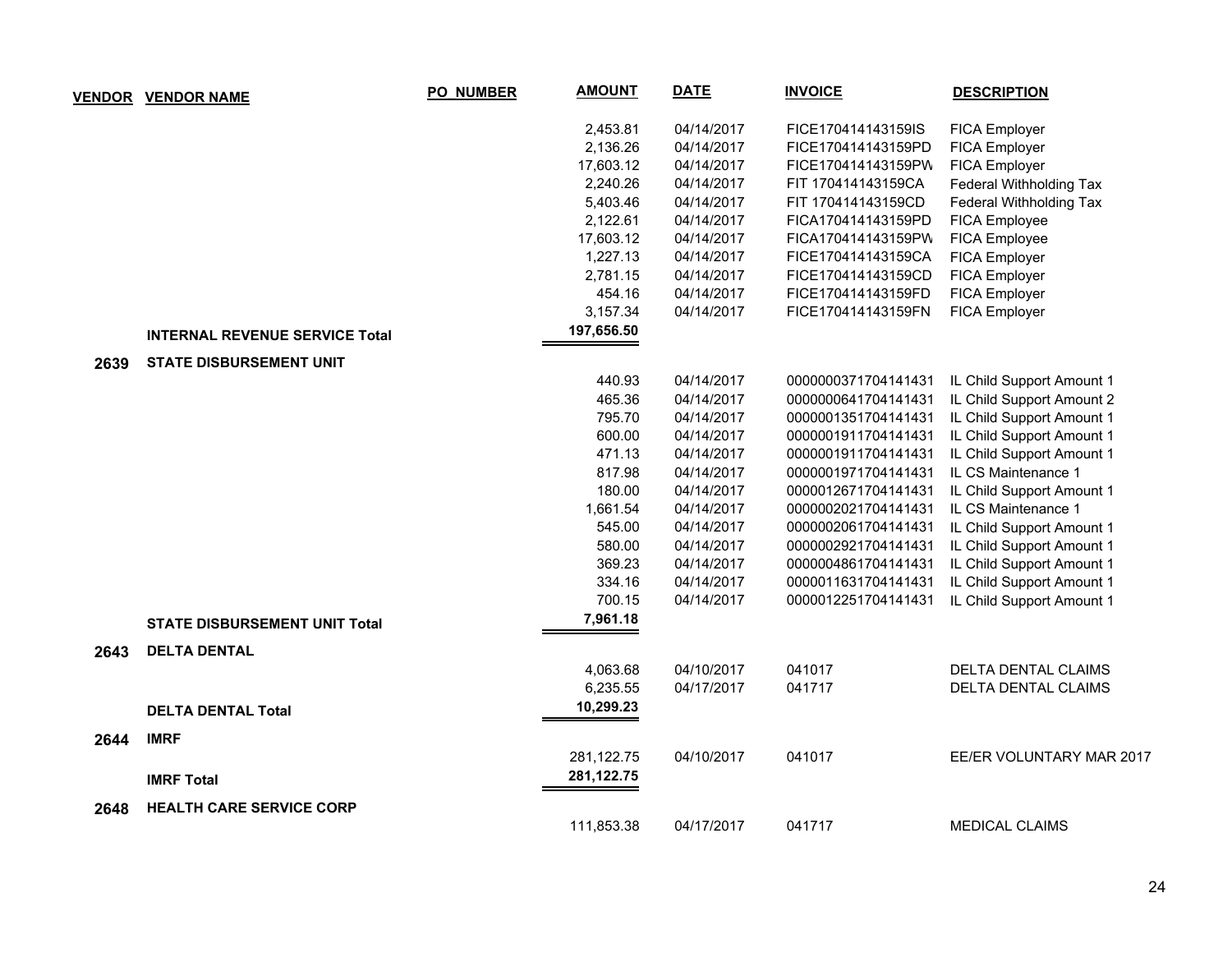|      | <b>VENDOR VENDOR NAME</b>             | <b>PO_NUMBER</b> | <b>AMOUNT</b> | <b>DATE</b> | <b>INVOICE</b>      | <b>DESCRIPTION</b>        |
|------|---------------------------------------|------------------|---------------|-------------|---------------------|---------------------------|
|      |                                       |                  | 2,453.81      | 04/14/2017  | FICE170414143159IS  | FICA Employer             |
|      |                                       |                  | 2,136.26      | 04/14/2017  | FICE170414143159PD  | FICA Employer             |
|      |                                       |                  | 17,603.12     | 04/14/2017  | FICE170414143159PV  | <b>FICA Employer</b>      |
|      |                                       |                  | 2,240.26      | 04/14/2017  | FIT 170414143159CA  | Federal Withholding Tax   |
|      |                                       |                  | 5,403.46      | 04/14/2017  | FIT 170414143159CD  | Federal Withholding Tax   |
|      |                                       |                  | 2,122.61      | 04/14/2017  | FICA170414143159PD  | FICA Employee             |
|      |                                       |                  | 17,603.12     | 04/14/2017  | FICA170414143159PW  | FICA Employee             |
|      |                                       |                  | 1,227.13      | 04/14/2017  | FICE170414143159CA  | FICA Employer             |
|      |                                       |                  | 2,781.15      | 04/14/2017  | FICE170414143159CD  | FICA Employer             |
|      |                                       |                  | 454.16        | 04/14/2017  | FICE170414143159FD  | FICA Employer             |
|      |                                       |                  | 3,157.34      | 04/14/2017  | FICE170414143159FN  | FICA Employer             |
|      | <b>INTERNAL REVENUE SERVICE Total</b> |                  | 197,656.50    |             |                     |                           |
| 2639 | <b>STATE DISBURSEMENT UNIT</b>        |                  |               |             |                     |                           |
|      |                                       |                  | 440.93        | 04/14/2017  | 0000000371704141431 | IL Child Support Amount 1 |
|      |                                       |                  | 465.36        | 04/14/2017  | 0000000641704141431 | IL Child Support Amount 2 |
|      |                                       |                  | 795.70        | 04/14/2017  | 0000001351704141431 | IL Child Support Amount 1 |
|      |                                       |                  | 600.00        | 04/14/2017  | 0000001911704141431 | IL Child Support Amount 1 |
|      |                                       |                  | 471.13        | 04/14/2017  | 0000001911704141431 | IL Child Support Amount 1 |
|      |                                       |                  | 817.98        | 04/14/2017  | 0000001971704141431 | IL CS Maintenance 1       |
|      |                                       |                  | 180.00        | 04/14/2017  | 0000012671704141431 | IL Child Support Amount 1 |
|      |                                       |                  | 1,661.54      | 04/14/2017  | 0000002021704141431 | IL CS Maintenance 1       |
|      |                                       |                  | 545.00        | 04/14/2017  | 0000002061704141431 | IL Child Support Amount 1 |
|      |                                       |                  | 580.00        | 04/14/2017  | 0000002921704141431 | IL Child Support Amount 1 |
|      |                                       |                  | 369.23        | 04/14/2017  | 0000004861704141431 | IL Child Support Amount 1 |
|      |                                       |                  | 334.16        | 04/14/2017  | 0000011631704141431 | IL Child Support Amount 1 |
|      |                                       |                  | 700.15        | 04/14/2017  | 0000012251704141431 | IL Child Support Amount 1 |
|      | <b>STATE DISBURSEMENT UNIT Total</b>  |                  | 7,961.18      |             |                     |                           |
| 2643 | <b>DELTA DENTAL</b>                   |                  |               |             |                     |                           |
|      |                                       |                  | 4,063.68      | 04/10/2017  | 041017              | DELTA DENTAL CLAIMS       |
|      |                                       |                  | 6,235.55      | 04/17/2017  | 041717              | DELTA DENTAL CLAIMS       |
|      | <b>DELTA DENTAL Total</b>             |                  | 10,299.23     |             |                     |                           |
| 2644 | <b>IMRF</b>                           |                  |               |             |                     |                           |
|      |                                       |                  | 281,122.75    | 04/10/2017  | 041017              | EE/ER VOLUNTARY MAR 2017  |
|      | <b>IMRF Total</b>                     |                  | 281,122.75    |             |                     |                           |
| 2648 | <b>HEALTH CARE SERVICE CORP</b>       |                  |               |             |                     |                           |
|      |                                       |                  | 111,853.38    | 04/17/2017  | 041717              | <b>MEDICAL CLAIMS</b>     |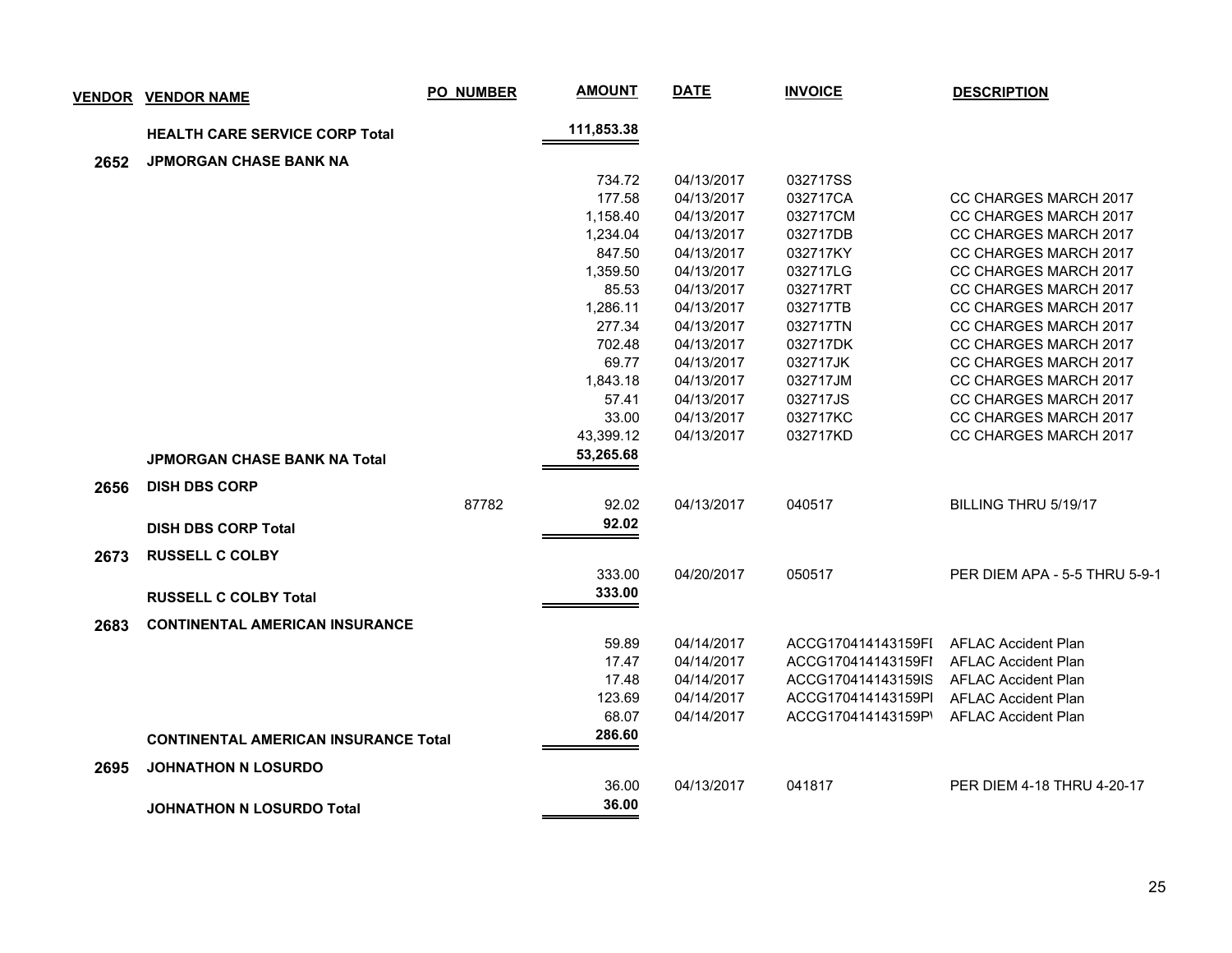|      | <b>VENDOR VENDOR NAME</b>                   | <b>PO_NUMBER</b> | <b>AMOUNT</b> | <b>DATE</b> | <b>INVOICE</b>     | <b>DESCRIPTION</b>            |
|------|---------------------------------------------|------------------|---------------|-------------|--------------------|-------------------------------|
|      | <b>HEALTH CARE SERVICE CORP Total</b>       |                  | 111,853.38    |             |                    |                               |
| 2652 | <b>JPMORGAN CHASE BANK NA</b>               |                  |               |             |                    |                               |
|      |                                             |                  | 734.72        | 04/13/2017  | 032717SS           |                               |
|      |                                             |                  | 177.58        | 04/13/2017  | 032717CA           | <b>CC CHARGES MARCH 2017</b>  |
|      |                                             |                  | 1,158.40      | 04/13/2017  | 032717CM           | CC CHARGES MARCH 2017         |
|      |                                             |                  | 1,234.04      | 04/13/2017  | 032717DB           | CC CHARGES MARCH 2017         |
|      |                                             |                  | 847.50        | 04/13/2017  | 032717KY           | CC CHARGES MARCH 2017         |
|      |                                             |                  | 1,359.50      | 04/13/2017  | 032717LG           | CC CHARGES MARCH 2017         |
|      |                                             |                  | 85.53         | 04/13/2017  | 032717RT           | CC CHARGES MARCH 2017         |
|      |                                             |                  | 1,286.11      | 04/13/2017  | 032717TB           | CC CHARGES MARCH 2017         |
|      |                                             |                  | 277.34        | 04/13/2017  | 032717TN           | CC CHARGES MARCH 2017         |
|      |                                             |                  | 702.48        | 04/13/2017  | 032717DK           | CC CHARGES MARCH 2017         |
|      |                                             |                  | 69.77         | 04/13/2017  | 032717JK           | CC CHARGES MARCH 2017         |
|      |                                             |                  | 1,843.18      | 04/13/2017  | 032717JM           | CC CHARGES MARCH 2017         |
|      |                                             |                  | 57.41         | 04/13/2017  | 032717JS           | CC CHARGES MARCH 2017         |
|      |                                             |                  | 33.00         | 04/13/2017  | 032717KC           | CC CHARGES MARCH 2017         |
|      |                                             |                  | 43,399.12     | 04/13/2017  | 032717KD           | CC CHARGES MARCH 2017         |
|      | <b>JPMORGAN CHASE BANK NA Total</b>         |                  | 53,265.68     |             |                    |                               |
| 2656 | <b>DISH DBS CORP</b>                        |                  |               |             |                    |                               |
|      |                                             | 87782            | 92.02         | 04/13/2017  | 040517             | BILLING THRU 5/19/17          |
|      | <b>DISH DBS CORP Total</b>                  |                  | 92.02         |             |                    |                               |
| 2673 | <b>RUSSELL C COLBY</b>                      |                  |               |             |                    |                               |
|      |                                             |                  | 333.00        | 04/20/2017  | 050517             | PER DIEM APA - 5-5 THRU 5-9-1 |
|      | <b>RUSSELL C COLBY Total</b>                |                  | 333.00        |             |                    |                               |
| 2683 | <b>CONTINENTAL AMERICAN INSURANCE</b>       |                  |               |             |                    |                               |
|      |                                             |                  | 59.89         | 04/14/2017  | ACCG170414143159FI | <b>AFLAC Accident Plan</b>    |
|      |                                             |                  | 17.47         | 04/14/2017  | ACCG170414143159FI | <b>AFLAC Accident Plan</b>    |
|      |                                             |                  | 17.48         | 04/14/2017  | ACCG170414143159IS | <b>AFLAC Accident Plan</b>    |
|      |                                             |                  | 123.69        | 04/14/2017  | ACCG170414143159Pl | <b>AFLAC Accident Plan</b>    |
|      |                                             |                  | 68.07         | 04/14/2017  | ACCG170414143159P' | <b>AFLAC Accident Plan</b>    |
|      | <b>CONTINENTAL AMERICAN INSURANCE Total</b> |                  | 286.60        |             |                    |                               |
| 2695 | <b>JOHNATHON N LOSURDO</b>                  |                  |               |             |                    |                               |
|      |                                             |                  | 36.00         | 04/13/2017  | 041817             | PER DIEM 4-18 THRU 4-20-17    |
|      | <b>JOHNATHON N LOSURDO Total</b>            |                  | 36.00         |             |                    |                               |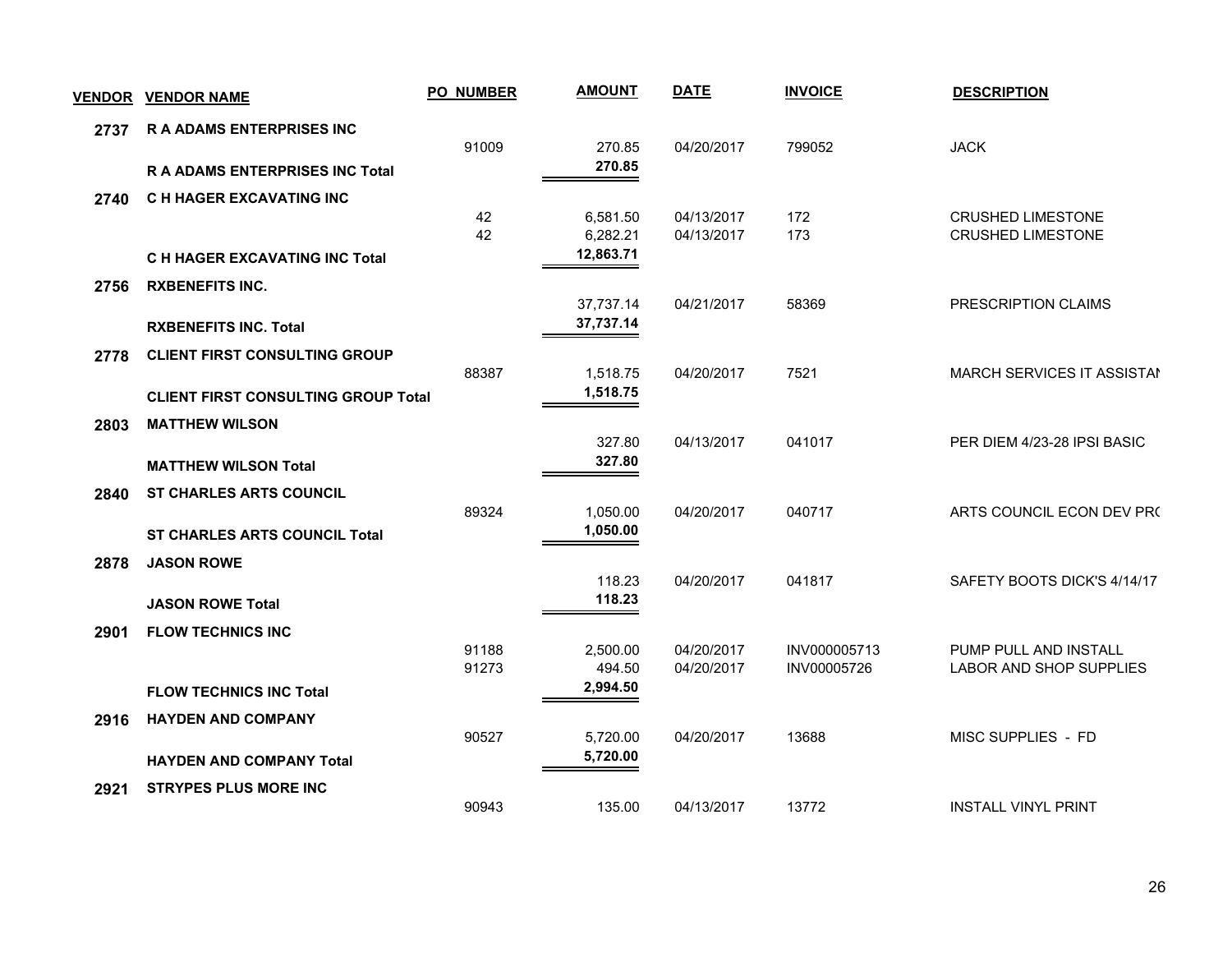|      | <u>VENDOR VENDOR NAME</u>                  | <b>PO NUMBER</b> | <b>AMOUNT</b>         | <b>DATE</b>              | <b>INVOICE</b>              | <b>DESCRIPTION</b>                                      |
|------|--------------------------------------------|------------------|-----------------------|--------------------------|-----------------------------|---------------------------------------------------------|
| 2737 | <b>R A ADAMS ENTERPRISES INC</b>           |                  |                       |                          |                             |                                                         |
|      | <b>R A ADAMS ENTERPRISES INC Total</b>     | 91009            | 270.85<br>270.85      | 04/20/2017               | 799052                      | <b>JACK</b>                                             |
|      |                                            |                  |                       |                          |                             |                                                         |
| 2740 | C H HAGER EXCAVATING INC                   | 42               | 6,581.50              | 04/13/2017               | 172                         | <b>CRUSHED LIMESTONE</b>                                |
|      |                                            | 42               | 6,282.21<br>12,863.71 | 04/13/2017               | 173                         | <b>CRUSHED LIMESTONE</b>                                |
|      | <b>C H HAGER EXCAVATING INC Total</b>      |                  |                       |                          |                             |                                                         |
| 2756 | <b>RXBENEFITS INC.</b>                     |                  | 37,737.14             | 04/21/2017               | 58369                       | PRESCRIPTION CLAIMS                                     |
|      | <b>RXBENEFITS INC. Total</b>               |                  | 37,737.14             |                          |                             |                                                         |
| 2778 | <b>CLIENT FIRST CONSULTING GROUP</b>       |                  |                       |                          |                             |                                                         |
|      | <b>CLIENT FIRST CONSULTING GROUP Total</b> | 88387            | 1,518.75<br>1,518.75  | 04/20/2017               | 7521                        | MARCH SERVICES IT ASSISTAN                              |
| 2803 | <b>MATTHEW WILSON</b>                      |                  |                       |                          |                             |                                                         |
|      |                                            |                  | 327.80                | 04/13/2017               | 041017                      | PER DIEM 4/23-28 IPSI BASIC                             |
|      | <b>MATTHEW WILSON Total</b>                |                  | 327.80                |                          |                             |                                                         |
| 2840 | <b>ST CHARLES ARTS COUNCIL</b>             |                  |                       |                          |                             |                                                         |
|      | <b>ST CHARLES ARTS COUNCIL Total</b>       | 89324            | 1,050.00<br>1,050.00  | 04/20/2017               | 040717                      | ARTS COUNCIL ECON DEV PR(                               |
| 2878 | <b>JASON ROWE</b>                          |                  |                       |                          |                             |                                                         |
|      |                                            |                  | 118.23                | 04/20/2017               | 041817                      | SAFETY BOOTS DICK'S 4/14/17                             |
|      | <b>JASON ROWE Total</b>                    |                  | 118.23                |                          |                             |                                                         |
| 2901 | <b>FLOW TECHNICS INC</b>                   |                  |                       |                          |                             |                                                         |
|      |                                            | 91188<br>91273   | 2,500.00<br>494.50    | 04/20/2017<br>04/20/2017 | INV000005713<br>INV00005726 | PUMP PULL AND INSTALL<br><b>LABOR AND SHOP SUPPLIES</b> |
|      | <b>FLOW TECHNICS INC Total</b>             |                  | 2,994.50              |                          |                             |                                                         |
| 2916 | <b>HAYDEN AND COMPANY</b>                  |                  |                       |                          |                             |                                                         |
|      |                                            | 90527            | 5,720.00<br>5,720.00  | 04/20/2017               | 13688                       | MISC SUPPLIES - FD                                      |
|      | <b>HAYDEN AND COMPANY Total</b>            |                  |                       |                          |                             |                                                         |
| 2921 | <b>STRYPES PLUS MORE INC</b>               | 90943            | 135.00                | 04/13/2017               | 13772                       | <b>INSTALL VINYL PRINT</b>                              |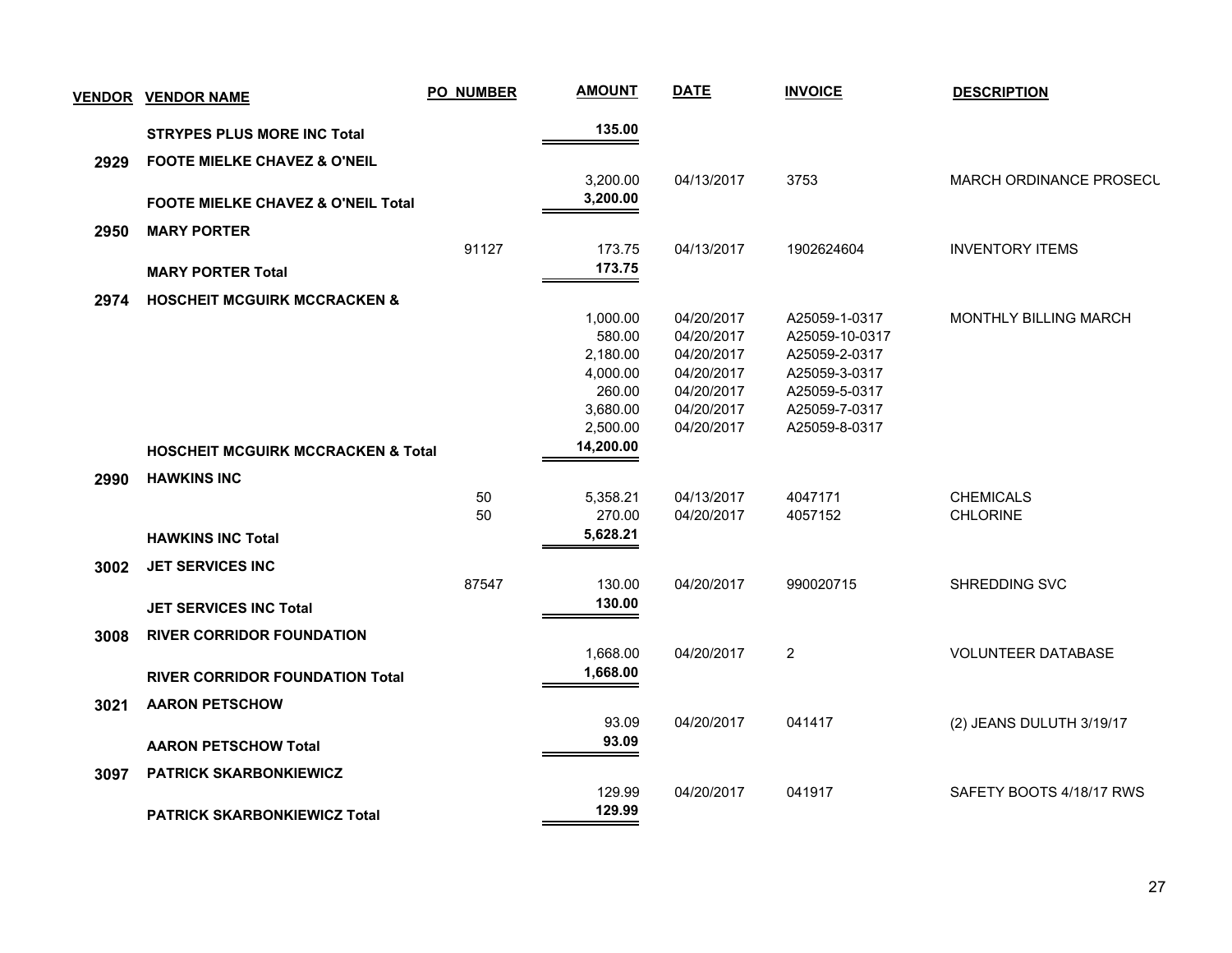| 135.00<br><b>STRYPES PLUS MORE INC Total</b><br>2929<br><b>FOOTE MIELKE CHAVEZ &amp; O'NEIL</b><br>04/13/2017<br>3753<br>3,200.00<br>3,200.00<br><b>FOOTE MIELKE CHAVEZ &amp; O'NEIL Total</b><br><b>MARY PORTER</b><br>2950<br>91127<br>173.75<br>04/13/2017<br>1902624604<br><b>INVENTORY ITEMS</b><br>173.75<br><b>MARY PORTER Total</b><br><b>HOSCHEIT MCGUIRK MCCRACKEN &amp;</b><br>2974<br>04/20/2017<br>1,000.00<br>A25059-1-0317<br>580.00<br>04/20/2017<br>A25059-10-0317<br>2,180.00<br>04/20/2017<br>A25059-2-0317<br>4,000.00<br>04/20/2017<br>A25059-3-0317<br>260.00<br>04/20/2017<br>A25059-5-0317<br>3,680.00<br>04/20/2017<br>A25059-7-0317<br>2,500.00<br>04/20/2017<br>A25059-8-0317<br>14,200.00<br><b>HOSCHEIT MCGUIRK MCCRACKEN &amp; Total</b><br><b>HAWKINS INC</b><br>2990<br>50<br><b>CHEMICALS</b><br>5,358.21<br>04/13/2017<br>4047171<br>50<br>4057152<br><b>CHLORINE</b><br>270.00<br>04/20/2017<br>5,628.21<br><b>HAWKINS INC Total</b><br><b>JET SERVICES INC</b><br>3002<br>87547<br>130.00<br>04/20/2017<br>990020715<br>SHREDDING SVC<br>130.00<br><b>JET SERVICES INC Total</b><br><b>RIVER CORRIDOR FOUNDATION</b><br>3008<br>1,668.00<br>04/20/2017<br>$\overline{2}$<br><b>VOLUNTEER DATABASE</b><br>1,668.00<br><b>RIVER CORRIDOR FOUNDATION Total</b><br><b>AARON PETSCHOW</b><br>3021<br>93.09<br>04/20/2017<br>041417<br>(2) JEANS DULUTH 3/19/17<br>93.09<br><b>AARON PETSCHOW Total</b><br>3097<br><b>PATRICK SKARBONKIEWICZ</b><br>129.99<br>04/20/2017<br>041917<br>129.99<br><b>PATRICK SKARBONKIEWICZ Total</b> | <b>VENDOR VENDOR NAME</b> | PO_NUMBER | <b>AMOUNT</b> | <b>DATE</b> | <b>INVOICE</b> | <b>DESCRIPTION</b>           |  |
|-------------------------------------------------------------------------------------------------------------------------------------------------------------------------------------------------------------------------------------------------------------------------------------------------------------------------------------------------------------------------------------------------------------------------------------------------------------------------------------------------------------------------------------------------------------------------------------------------------------------------------------------------------------------------------------------------------------------------------------------------------------------------------------------------------------------------------------------------------------------------------------------------------------------------------------------------------------------------------------------------------------------------------------------------------------------------------------------------------------------------------------------------------------------------------------------------------------------------------------------------------------------------------------------------------------------------------------------------------------------------------------------------------------------------------------------------------------------------------------------------------------------------------------------------------------------|---------------------------|-----------|---------------|-------------|----------------|------------------------------|--|
|                                                                                                                                                                                                                                                                                                                                                                                                                                                                                                                                                                                                                                                                                                                                                                                                                                                                                                                                                                                                                                                                                                                                                                                                                                                                                                                                                                                                                                                                                                                                                                   |                           |           |               |             |                |                              |  |
|                                                                                                                                                                                                                                                                                                                                                                                                                                                                                                                                                                                                                                                                                                                                                                                                                                                                                                                                                                                                                                                                                                                                                                                                                                                                                                                                                                                                                                                                                                                                                                   |                           |           |               |             |                |                              |  |
|                                                                                                                                                                                                                                                                                                                                                                                                                                                                                                                                                                                                                                                                                                                                                                                                                                                                                                                                                                                                                                                                                                                                                                                                                                                                                                                                                                                                                                                                                                                                                                   |                           |           |               |             |                | MARCH ORDINANCE PROSECL      |  |
|                                                                                                                                                                                                                                                                                                                                                                                                                                                                                                                                                                                                                                                                                                                                                                                                                                                                                                                                                                                                                                                                                                                                                                                                                                                                                                                                                                                                                                                                                                                                                                   |                           |           |               |             |                |                              |  |
|                                                                                                                                                                                                                                                                                                                                                                                                                                                                                                                                                                                                                                                                                                                                                                                                                                                                                                                                                                                                                                                                                                                                                                                                                                                                                                                                                                                                                                                                                                                                                                   |                           |           |               |             |                |                              |  |
|                                                                                                                                                                                                                                                                                                                                                                                                                                                                                                                                                                                                                                                                                                                                                                                                                                                                                                                                                                                                                                                                                                                                                                                                                                                                                                                                                                                                                                                                                                                                                                   |                           |           |               |             |                |                              |  |
|                                                                                                                                                                                                                                                                                                                                                                                                                                                                                                                                                                                                                                                                                                                                                                                                                                                                                                                                                                                                                                                                                                                                                                                                                                                                                                                                                                                                                                                                                                                                                                   |                           |           |               |             |                |                              |  |
|                                                                                                                                                                                                                                                                                                                                                                                                                                                                                                                                                                                                                                                                                                                                                                                                                                                                                                                                                                                                                                                                                                                                                                                                                                                                                                                                                                                                                                                                                                                                                                   |                           |           |               |             |                |                              |  |
|                                                                                                                                                                                                                                                                                                                                                                                                                                                                                                                                                                                                                                                                                                                                                                                                                                                                                                                                                                                                                                                                                                                                                                                                                                                                                                                                                                                                                                                                                                                                                                   |                           |           |               |             |                | <b>MONTHLY BILLING MARCH</b> |  |
|                                                                                                                                                                                                                                                                                                                                                                                                                                                                                                                                                                                                                                                                                                                                                                                                                                                                                                                                                                                                                                                                                                                                                                                                                                                                                                                                                                                                                                                                                                                                                                   |                           |           |               |             |                |                              |  |
|                                                                                                                                                                                                                                                                                                                                                                                                                                                                                                                                                                                                                                                                                                                                                                                                                                                                                                                                                                                                                                                                                                                                                                                                                                                                                                                                                                                                                                                                                                                                                                   |                           |           |               |             |                |                              |  |
|                                                                                                                                                                                                                                                                                                                                                                                                                                                                                                                                                                                                                                                                                                                                                                                                                                                                                                                                                                                                                                                                                                                                                                                                                                                                                                                                                                                                                                                                                                                                                                   |                           |           |               |             |                |                              |  |
|                                                                                                                                                                                                                                                                                                                                                                                                                                                                                                                                                                                                                                                                                                                                                                                                                                                                                                                                                                                                                                                                                                                                                                                                                                                                                                                                                                                                                                                                                                                                                                   |                           |           |               |             |                |                              |  |
|                                                                                                                                                                                                                                                                                                                                                                                                                                                                                                                                                                                                                                                                                                                                                                                                                                                                                                                                                                                                                                                                                                                                                                                                                                                                                                                                                                                                                                                                                                                                                                   |                           |           |               |             |                |                              |  |
|                                                                                                                                                                                                                                                                                                                                                                                                                                                                                                                                                                                                                                                                                                                                                                                                                                                                                                                                                                                                                                                                                                                                                                                                                                                                                                                                                                                                                                                                                                                                                                   |                           |           |               |             |                |                              |  |
|                                                                                                                                                                                                                                                                                                                                                                                                                                                                                                                                                                                                                                                                                                                                                                                                                                                                                                                                                                                                                                                                                                                                                                                                                                                                                                                                                                                                                                                                                                                                                                   |                           |           |               |             |                |                              |  |
|                                                                                                                                                                                                                                                                                                                                                                                                                                                                                                                                                                                                                                                                                                                                                                                                                                                                                                                                                                                                                                                                                                                                                                                                                                                                                                                                                                                                                                                                                                                                                                   |                           |           |               |             |                |                              |  |
|                                                                                                                                                                                                                                                                                                                                                                                                                                                                                                                                                                                                                                                                                                                                                                                                                                                                                                                                                                                                                                                                                                                                                                                                                                                                                                                                                                                                                                                                                                                                                                   |                           |           |               |             |                |                              |  |
|                                                                                                                                                                                                                                                                                                                                                                                                                                                                                                                                                                                                                                                                                                                                                                                                                                                                                                                                                                                                                                                                                                                                                                                                                                                                                                                                                                                                                                                                                                                                                                   |                           |           |               |             |                |                              |  |
|                                                                                                                                                                                                                                                                                                                                                                                                                                                                                                                                                                                                                                                                                                                                                                                                                                                                                                                                                                                                                                                                                                                                                                                                                                                                                                                                                                                                                                                                                                                                                                   |                           |           |               |             |                |                              |  |
|                                                                                                                                                                                                                                                                                                                                                                                                                                                                                                                                                                                                                                                                                                                                                                                                                                                                                                                                                                                                                                                                                                                                                                                                                                                                                                                                                                                                                                                                                                                                                                   |                           |           |               |             |                |                              |  |
|                                                                                                                                                                                                                                                                                                                                                                                                                                                                                                                                                                                                                                                                                                                                                                                                                                                                                                                                                                                                                                                                                                                                                                                                                                                                                                                                                                                                                                                                                                                                                                   |                           |           |               |             |                |                              |  |
|                                                                                                                                                                                                                                                                                                                                                                                                                                                                                                                                                                                                                                                                                                                                                                                                                                                                                                                                                                                                                                                                                                                                                                                                                                                                                                                                                                                                                                                                                                                                                                   |                           |           |               |             |                |                              |  |
|                                                                                                                                                                                                                                                                                                                                                                                                                                                                                                                                                                                                                                                                                                                                                                                                                                                                                                                                                                                                                                                                                                                                                                                                                                                                                                                                                                                                                                                                                                                                                                   |                           |           |               |             |                |                              |  |
|                                                                                                                                                                                                                                                                                                                                                                                                                                                                                                                                                                                                                                                                                                                                                                                                                                                                                                                                                                                                                                                                                                                                                                                                                                                                                                                                                                                                                                                                                                                                                                   |                           |           |               |             |                |                              |  |
|                                                                                                                                                                                                                                                                                                                                                                                                                                                                                                                                                                                                                                                                                                                                                                                                                                                                                                                                                                                                                                                                                                                                                                                                                                                                                                                                                                                                                                                                                                                                                                   |                           |           |               |             |                |                              |  |
|                                                                                                                                                                                                                                                                                                                                                                                                                                                                                                                                                                                                                                                                                                                                                                                                                                                                                                                                                                                                                                                                                                                                                                                                                                                                                                                                                                                                                                                                                                                                                                   |                           |           |               |             |                |                              |  |
|                                                                                                                                                                                                                                                                                                                                                                                                                                                                                                                                                                                                                                                                                                                                                                                                                                                                                                                                                                                                                                                                                                                                                                                                                                                                                                                                                                                                                                                                                                                                                                   |                           |           |               |             |                |                              |  |
|                                                                                                                                                                                                                                                                                                                                                                                                                                                                                                                                                                                                                                                                                                                                                                                                                                                                                                                                                                                                                                                                                                                                                                                                                                                                                                                                                                                                                                                                                                                                                                   |                           |           |               |             |                |                              |  |
|                                                                                                                                                                                                                                                                                                                                                                                                                                                                                                                                                                                                                                                                                                                                                                                                                                                                                                                                                                                                                                                                                                                                                                                                                                                                                                                                                                                                                                                                                                                                                                   |                           |           |               |             |                |                              |  |
|                                                                                                                                                                                                                                                                                                                                                                                                                                                                                                                                                                                                                                                                                                                                                                                                                                                                                                                                                                                                                                                                                                                                                                                                                                                                                                                                                                                                                                                                                                                                                                   |                           |           |               |             |                | SAFETY BOOTS 4/18/17 RWS     |  |
|                                                                                                                                                                                                                                                                                                                                                                                                                                                                                                                                                                                                                                                                                                                                                                                                                                                                                                                                                                                                                                                                                                                                                                                                                                                                                                                                                                                                                                                                                                                                                                   |                           |           |               |             |                |                              |  |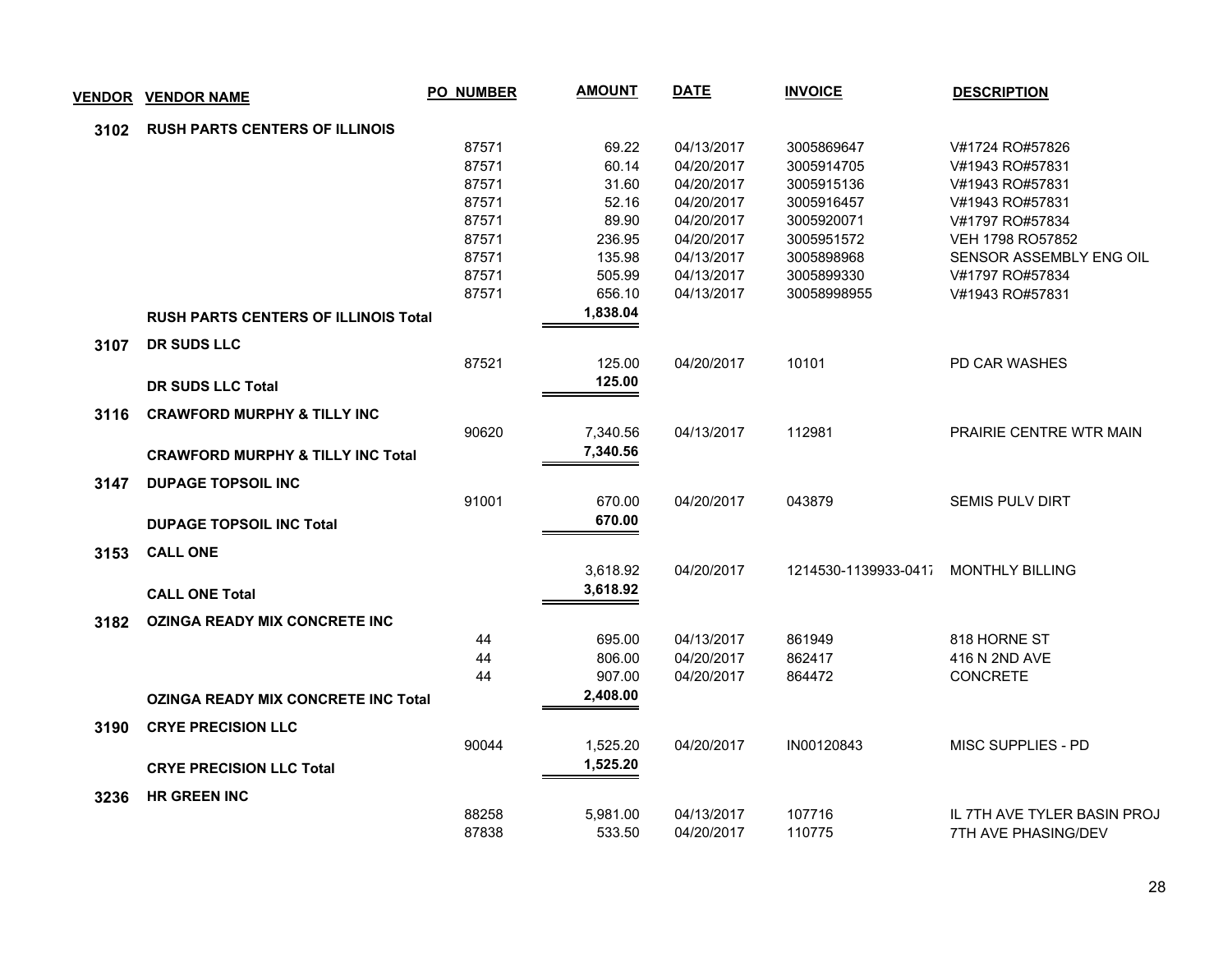| <b>VENDOR</b> | <b>VENDOR NAME</b>                           | <b>PO NUMBER</b> | <b>AMOUNT</b> | <b>DATE</b> | <b>INVOICE</b>       | <b>DESCRIPTION</b>          |
|---------------|----------------------------------------------|------------------|---------------|-------------|----------------------|-----------------------------|
| 3102          | <b>RUSH PARTS CENTERS OF ILLINOIS</b>        |                  |               |             |                      |                             |
|               |                                              | 87571            | 69.22         | 04/13/2017  | 3005869647           | V#1724 RO#57826             |
|               |                                              | 87571            | 60.14         | 04/20/2017  | 3005914705           | V#1943 RO#57831             |
|               |                                              | 87571            | 31.60         | 04/20/2017  | 3005915136           | V#1943 RO#57831             |
|               |                                              | 87571            | 52.16         | 04/20/2017  | 3005916457           | V#1943 RO#57831             |
|               |                                              | 87571            | 89.90         | 04/20/2017  | 3005920071           | V#1797 RO#57834             |
|               |                                              | 87571            | 236.95        | 04/20/2017  | 3005951572           | VEH 1798 RO57852            |
|               |                                              | 87571            | 135.98        | 04/13/2017  | 3005898968           | SENSOR ASSEMBLY ENG OIL     |
|               |                                              | 87571            | 505.99        | 04/13/2017  | 3005899330           | V#1797 RO#57834             |
|               |                                              | 87571            | 656.10        | 04/13/2017  | 30058998955          | V#1943 RO#57831             |
|               | <b>RUSH PARTS CENTERS OF ILLINOIS Total</b>  |                  | 1,838.04      |             |                      |                             |
| 3107          | <b>DR SUDS LLC</b>                           |                  |               |             |                      |                             |
|               |                                              | 87521            | 125.00        | 04/20/2017  | 10101                | <b>PD CAR WASHES</b>        |
|               | <b>DR SUDS LLC Total</b>                     |                  | 125.00        |             |                      |                             |
| 3116          | <b>CRAWFORD MURPHY &amp; TILLY INC</b>       |                  |               |             |                      |                             |
|               |                                              | 90620            | 7,340.56      | 04/13/2017  | 112981               | PRAIRIE CENTRE WTR MAIN     |
|               | <b>CRAWFORD MURPHY &amp; TILLY INC Total</b> |                  | 7,340.56      |             |                      |                             |
| 3147          | <b>DUPAGE TOPSOIL INC</b>                    |                  |               |             |                      |                             |
|               |                                              | 91001            | 670.00        | 04/20/2017  | 043879               | SEMIS PULV DIRT             |
|               | <b>DUPAGE TOPSOIL INC Total</b>              |                  | 670.00        |             |                      |                             |
| 3153          | <b>CALL ONE</b>                              |                  |               |             |                      |                             |
|               |                                              |                  | 3,618.92      | 04/20/2017  | 1214530-1139933-0411 | <b>MONTHLY BILLING</b>      |
|               | <b>CALL ONE Total</b>                        |                  | 3,618.92      |             |                      |                             |
|               |                                              |                  |               |             |                      |                             |
| 3182          | <b>OZINGA READY MIX CONCRETE INC</b>         | 44               | 695.00        | 04/13/2017  | 861949               | 818 HORNE ST                |
|               |                                              | 44               | 806.00        | 04/20/2017  | 862417               | 416 N 2ND AVE               |
|               |                                              | 44               | 907.00        | 04/20/2017  | 864472               | <b>CONCRETE</b>             |
|               | <b>OZINGA READY MIX CONCRETE INC Total</b>   |                  | 2,408.00      |             |                      |                             |
|               |                                              |                  |               |             |                      |                             |
| 3190          | <b>CRYE PRECISION LLC</b>                    |                  |               |             |                      |                             |
|               |                                              | 90044            | 1,525.20      | 04/20/2017  | IN00120843           | MISC SUPPLIES - PD          |
|               | <b>CRYE PRECISION LLC Total</b>              |                  | 1,525.20      |             |                      |                             |
| 3236          | <b>HR GREEN INC</b>                          |                  |               |             |                      |                             |
|               |                                              | 88258            | 5,981.00      | 04/13/2017  | 107716               | IL 7TH AVE TYLER BASIN PROJ |
|               |                                              | 87838            | 533.50        | 04/20/2017  | 110775               | 7TH AVE PHASING/DEV         |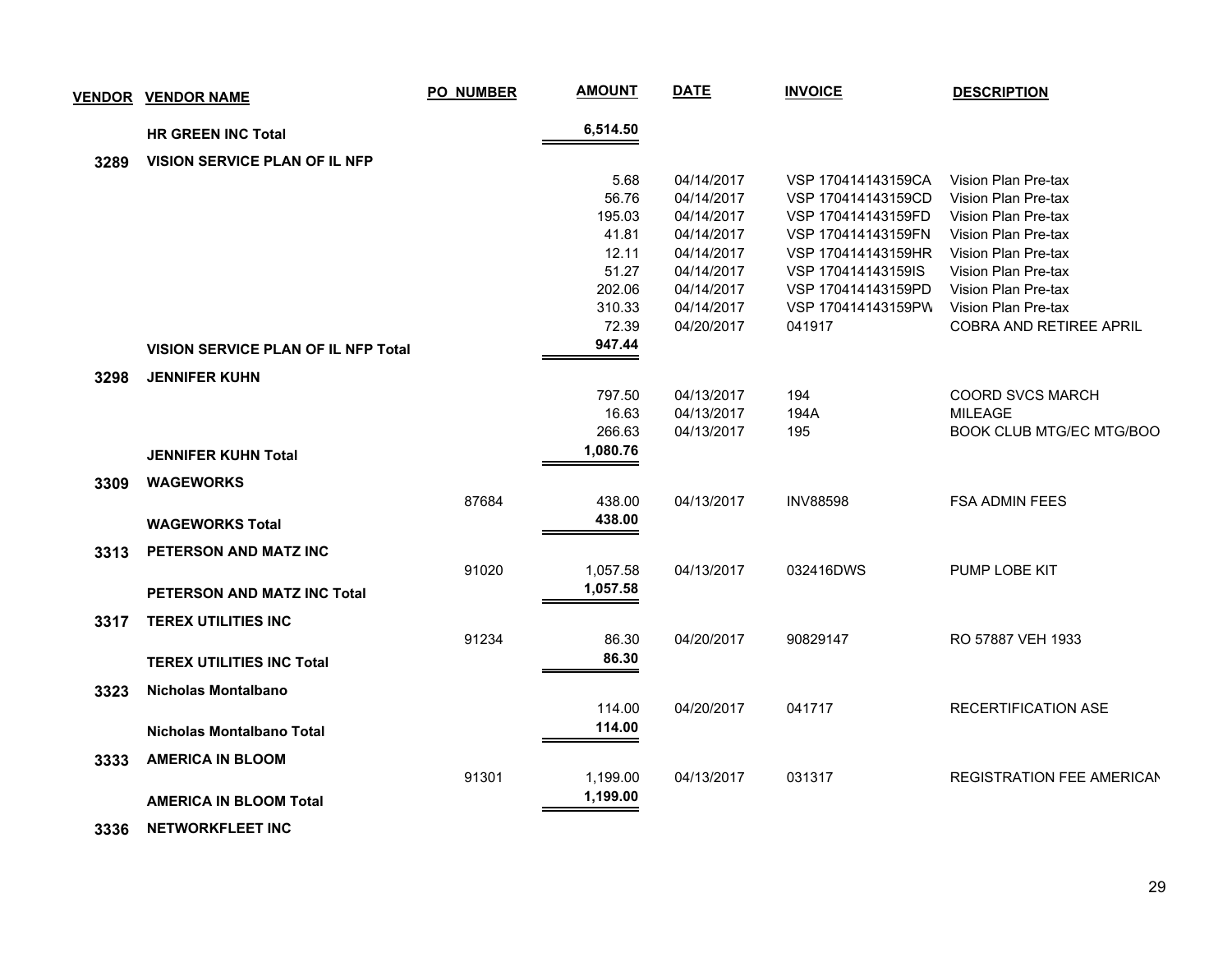|      | <u>VENDOR VENDOR NAME</u>                  | PO_NUMBER | <b>AMOUNT</b> | <b>DATE</b> | <b>INVOICE</b>     | <b>DESCRIPTION</b>        |
|------|--------------------------------------------|-----------|---------------|-------------|--------------------|---------------------------|
|      | <b>HR GREEN INC Total</b>                  |           | 6,514.50      |             |                    |                           |
| 3289 | VISION SERVICE PLAN OF IL NFP              |           |               |             |                    |                           |
|      |                                            |           | 5.68          | 04/14/2017  | VSP 170414143159CA | Vision Plan Pre-tax       |
|      |                                            |           | 56.76         | 04/14/2017  | VSP 170414143159CD | Vision Plan Pre-tax       |
|      |                                            |           | 195.03        | 04/14/2017  | VSP 170414143159FD | Vision Plan Pre-tax       |
|      |                                            |           | 41.81         | 04/14/2017  | VSP 170414143159FN | Vision Plan Pre-tax       |
|      |                                            |           | 12.11         | 04/14/2017  | VSP 170414143159HR | Vision Plan Pre-tax       |
|      |                                            |           | 51.27         | 04/14/2017  | VSP 170414143159IS | Vision Plan Pre-tax       |
|      |                                            |           | 202.06        | 04/14/2017  | VSP 170414143159PD | Vision Plan Pre-tax       |
|      |                                            |           | 310.33        | 04/14/2017  | VSP 170414143159PW | Vision Plan Pre-tax       |
|      |                                            |           | 72.39         | 04/20/2017  | 041917             | COBRA AND RETIREE APRIL   |
|      | <b>VISION SERVICE PLAN OF IL NFP Total</b> |           | 947.44        |             |                    |                           |
| 3298 | <b>JENNIFER KUHN</b>                       |           |               |             |                    |                           |
|      |                                            |           | 797.50        | 04/13/2017  | 194                | <b>COORD SVCS MARCH</b>   |
|      |                                            |           | 16.63         | 04/13/2017  | 194A               | <b>MILEAGE</b>            |
|      |                                            |           | 266.63        | 04/13/2017  | 195                | BOOK CLUB MTG/EC MTG/BOO  |
|      | <b>JENNIFER KUHN Total</b>                 |           | 1,080.76      |             |                    |                           |
| 3309 | <b>WAGEWORKS</b>                           |           |               |             |                    |                           |
|      |                                            | 87684     | 438.00        | 04/13/2017  | <b>INV88598</b>    | <b>FSA ADMIN FEES</b>     |
|      | <b>WAGEWORKS Total</b>                     |           | 438.00        |             |                    |                           |
| 3313 | PETERSON AND MATZ INC                      |           |               |             |                    |                           |
|      |                                            | 91020     | 1,057.58      | 04/13/2017  | 032416DWS          | PUMP LOBE KIT             |
|      | PETERSON AND MATZ INC Total                |           | 1,057.58      |             |                    |                           |
|      |                                            |           |               |             |                    |                           |
| 3317 | <b>TEREX UTILITIES INC</b>                 |           |               |             |                    |                           |
|      |                                            | 91234     | 86.30         | 04/20/2017  | 90829147           | RO 57887 VEH 1933         |
|      | <b>TEREX UTILITIES INC Total</b>           |           | 86.30         |             |                    |                           |
| 3323 | Nicholas Montalbano                        |           |               |             |                    |                           |
|      |                                            |           | 114.00        | 04/20/2017  | 041717             | RECERTIFICATION ASE       |
|      | Nicholas Montalbano Total                  |           | 114.00        |             |                    |                           |
| 3333 | <b>AMERICA IN BLOOM</b>                    |           |               |             |                    |                           |
|      |                                            | 91301     | 1,199.00      | 04/13/2017  | 031317             | REGISTRATION FEE AMERICAN |
|      | <b>AMERICA IN BLOOM Total</b>              |           | 1,199.00      |             |                    |                           |
|      |                                            |           |               |             |                    |                           |

 **3336 NETWORKFLEET INC**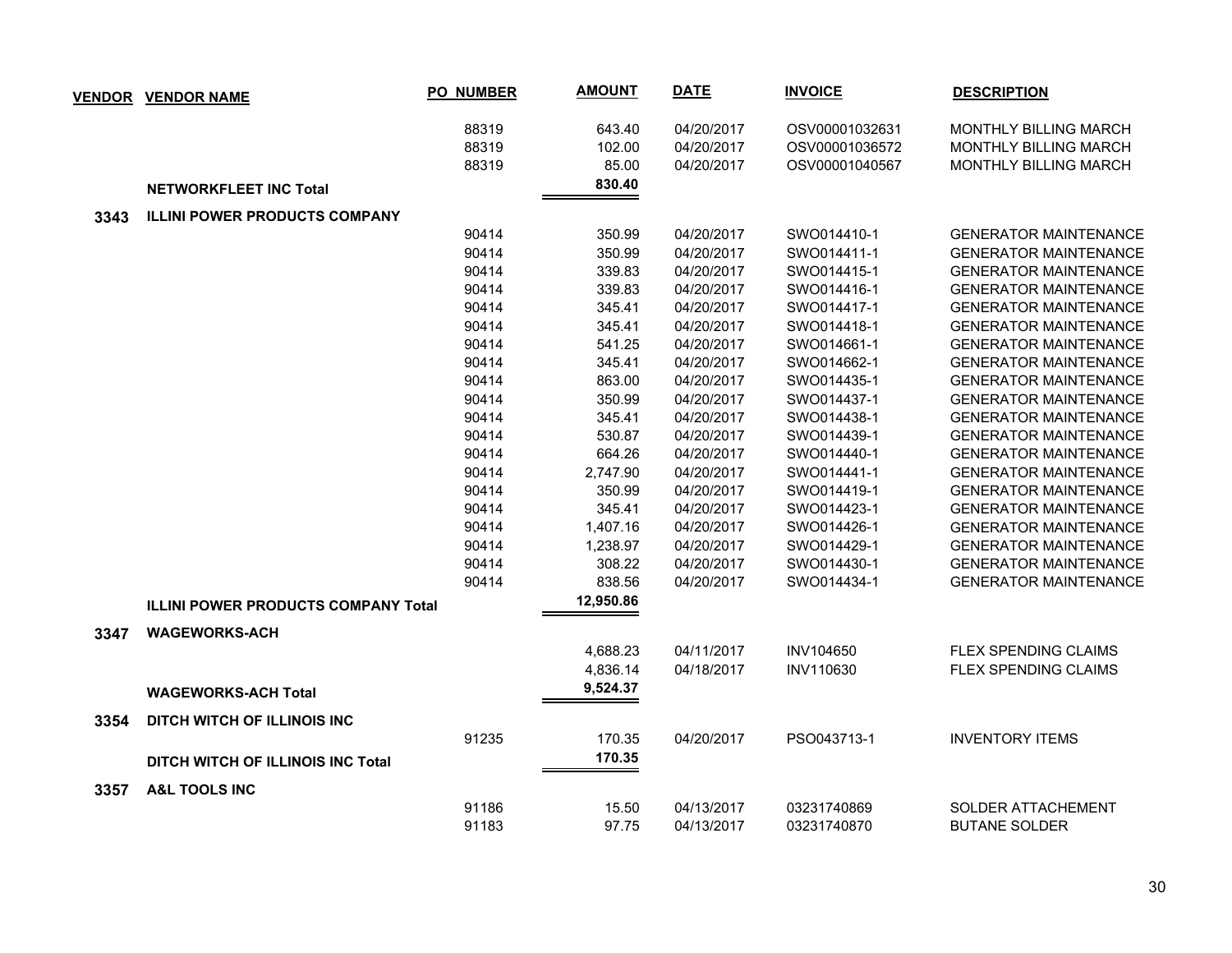| <b>VENDOR</b> | <b>VENDOR NAME</b>                         | PO_NUMBER | <b>AMOUNT</b> | <b>DATE</b> | <b>INVOICE</b> | <b>DESCRIPTION</b>           |
|---------------|--------------------------------------------|-----------|---------------|-------------|----------------|------------------------------|
|               |                                            | 88319     | 643.40        | 04/20/2017  | OSV00001032631 | MONTHLY BILLING MARCH        |
|               |                                            | 88319     | 102.00        | 04/20/2017  | OSV00001036572 | MONTHLY BILLING MARCH        |
|               |                                            | 88319     | 85.00         | 04/20/2017  | OSV00001040567 | <b>MONTHLY BILLING MARCH</b> |
|               | <b>NETWORKFLEET INC Total</b>              |           | 830.40        |             |                |                              |
| 3343          | <b>ILLINI POWER PRODUCTS COMPANY</b>       |           |               |             |                |                              |
|               |                                            | 90414     | 350.99        | 04/20/2017  | SWO014410-1    | <b>GENERATOR MAINTENANCE</b> |
|               |                                            | 90414     | 350.99        | 04/20/2017  | SWO014411-1    | <b>GENERATOR MAINTENANCE</b> |
|               |                                            | 90414     | 339.83        | 04/20/2017  | SWO014415-1    | <b>GENERATOR MAINTENANCE</b> |
|               |                                            | 90414     | 339.83        | 04/20/2017  | SWO014416-1    | <b>GENERATOR MAINTENANCE</b> |
|               |                                            | 90414     | 345.41        | 04/20/2017  | SWO014417-1    | <b>GENERATOR MAINTENANCE</b> |
|               |                                            | 90414     | 345.41        | 04/20/2017  | SWO014418-1    | <b>GENERATOR MAINTENANCE</b> |
|               |                                            | 90414     | 541.25        | 04/20/2017  | SWO014661-1    | <b>GENERATOR MAINTENANCE</b> |
|               |                                            | 90414     | 345.41        | 04/20/2017  | SWO014662-1    | <b>GENERATOR MAINTENANCE</b> |
|               |                                            | 90414     | 863.00        | 04/20/2017  | SWO014435-1    | <b>GENERATOR MAINTENANCE</b> |
|               |                                            | 90414     | 350.99        | 04/20/2017  | SWO014437-1    | <b>GENERATOR MAINTENANCE</b> |
|               |                                            | 90414     | 345.41        | 04/20/2017  | SWO014438-1    | <b>GENERATOR MAINTENANCE</b> |
|               |                                            | 90414     | 530.87        | 04/20/2017  | SWO014439-1    | <b>GENERATOR MAINTENANCE</b> |
|               |                                            | 90414     | 664.26        | 04/20/2017  | SWO014440-1    | <b>GENERATOR MAINTENANCE</b> |
|               |                                            | 90414     | 2,747.90      | 04/20/2017  | SWO014441-1    | <b>GENERATOR MAINTENANCE</b> |
|               |                                            | 90414     | 350.99        | 04/20/2017  | SWO014419-1    | <b>GENERATOR MAINTENANCE</b> |
|               |                                            | 90414     | 345.41        | 04/20/2017  | SWO014423-1    | <b>GENERATOR MAINTENANCE</b> |
|               |                                            | 90414     | 1,407.16      | 04/20/2017  | SWO014426-1    | <b>GENERATOR MAINTENANCE</b> |
|               |                                            | 90414     | 1,238.97      | 04/20/2017  | SWO014429-1    | <b>GENERATOR MAINTENANCE</b> |
|               |                                            | 90414     | 308.22        | 04/20/2017  | SWO014430-1    | <b>GENERATOR MAINTENANCE</b> |
|               |                                            | 90414     | 838.56        | 04/20/2017  | SWO014434-1    | <b>GENERATOR MAINTENANCE</b> |
|               | <b>ILLINI POWER PRODUCTS COMPANY Total</b> |           | 12,950.86     |             |                |                              |
| 3347          | <b>WAGEWORKS-ACH</b>                       |           |               |             |                |                              |
|               |                                            |           | 4,688.23      | 04/11/2017  | INV104650      | <b>FLEX SPENDING CLAIMS</b>  |
|               |                                            |           | 4,836.14      | 04/18/2017  | INV110630      | FLEX SPENDING CLAIMS         |
|               | <b>WAGEWORKS-ACH Total</b>                 |           | 9,524.37      |             |                |                              |
| 3354          | DITCH WITCH OF ILLINOIS INC                |           |               |             |                |                              |
|               |                                            | 91235     | 170.35        | 04/20/2017  | PSO043713-1    | <b>INVENTORY ITEMS</b>       |
|               | <b>DITCH WITCH OF ILLINOIS INC Total</b>   |           | 170.35        |             |                |                              |
| 3357          | <b>A&amp;L TOOLS INC</b>                   |           |               |             |                |                              |
|               |                                            | 91186     | 15.50         | 04/13/2017  | 03231740869    | SOLDER ATTACHEMENT           |
|               |                                            | 91183     | 97.75         | 04/13/2017  | 03231740870    | <b>BUTANE SOLDER</b>         |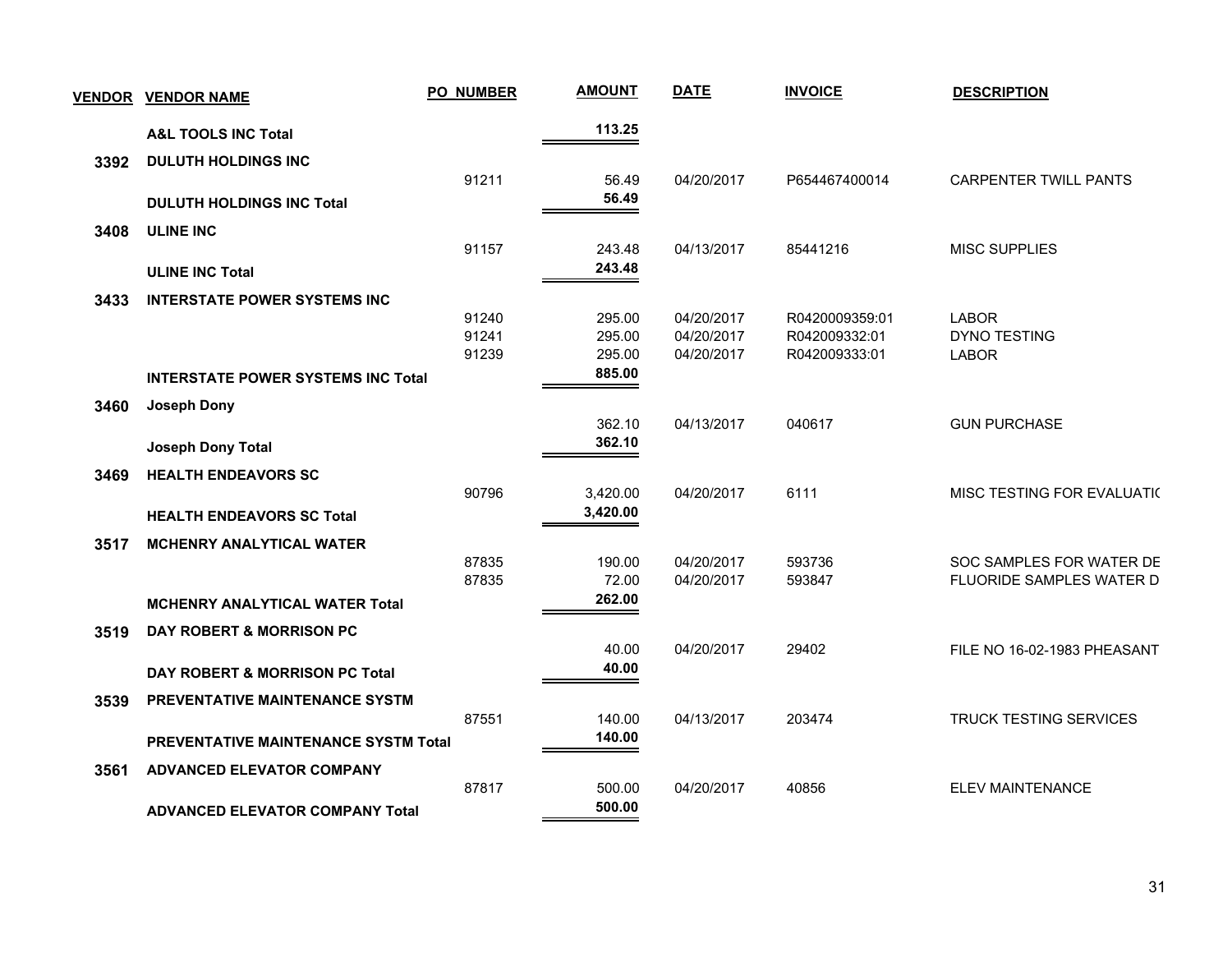| <b>VENDOR</b> | <b>VENDOR NAME</b>                        | <b>PO_NUMBER</b> | <b>AMOUNT</b> | <b>DATE</b> | <b>INVOICE</b> | <b>DESCRIPTION</b>            |
|---------------|-------------------------------------------|------------------|---------------|-------------|----------------|-------------------------------|
|               | <b>A&amp;L TOOLS INC Total</b>            |                  | 113.25        |             |                |                               |
| 3392          | <b>DULUTH HOLDINGS INC</b>                |                  |               |             |                |                               |
|               |                                           | 91211            | 56.49         | 04/20/2017  | P654467400014  | <b>CARPENTER TWILL PANTS</b>  |
|               | <b>DULUTH HOLDINGS INC Total</b>          |                  | 56.49         |             |                |                               |
| 3408          | <b>ULINE INC</b>                          |                  |               |             |                |                               |
|               |                                           | 91157            | 243.48        | 04/13/2017  | 85441216       | <b>MISC SUPPLIES</b>          |
|               | <b>ULINE INC Total</b>                    |                  | 243.48        |             |                |                               |
| 3433          | <b>INTERSTATE POWER SYSTEMS INC</b>       |                  |               |             |                |                               |
|               |                                           | 91240            | 295.00        | 04/20/2017  | R0420009359:01 | <b>LABOR</b>                  |
|               |                                           | 91241            | 295.00        | 04/20/2017  | R042009332:01  | DYNO TESTING                  |
|               |                                           | 91239            | 295.00        | 04/20/2017  | R042009333:01  | <b>LABOR</b>                  |
|               | <b>INTERSTATE POWER SYSTEMS INC Total</b> |                  | 885.00        |             |                |                               |
| 3460          | <b>Joseph Dony</b>                        |                  |               |             |                |                               |
|               |                                           |                  | 362.10        | 04/13/2017  | 040617         | <b>GUN PURCHASE</b>           |
|               | Joseph Dony Total                         |                  | 362.10        |             |                |                               |
| 3469          | <b>HEALTH ENDEAVORS SC</b>                |                  |               |             |                |                               |
|               |                                           | 90796            | 3,420.00      | 04/20/2017  | 6111           | MISC TESTING FOR EVALUATIO    |
|               | <b>HEALTH ENDEAVORS SC Total</b>          |                  | 3,420.00      |             |                |                               |
| 3517          | <b>MCHENRY ANALYTICAL WATER</b>           |                  |               |             |                |                               |
|               |                                           | 87835            | 190.00        | 04/20/2017  | 593736         | SOC SAMPLES FOR WATER DE      |
|               |                                           | 87835            | 72.00         | 04/20/2017  | 593847         | FLUORIDE SAMPLES WATER D      |
|               | <b>MCHENRY ANALYTICAL WATER Total</b>     |                  | 262.00        |             |                |                               |
| 3519          | <b>DAY ROBERT &amp; MORRISON PC</b>       |                  |               |             |                |                               |
|               |                                           |                  | 40.00         | 04/20/2017  | 29402          | FILE NO 16-02-1983 PHEASANT   |
|               | DAY ROBERT & MORRISON PC Total            |                  | 40.00         |             |                |                               |
| 3539          | PREVENTATIVE MAINTENANCE SYSTM            |                  |               |             |                |                               |
|               |                                           | 87551            | 140.00        | 04/13/2017  | 203474         | <b>TRUCK TESTING SERVICES</b> |
|               | PREVENTATIVE MAINTENANCE SYSTM Total      |                  | 140.00        |             |                |                               |
| 3561          | <b>ADVANCED ELEVATOR COMPANY</b>          |                  |               |             |                |                               |
|               |                                           | 87817            | 500.00        | 04/20/2017  | 40856          | <b>ELEV MAINTENANCE</b>       |
|               | <b>ADVANCED ELEVATOR COMPANY Total</b>    |                  | 500.00        |             |                |                               |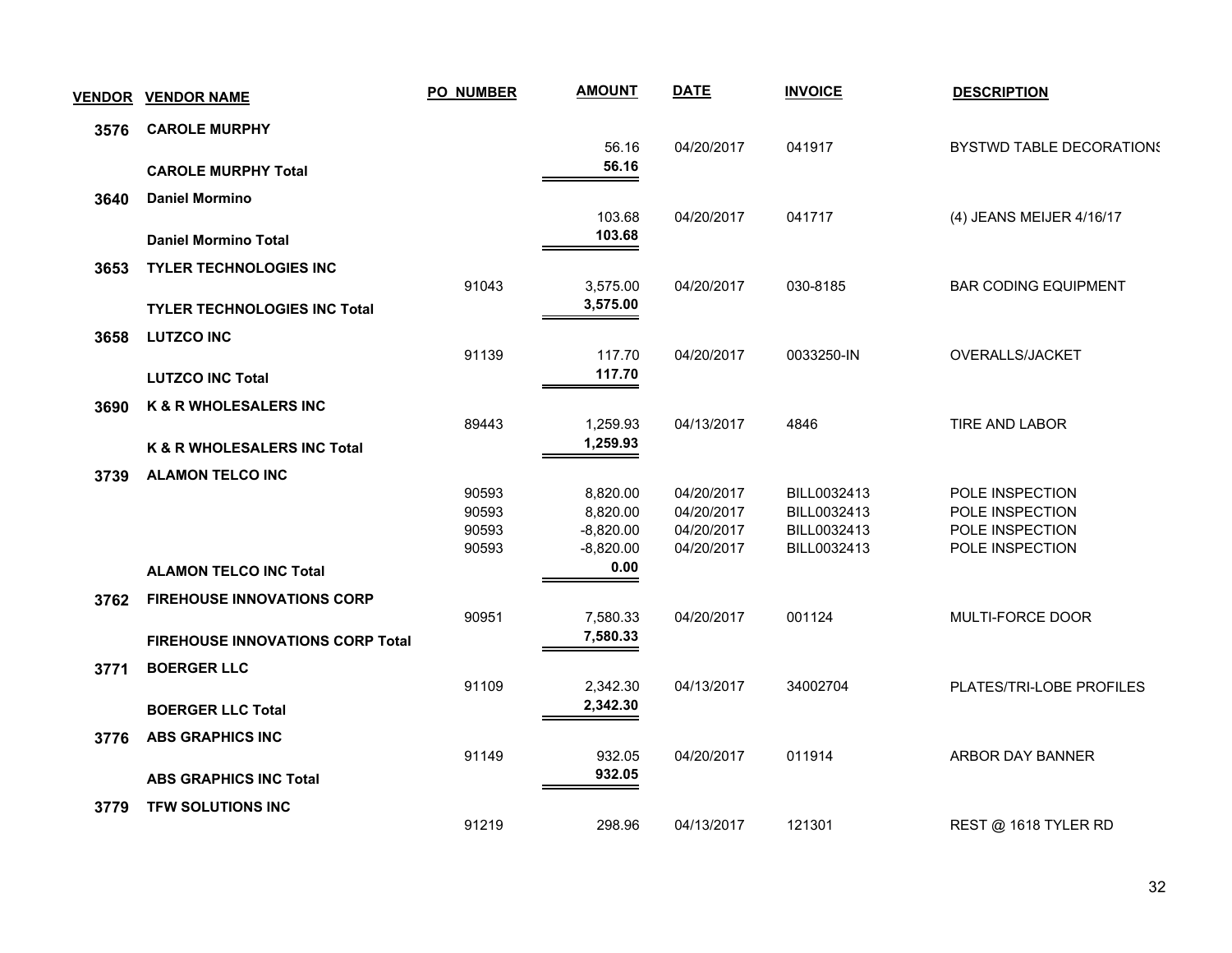| <b>VENDOR</b> | <b>VENDOR NAME</b>                      | <b>PO_NUMBER</b> | <b>AMOUNT</b>    | <b>DATE</b> | <b>INVOICE</b> | <b>DESCRIPTION</b>              |
|---------------|-----------------------------------------|------------------|------------------|-------------|----------------|---------------------------------|
| 3576          | <b>CAROLE MURPHY</b>                    |                  |                  |             |                |                                 |
|               |                                         |                  | 56.16<br>56.16   | 04/20/2017  | 041917         | <b>BYSTWD TABLE DECORATIONS</b> |
|               | <b>CAROLE MURPHY Total</b>              |                  |                  |             |                |                                 |
| 3640          | <b>Daniel Mormino</b>                   |                  |                  |             |                |                                 |
|               | <b>Daniel Mormino Total</b>             |                  | 103.68<br>103.68 | 04/20/2017  | 041717         | (4) JEANS MEIJER 4/16/17        |
|               |                                         |                  |                  |             |                |                                 |
| 3653          | <b>TYLER TECHNOLOGIES INC</b>           | 91043            | 3,575.00         | 04/20/2017  | 030-8185       | <b>BAR CODING EQUIPMENT</b>     |
|               |                                         |                  | 3,575.00         |             |                |                                 |
|               | <b>TYLER TECHNOLOGIES INC Total</b>     |                  |                  |             |                |                                 |
| 3658          | <b>LUTZCO INC</b>                       |                  |                  |             |                |                                 |
|               |                                         | 91139            | 117.70           | 04/20/2017  | 0033250-IN     | OVERALLS/JACKET                 |
|               | <b>LUTZCO INC Total</b>                 |                  | 117.70           |             |                |                                 |
| 3690          | K & R WHOLESALERS INC                   |                  |                  |             |                |                                 |
|               |                                         | 89443            | 1,259.93         | 04/13/2017  | 4846           | TIRE AND LABOR                  |
|               | K & R WHOLESALERS INC Total             |                  | 1,259.93         |             |                |                                 |
| 3739          | <b>ALAMON TELCO INC</b>                 |                  |                  |             |                |                                 |
|               |                                         | 90593            | 8,820.00         | 04/20/2017  | BILL0032413    | POLE INSPECTION                 |
|               |                                         | 90593            | 8,820.00         | 04/20/2017  | BILL0032413    | POLE INSPECTION                 |
|               |                                         | 90593            | $-8,820.00$      | 04/20/2017  | BILL0032413    | POLE INSPECTION                 |
|               |                                         | 90593            | $-8,820.00$      | 04/20/2017  | BILL0032413    | POLE INSPECTION                 |
|               | <b>ALAMON TELCO INC Total</b>           |                  | 0.00             |             |                |                                 |
| 3762          | <b>FIREHOUSE INNOVATIONS CORP</b>       |                  |                  |             |                |                                 |
|               |                                         | 90951            | 7,580.33         | 04/20/2017  | 001124         | MULTI-FORCE DOOR                |
|               | <b>FIREHOUSE INNOVATIONS CORP Total</b> |                  | 7,580.33         |             |                |                                 |
| 3771          | <b>BOERGER LLC</b>                      |                  |                  |             |                |                                 |
|               |                                         | 91109            | 2,342.30         | 04/13/2017  | 34002704       | PLATES/TRI-LOBE PROFILES        |
|               | <b>BOERGER LLC Total</b>                |                  | 2,342.30         |             |                |                                 |
|               |                                         |                  |                  |             |                |                                 |
| 3776          | <b>ABS GRAPHICS INC</b>                 | 91149            | 932.05           | 04/20/2017  | 011914         | ARBOR DAY BANNER                |
|               |                                         |                  | 932.05           |             |                |                                 |
|               | <b>ABS GRAPHICS INC Total</b>           |                  |                  |             |                |                                 |
| 3779          | <b>TFW SOLUTIONS INC</b>                |                  |                  |             |                |                                 |
|               |                                         | 91219            | 298.96           | 04/13/2017  | 121301         | REST @ 1618 TYLER RD            |